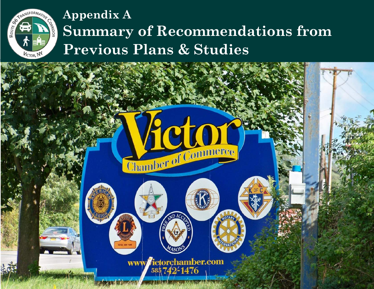

# **Appendix A Summary of Recommendations from Previous Plans & Studies**

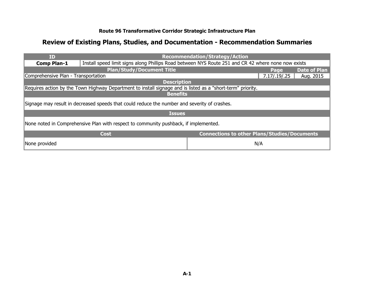| ID                                                                                   |                                                                                                             | <b>Recommendation/Strategy/Action</b>               |              |                     |  |
|--------------------------------------------------------------------------------------|-------------------------------------------------------------------------------------------------------------|-----------------------------------------------------|--------------|---------------------|--|
| <b>Comp Plan-1</b>                                                                   | Install speed limit signs along Phillips Road between NYS Route 251 and CR 42 where none now exists         |                                                     |              |                     |  |
|                                                                                      | <b>Plan/Study/Document Title</b>                                                                            |                                                     | Page         | <b>Date of Plan</b> |  |
| Comprehensive Plan - Transportation                                                  |                                                                                                             |                                                     | 7.17/.19/.25 | Aug. 2015           |  |
|                                                                                      | <b>Description</b>                                                                                          |                                                     |              |                     |  |
|                                                                                      | Requires action by the Town Highway Department to install signage and is listed as a "short-term" priority. |                                                     |              |                     |  |
| <b>Benefits</b>                                                                      |                                                                                                             |                                                     |              |                     |  |
|                                                                                      | Signage may result in decreased speeds that could reduce the number and severity of crashes.                |                                                     |              |                     |  |
|                                                                                      | <b>Issues</b>                                                                                               |                                                     |              |                     |  |
| None noted in Comprehensive Plan with respect to community pushback, if implemented. |                                                                                                             |                                                     |              |                     |  |
|                                                                                      | <b>Cost</b>                                                                                                 | <b>Connections to other Plans/Studies/Documents</b> |              |                     |  |
| None provided                                                                        |                                                                                                             |                                                     | N/A          |                     |  |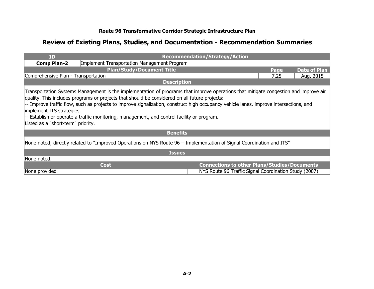| ID                                                                                                                                                                                                                                                                                                                                                                                                                                                                                                                                               |                                             | <b>Recommendation/Strategy/Action</b>                 |      |                     |  |
|--------------------------------------------------------------------------------------------------------------------------------------------------------------------------------------------------------------------------------------------------------------------------------------------------------------------------------------------------------------------------------------------------------------------------------------------------------------------------------------------------------------------------------------------------|---------------------------------------------|-------------------------------------------------------|------|---------------------|--|
| <b>Comp Plan-2</b>                                                                                                                                                                                                                                                                                                                                                                                                                                                                                                                               | Implement Transportation Management Program |                                                       |      |                     |  |
|                                                                                                                                                                                                                                                                                                                                                                                                                                                                                                                                                  | <b>Plan/Study/Document Title</b>            |                                                       | Page | <b>Date of Plan</b> |  |
| Comprehensive Plan - Transportation                                                                                                                                                                                                                                                                                                                                                                                                                                                                                                              |                                             |                                                       | 7.25 | Aug. 2015           |  |
|                                                                                                                                                                                                                                                                                                                                                                                                                                                                                                                                                  | <b>Description</b>                          |                                                       |      |                     |  |
| Transportation Systems Management is the implementation of programs that improve operations that mitigate congestion and improve air<br>quality. This includes programs or projects that should be considered on all future projects:<br>-- Improve traffic flow, such as projects to improve signalization, construct high occupancy vehicle lanes, improve intersections, and<br>implement ITS strategies.<br>-- Establish or operate a traffic monitoring, management, and control facility or program.<br>Listed as a "short-term" priority. |                                             |                                                       |      |                     |  |
|                                                                                                                                                                                                                                                                                                                                                                                                                                                                                                                                                  | <b>Benefits</b>                             |                                                       |      |                     |  |
| None noted; directly related to "Improved Operations on NYS Route 96 – Implementation of Signal Coordination and ITS"                                                                                                                                                                                                                                                                                                                                                                                                                            |                                             |                                                       |      |                     |  |
| <b>Issues</b>                                                                                                                                                                                                                                                                                                                                                                                                                                                                                                                                    |                                             |                                                       |      |                     |  |
| None noted.                                                                                                                                                                                                                                                                                                                                                                                                                                                                                                                                      |                                             |                                                       |      |                     |  |
|                                                                                                                                                                                                                                                                                                                                                                                                                                                                                                                                                  | <b>Cost</b>                                 | <b>Connections to other Plans/Studies/Documents</b>   |      |                     |  |
| None provided                                                                                                                                                                                                                                                                                                                                                                                                                                                                                                                                    |                                             | NYS Route 96 Traffic Signal Coordination Study (2007) |      |                     |  |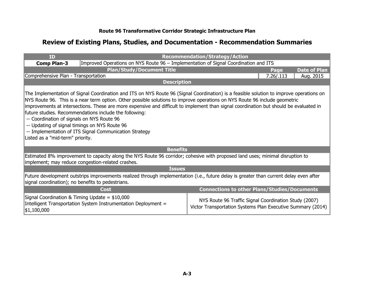| <b>ID</b>                                                                                                                                                                                                                                                                                                                                                                                                                                                                                                                                                                                                                                                              |                                                                                                                                                                                    | <b>Recommendation/Strategy/Action</b>                                                                                |                             |  |
|------------------------------------------------------------------------------------------------------------------------------------------------------------------------------------------------------------------------------------------------------------------------------------------------------------------------------------------------------------------------------------------------------------------------------------------------------------------------------------------------------------------------------------------------------------------------------------------------------------------------------------------------------------------------|------------------------------------------------------------------------------------------------------------------------------------------------------------------------------------|----------------------------------------------------------------------------------------------------------------------|-----------------------------|--|
| <b>Comp Plan-3</b>                                                                                                                                                                                                                                                                                                                                                                                                                                                                                                                                                                                                                                                     | Improved Operations on NYS Route 96 - Implementation of Signal Coordination and ITS                                                                                                |                                                                                                                      |                             |  |
|                                                                                                                                                                                                                                                                                                                                                                                                                                                                                                                                                                                                                                                                        | <b>Plan/Study/Document Title</b>                                                                                                                                                   |                                                                                                                      | <b>Date of Plan</b><br>Page |  |
| Comprehensive Plan - Transportation                                                                                                                                                                                                                                                                                                                                                                                                                                                                                                                                                                                                                                    |                                                                                                                                                                                    |                                                                                                                      | 7.26 / .113<br>Aug. 2015    |  |
|                                                                                                                                                                                                                                                                                                                                                                                                                                                                                                                                                                                                                                                                        | <b>Description</b>                                                                                                                                                                 |                                                                                                                      |                             |  |
| The Implementation of Signal Coordination and ITS on NYS Route 96 (Signal Coordination) is a feasible solution to improve operations on<br>NYS Route 96. This is a near term option. Other possible solutions to improve operations on NYS Route 96 include geometric<br>improvements at intersections. These are more expensive and difficult to implement than signal coordination but should be evaluated in<br>future studies. Recommendations include the following:<br>-- Coordination of signals on NYS Route 96<br>-- Updating of signal timings on NYS Route 96<br>-- Implementation of ITS Signal Communication Strategy<br>Listed as a "mid-term" priority. |                                                                                                                                                                                    |                                                                                                                      |                             |  |
|                                                                                                                                                                                                                                                                                                                                                                                                                                                                                                                                                                                                                                                                        | <b>Benefits</b>                                                                                                                                                                    |                                                                                                                      |                             |  |
|                                                                                                                                                                                                                                                                                                                                                                                                                                                                                                                                                                                                                                                                        | Estimated 8% improvement to capacity along the NYS Route 96 corridor; cohesive with proposed land uses; minimal disruption to<br>implement; may reduce congestion-related crashes. |                                                                                                                      |                             |  |
|                                                                                                                                                                                                                                                                                                                                                                                                                                                                                                                                                                                                                                                                        | <b>Issues</b>                                                                                                                                                                      |                                                                                                                      |                             |  |
| Future development outstrips improvements realized through implementation (i.e., future delay is greater than current delay even after<br>signal coordination); no benefits to pedestrians.                                                                                                                                                                                                                                                                                                                                                                                                                                                                            |                                                                                                                                                                                    |                                                                                                                      |                             |  |
|                                                                                                                                                                                                                                                                                                                                                                                                                                                                                                                                                                                                                                                                        | Cost                                                                                                                                                                               | <b>Connections to other Plans/Studies/Documents</b>                                                                  |                             |  |
| \$1,100,000                                                                                                                                                                                                                                                                                                                                                                                                                                                                                                                                                                                                                                                            | Signal Coordination & Timing Update = $$10,000$<br>Intelligent Transportation System Instrumentation Deployment =                                                                  | NYS Route 96 Traffic Signal Coordination Study (2007)<br>Victor Transportation Systems Plan Executive Summary (2014) |                             |  |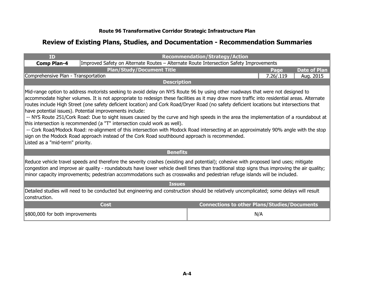| ID                                                                                                                                                                                                                                                                                                                                                                                                                                                                                                                                                                                                                                                                                                                                                                                                                                                                                                                                                                                         |                                  | <b>Recommendation/Strategy/Action</b>                                                  |           |                     |  |  |
|--------------------------------------------------------------------------------------------------------------------------------------------------------------------------------------------------------------------------------------------------------------------------------------------------------------------------------------------------------------------------------------------------------------------------------------------------------------------------------------------------------------------------------------------------------------------------------------------------------------------------------------------------------------------------------------------------------------------------------------------------------------------------------------------------------------------------------------------------------------------------------------------------------------------------------------------------------------------------------------------|----------------------------------|----------------------------------------------------------------------------------------|-----------|---------------------|--|--|
| <b>Comp Plan-4</b>                                                                                                                                                                                                                                                                                                                                                                                                                                                                                                                                                                                                                                                                                                                                                                                                                                                                                                                                                                         |                                  | Improved Safety on Alternate Routes - Alternate Route Intersection Safety Improvements |           |                     |  |  |
|                                                                                                                                                                                                                                                                                                                                                                                                                                                                                                                                                                                                                                                                                                                                                                                                                                                                                                                                                                                            | <b>Plan/Study/Document Title</b> |                                                                                        | Page      | <b>Date of Plan</b> |  |  |
| Comprehensive Plan - Transportation                                                                                                                                                                                                                                                                                                                                                                                                                                                                                                                                                                                                                                                                                                                                                                                                                                                                                                                                                        |                                  |                                                                                        | 7.26/.119 | Aug. 2015           |  |  |
|                                                                                                                                                                                                                                                                                                                                                                                                                                                                                                                                                                                                                                                                                                                                                                                                                                                                                                                                                                                            | <b>Description</b>               |                                                                                        |           |                     |  |  |
| Mid-range option to address motorists seeking to avoid delay on NYS Route 96 by using other roadways that were not designed to<br>accommodate higher volumes. It is not appropriate to redesign these facilities as it may draw more traffic into residential areas. Alternate<br>routes include High Street (one safety deficient location) and Cork Road/Dryer Road (no safety deficient locations but intersections that<br>have potential issues). Potential improvements include:<br>-- NYS Route 251/Cork Road: Due to sight issues caused by the curve and high speeds in the area the implementation of a roundabout at<br>this intersection is recommended (a "T" intersection could work as well).<br>-- Cork Road/Modock Road: re-alignment of this intersection with Modock Road intersecting at an approximately 90% angle with the stop<br>sign on the Modock Road approach instead of the Cork Road southbound approach is recommended.<br>Listed as a "mid-term" priority. |                                  |                                                                                        |           |                     |  |  |
|                                                                                                                                                                                                                                                                                                                                                                                                                                                                                                                                                                                                                                                                                                                                                                                                                                                                                                                                                                                            | <b>Benefits</b>                  |                                                                                        |           |                     |  |  |
| Reduce vehicle travel speeds and therefore the severity crashes (existing and potential); cohesive with proposed land uses; mitigate<br>congestion and improve air quality - roundabouts have lower vehicle dwell times than traditional stop signs thus improving the air quality;<br>minor capacity improvements; pedestrian accommodations such as crosswalks and pedestrian refuge islands will be included.                                                                                                                                                                                                                                                                                                                                                                                                                                                                                                                                                                           |                                  |                                                                                        |           |                     |  |  |
|                                                                                                                                                                                                                                                                                                                                                                                                                                                                                                                                                                                                                                                                                                                                                                                                                                                                                                                                                                                            | <b>Issues</b>                    |                                                                                        |           |                     |  |  |
| Detailed studies will need to be conducted but engineering and construction should be relatively uncomplicated; some delays will result<br>construction.                                                                                                                                                                                                                                                                                                                                                                                                                                                                                                                                                                                                                                                                                                                                                                                                                                   |                                  |                                                                                        |           |                     |  |  |
|                                                                                                                                                                                                                                                                                                                                                                                                                                                                                                                                                                                                                                                                                                                                                                                                                                                                                                                                                                                            | <b>Cost</b>                      | <b>Connections to other Plans/Studies/Documents</b>                                    |           |                     |  |  |
| \$800,000 for both improvements                                                                                                                                                                                                                                                                                                                                                                                                                                                                                                                                                                                                                                                                                                                                                                                                                                                                                                                                                            |                                  | N/A                                                                                    |           |                     |  |  |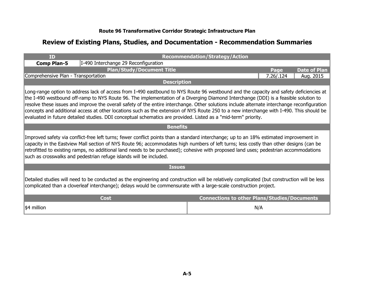| <b>ID</b>                                                                                                                                                                                                                                                                                                                                                                                                                                                                                                                                                                                                                                                                                   |                                                                                                                                                                                                                                                                                                                                                                                                                                                                                                 | <b>Recommendation/Strategy/Action</b> |                                                     |  |  |
|---------------------------------------------------------------------------------------------------------------------------------------------------------------------------------------------------------------------------------------------------------------------------------------------------------------------------------------------------------------------------------------------------------------------------------------------------------------------------------------------------------------------------------------------------------------------------------------------------------------------------------------------------------------------------------------------|-------------------------------------------------------------------------------------------------------------------------------------------------------------------------------------------------------------------------------------------------------------------------------------------------------------------------------------------------------------------------------------------------------------------------------------------------------------------------------------------------|---------------------------------------|-----------------------------------------------------|--|--|
| <b>Comp Plan-5</b>                                                                                                                                                                                                                                                                                                                                                                                                                                                                                                                                                                                                                                                                          | I-490 Interchange 29 Reconfiguration                                                                                                                                                                                                                                                                                                                                                                                                                                                            |                                       |                                                     |  |  |
|                                                                                                                                                                                                                                                                                                                                                                                                                                                                                                                                                                                                                                                                                             | <b>Plan/Study/Document Title</b>                                                                                                                                                                                                                                                                                                                                                                                                                                                                |                                       | <b>Date of Plan</b><br>Page                         |  |  |
| Comprehensive Plan - Transportation                                                                                                                                                                                                                                                                                                                                                                                                                                                                                                                                                                                                                                                         |                                                                                                                                                                                                                                                                                                                                                                                                                                                                                                 |                                       | 7.26/.124<br>Aug. 2015                              |  |  |
|                                                                                                                                                                                                                                                                                                                                                                                                                                                                                                                                                                                                                                                                                             | <b>Description</b>                                                                                                                                                                                                                                                                                                                                                                                                                                                                              |                                       |                                                     |  |  |
| Long-range option to address lack of access from I-490 eastbound to NYS Route 96 westbound and the capacity and safety deficiencies at<br>the I-490 westbound off-ramp to NYS Route 96. The implementation of a Diverging Diamond Interchange (DDI) is a feasible solution to<br>resolve these issues and improve the overall safety of the entire interchange. Other solutions include alternate interchange reconfiguration<br>concepts and additional access at other locations such as the extension of NYS Route 250 to a new interchange with I-490. This should be<br>evaluated in future detailed studies. DDI conceptual schematics are provided. Listed as a "mid-term" priority. |                                                                                                                                                                                                                                                                                                                                                                                                                                                                                                 |                                       |                                                     |  |  |
|                                                                                                                                                                                                                                                                                                                                                                                                                                                                                                                                                                                                                                                                                             | <b>Benefits</b>                                                                                                                                                                                                                                                                                                                                                                                                                                                                                 |                                       |                                                     |  |  |
|                                                                                                                                                                                                                                                                                                                                                                                                                                                                                                                                                                                                                                                                                             | Improved safety via conflict-free left turns; fewer conflict points than a standard interchange; up to an 18% estimated improvement in<br>capacity in the Eastview Mall section of NYS Route 96; accommodates high numbers of left turns; less costly than other designs (can be<br>retrofitted to existing ramps, no additional land needs to be purchased); cohesive with proposed land uses; pedestrian accommodations<br>such as crosswalks and pedestrian refuge islands will be included. |                                       |                                                     |  |  |
|                                                                                                                                                                                                                                                                                                                                                                                                                                                                                                                                                                                                                                                                                             | <b>Issues</b>                                                                                                                                                                                                                                                                                                                                                                                                                                                                                   |                                       |                                                     |  |  |
| Detailed studies will need to be conducted as the engineering and construction will be relatively complicated (but construction will be less<br>complicated than a cloverleaf interchange); delays would be commensurate with a large-scale construction project.                                                                                                                                                                                                                                                                                                                                                                                                                           |                                                                                                                                                                                                                                                                                                                                                                                                                                                                                                 |                                       |                                                     |  |  |
|                                                                                                                                                                                                                                                                                                                                                                                                                                                                                                                                                                                                                                                                                             | <b>Cost</b>                                                                                                                                                                                                                                                                                                                                                                                                                                                                                     |                                       | <b>Connections to other Plans/Studies/Documents</b> |  |  |
| \$4 million                                                                                                                                                                                                                                                                                                                                                                                                                                                                                                                                                                                                                                                                                 |                                                                                                                                                                                                                                                                                                                                                                                                                                                                                                 |                                       | N/A                                                 |  |  |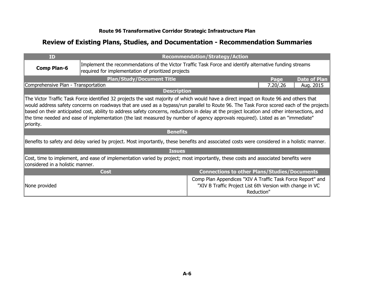| ID                                                                                                                                                                                                                                                                                                                                                                                                                                                                                                                                                                                  |                                                                                                                                                                | <b>Recommendation/Strategy/Action</b>                                                                                                 |            |                     |
|-------------------------------------------------------------------------------------------------------------------------------------------------------------------------------------------------------------------------------------------------------------------------------------------------------------------------------------------------------------------------------------------------------------------------------------------------------------------------------------------------------------------------------------------------------------------------------------|----------------------------------------------------------------------------------------------------------------------------------------------------------------|---------------------------------------------------------------------------------------------------------------------------------------|------------|---------------------|
| <b>Comp Plan-6</b>                                                                                                                                                                                                                                                                                                                                                                                                                                                                                                                                                                  | Implement the recommendations of the Victor Traffic Task Force and identify alternative funding streams<br>required for implementation of prioritized projects |                                                                                                                                       |            |                     |
|                                                                                                                                                                                                                                                                                                                                                                                                                                                                                                                                                                                     | <b>Plan/Study/Document Title</b>                                                                                                                               |                                                                                                                                       | Page       | <b>Date of Plan</b> |
| Comprehensive Plan - Transportation                                                                                                                                                                                                                                                                                                                                                                                                                                                                                                                                                 |                                                                                                                                                                |                                                                                                                                       | 7.20 / .26 | Aug. 2015           |
|                                                                                                                                                                                                                                                                                                                                                                                                                                                                                                                                                                                     | <b>Description</b>                                                                                                                                             |                                                                                                                                       |            |                     |
| The Victor Traffic Task Force identified 32 projects the vast majority of which would have a direct impact on Route 96 and others that<br>would address safety concerns on roadways that are used as a bypass/run parallel to Route 96. The Task Force scored each of the projects<br>based on their anticipated cost, ability to address safety concerns, reductions in delay at the project location and other intersections, and<br>the time needed and ease of implementation (the last measured by number of agency approvals required). Listed as an "immediate"<br>priority. |                                                                                                                                                                |                                                                                                                                       |            |                     |
|                                                                                                                                                                                                                                                                                                                                                                                                                                                                                                                                                                                     | <b>Benefits</b>                                                                                                                                                |                                                                                                                                       |            |                     |
|                                                                                                                                                                                                                                                                                                                                                                                                                                                                                                                                                                                     | Benefits to safety and delay varied by project. Most importantly, these benefits and associated costs were considered in a holistic manner.                    |                                                                                                                                       |            |                     |
|                                                                                                                                                                                                                                                                                                                                                                                                                                                                                                                                                                                     | <b>Issues</b>                                                                                                                                                  |                                                                                                                                       |            |                     |
| Cost, time to implement, and ease of implementation varied by project; most importantly, these costs and associated benefits were<br>considered in a holistic manner.                                                                                                                                                                                                                                                                                                                                                                                                               |                                                                                                                                                                |                                                                                                                                       |            |                     |
|                                                                                                                                                                                                                                                                                                                                                                                                                                                                                                                                                                                     | <b>Cost</b>                                                                                                                                                    | <b>Connections to other Plans/Studies/Documents</b>                                                                                   |            |                     |
| None provided                                                                                                                                                                                                                                                                                                                                                                                                                                                                                                                                                                       |                                                                                                                                                                | Comp Plan Appendices "XIV A Traffic Task Force Report" and<br>"XIV B Traffic Project List 6th Version with change in VC<br>Reduction" |            |                     |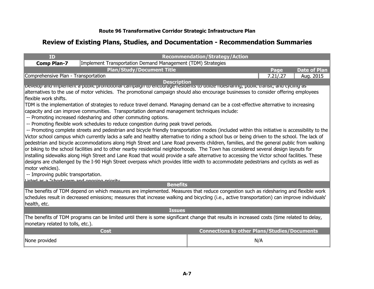| ID                                                                                                                                         |                                                                                                                                                 | <b>Recommendation/Strategy/Action</b>               |            |                     |  |  |
|--------------------------------------------------------------------------------------------------------------------------------------------|-------------------------------------------------------------------------------------------------------------------------------------------------|-----------------------------------------------------|------------|---------------------|--|--|
| <b>Comp Plan-7</b>                                                                                                                         | Implement Transportation Demand Management (TDM) Strategies                                                                                     |                                                     |            |                     |  |  |
|                                                                                                                                            | <b>Plan/Study/Document Title</b>                                                                                                                |                                                     | Page       | <b>Date of Plan</b> |  |  |
| Comprehensive Plan - Transportation                                                                                                        |                                                                                                                                                 |                                                     | 7.21 / .27 | Aug. 2015           |  |  |
|                                                                                                                                            | <b>Description</b>                                                                                                                              |                                                     |            |                     |  |  |
| pevelop and implement a public promotional campaign to encourage residents to utilize nuesharing, public transit, and cycling as           |                                                                                                                                                 |                                                     |            |                     |  |  |
| alternatives to the use of motor vehicles. The promotional campaign should also encourage businesses to consider offering employees        |                                                                                                                                                 |                                                     |            |                     |  |  |
| lflexible work shifts.                                                                                                                     |                                                                                                                                                 |                                                     |            |                     |  |  |
|                                                                                                                                            | TDM is the implementation of strategies to reduce travel demand. Managing demand can be a cost-effective alternative to increasing              |                                                     |            |                     |  |  |
|                                                                                                                                            | capacity and can improve communities. Transportation demand management techniques include:                                                      |                                                     |            |                     |  |  |
|                                                                                                                                            | -- Promoting increased ridesharing and other commuting options.                                                                                 |                                                     |            |                     |  |  |
|                                                                                                                                            | -- Promoting flexible work schedules to reduce congestion during peak travel periods.                                                           |                                                     |            |                     |  |  |
|                                                                                                                                            | -- Promoting complete streets and pedestrian and bicycle friendly transportation modes (included within this initiative is accessibility to the |                                                     |            |                     |  |  |
|                                                                                                                                            | Victor school campus which currently lacks a safe and healthy alternative to riding a school bus or being driven to the school. The lack of     |                                                     |            |                     |  |  |
|                                                                                                                                            | pedestrian and bicycle accommodations along High Street and Lane Road prevents children, families, and the general public from walking          |                                                     |            |                     |  |  |
|                                                                                                                                            | or biking to the school facilities and to other nearby residential neighborhoods. The Town has considered several design layouts for            |                                                     |            |                     |  |  |
|                                                                                                                                            | installing sidewalks along High Street and Lane Road that would provide a safe alternative to accessing the Victor school facilities. These     |                                                     |            |                     |  |  |
|                                                                                                                                            | designs are challenged by the I-90 High Street overpass which provides little width to accommodate pedestrians and cyclists as well as          |                                                     |            |                     |  |  |
| motor vehicles).                                                                                                                           |                                                                                                                                                 |                                                     |            |                     |  |  |
| -- Improving public transportation.                                                                                                        |                                                                                                                                                 |                                                     |            |                     |  |  |
| Lietad ac a "chort_tarm and ongoing priority                                                                                               | <b>Benefits</b>                                                                                                                                 |                                                     |            |                     |  |  |
|                                                                                                                                            |                                                                                                                                                 |                                                     |            |                     |  |  |
|                                                                                                                                            | The benefits of TDM depend on which measures are implemented. Measures that reduce congestion such as ridesharing and flexible work             |                                                     |            |                     |  |  |
|                                                                                                                                            | schedules result in decreased emissions; measures that increase walking and bicycling (i.e., active transportation) can improve individuals'    |                                                     |            |                     |  |  |
| health, etc.                                                                                                                               |                                                                                                                                                 |                                                     |            |                     |  |  |
| <b>Issues</b>                                                                                                                              |                                                                                                                                                 |                                                     |            |                     |  |  |
| The benefits of TDM programs can be limited until there is some significant change that results in increased costs (time related to delay, |                                                                                                                                                 |                                                     |            |                     |  |  |
| monetary related to tolls, etc.).                                                                                                          |                                                                                                                                                 |                                                     |            |                     |  |  |
|                                                                                                                                            | <b>Cost</b>                                                                                                                                     | <b>Connections to other Plans/Studies/Documents</b> |            |                     |  |  |
| None provided                                                                                                                              |                                                                                                                                                 |                                                     | N/A        |                     |  |  |
|                                                                                                                                            |                                                                                                                                                 |                                                     |            |                     |  |  |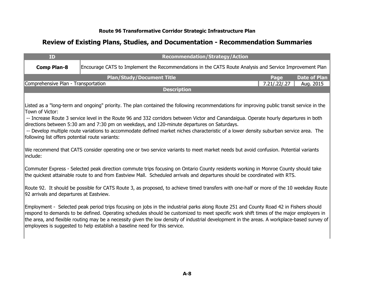| <b>ID</b>                                                                                                                                                                          | <b>Recommendation/Strategy/Action</b>                                                                                                                                                                                                                                                                                                                                                                                                                                                                                        |              |                     |  |  |
|------------------------------------------------------------------------------------------------------------------------------------------------------------------------------------|------------------------------------------------------------------------------------------------------------------------------------------------------------------------------------------------------------------------------------------------------------------------------------------------------------------------------------------------------------------------------------------------------------------------------------------------------------------------------------------------------------------------------|--------------|---------------------|--|--|
| <b>Comp Plan-8</b>                                                                                                                                                                 | Encourage CATS to Implement the Recommendations in the CATS Route Analysis and Service Improvement Plan                                                                                                                                                                                                                                                                                                                                                                                                                      |              |                     |  |  |
|                                                                                                                                                                                    | <b>Plan/Study/Document Title</b>                                                                                                                                                                                                                                                                                                                                                                                                                                                                                             | Page         | <b>Date of Plan</b> |  |  |
| Comprehensive Plan - Transportation                                                                                                                                                | <b>Description</b>                                                                                                                                                                                                                                                                                                                                                                                                                                                                                                           | 7.21/.22/.27 | Aug. 2015           |  |  |
|                                                                                                                                                                                    |                                                                                                                                                                                                                                                                                                                                                                                                                                                                                                                              |              |                     |  |  |
| Town of Victor:<br>following list offers potential route variants:                                                                                                                 | Listed as a "long-term and ongoing" priority. The plan contained the following recommendations for improving public transit service in the<br>-- Increase Route 3 service level in the Route 96 and 332 corridors between Victor and Canandaigua. Operate hourly departures in both<br>directions between 5:30 am and 7:30 pm on weekdays, and 120-minute departures on Saturdays.<br>-- Develop multiple route variations to accommodate defined market niches characteristic of a lower density suburban service area. The |              |                     |  |  |
| linclude:                                                                                                                                                                          | We recommend that CATS consider operating one or two service variants to meet market needs but avoid confusion. Potential variants                                                                                                                                                                                                                                                                                                                                                                                           |              |                     |  |  |
|                                                                                                                                                                                    | Commuter Express - Selected peak direction commute trips focusing on Ontario County residents working in Monroe County should take<br>the quickest attainable route to and from Eastview Mall. Scheduled arrivals and departures should be coordinated with RTS.                                                                                                                                                                                                                                                             |              |                     |  |  |
| Route 92. It should be possible for CATS Route 3, as proposed, to achieve timed transfers with one-half or more of the 10 weekday Route<br>92 arrivals and departures at Eastview. |                                                                                                                                                                                                                                                                                                                                                                                                                                                                                                                              |              |                     |  |  |
|                                                                                                                                                                                    | Employment - Selected peak period trips focusing on jobs in the industrial parks along Route 251 and County Road 42 in Fishers should<br>respond to demands to be defined. Operating schedules should be customized to meet specific work shift times of the major employers in<br>the area, and flexible routing may be a necessity given the low density of industrial development in the areas. A workplace-based survey of<br>employees is suggested to help establish a baseline need for this service.                 |              |                     |  |  |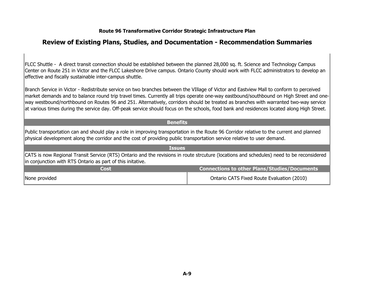#### **Review of Existing Plans, Studies, and Documentation - Recommendation Summaries**

FLCC Shuttle - A direct transit connection should be established between the planned 28,000 sq. ft. Science and Technology Campus Center on Route 251 in Victor and the FLCC Lakeshore Drive campus. Ontario County should work with FLCC administrators to develop an effective and fiscally sustainable inter-campus shuttle.

Branch Service in Victor - Redistribute service on two branches between the VIIIage of Victor and Eastview Mall to conform to perceived market demands and to balance round trip travel times. Currently all trips operate one-way eastbound/southbound on High Street and oneway westbound/northbound on Routes 96 and 251. Alternatively, corridors should be treated as branches with warranted two-way service at various times during the service day. Off-peak service should focus on the schools, food bank and residences located along High Street.

#### **Benefits**

Public transportation can and should play a role in improving transportation in the Route 96 Corridor relative to the current and planned physical development along the corridor and the cost of providing public transportation service relative to user demand.

| <b>Issues</b>                                                                                                                                                                                           |                                            |  |  |
|---------------------------------------------------------------------------------------------------------------------------------------------------------------------------------------------------------|--------------------------------------------|--|--|
| CATS is now Regional Transit Service (RTS) Ontario and the revisions in route strcuture (locations and schedules) need to be reconsidered<br>in conjunction with RTS Ontario as part of this initative. |                                            |  |  |
| <b>Connections to other Plans/Studies/Documents</b><br>Cost                                                                                                                                             |                                            |  |  |
| None provided                                                                                                                                                                                           | Ontario CATS Fixed Route Evaluation (2010) |  |  |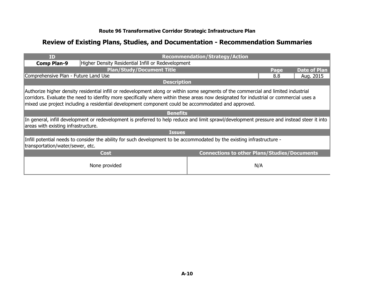| <b>ID</b>                                                                                                                                                                                                                                                                                                                                                                            |                                                                                                                                             | <b>Recommendation/Strategy/Action</b>               |      |                     |
|--------------------------------------------------------------------------------------------------------------------------------------------------------------------------------------------------------------------------------------------------------------------------------------------------------------------------------------------------------------------------------------|---------------------------------------------------------------------------------------------------------------------------------------------|-----------------------------------------------------|------|---------------------|
| <b>Comp Plan-9</b>                                                                                                                                                                                                                                                                                                                                                                   | Higher Density Residential Infill or Redevelopment                                                                                          |                                                     |      |                     |
|                                                                                                                                                                                                                                                                                                                                                                                      | <b>Plan/Study/Document Title</b>                                                                                                            |                                                     | Page | <b>Date of Plan</b> |
| Comprehensive Plan - Future Land Use                                                                                                                                                                                                                                                                                                                                                 |                                                                                                                                             |                                                     | 8.8  | Aug. 2015           |
|                                                                                                                                                                                                                                                                                                                                                                                      | <b>Description</b>                                                                                                                          |                                                     |      |                     |
| Authorize higher density residential infill or redevelopment along or within some segments of the commercial and limited industrial<br>corridors. Evaluate the need to idenfity more specifically where within these areas now designated for industrial or commercial uses a<br>mixed use project including a residential development component could be accommodated and approved. |                                                                                                                                             |                                                     |      |                     |
|                                                                                                                                                                                                                                                                                                                                                                                      | <b>Benefits</b>                                                                                                                             |                                                     |      |                     |
| areas with existing infrastructure.                                                                                                                                                                                                                                                                                                                                                  | In general, infill development or redevelopment is preferred to help reduce and limit sprawl/development pressure and instead steer it into |                                                     |      |                     |
|                                                                                                                                                                                                                                                                                                                                                                                      | <b>Issues</b>                                                                                                                               |                                                     |      |                     |
| Infill potential needs to consider the ability for such development to be accommodated by the existing infrastructure -<br>transportation/water/sewer, etc.                                                                                                                                                                                                                          |                                                                                                                                             |                                                     |      |                     |
|                                                                                                                                                                                                                                                                                                                                                                                      | <b>Cost</b>                                                                                                                                 | <b>Connections to other Plans/Studies/Documents</b> |      |                     |
|                                                                                                                                                                                                                                                                                                                                                                                      | None provided                                                                                                                               | N/A                                                 |      |                     |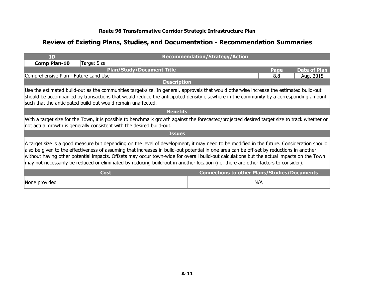| ID                                                                                                                                                                                                                                                                                                                                                                                                                                                                                                                                                                       |                                                                                                                                                                                                                                                                                                                                                 | <b>Recommendation/Strategy/Action</b>               |      |                     |  |
|--------------------------------------------------------------------------------------------------------------------------------------------------------------------------------------------------------------------------------------------------------------------------------------------------------------------------------------------------------------------------------------------------------------------------------------------------------------------------------------------------------------------------------------------------------------------------|-------------------------------------------------------------------------------------------------------------------------------------------------------------------------------------------------------------------------------------------------------------------------------------------------------------------------------------------------|-----------------------------------------------------|------|---------------------|--|
| <b>Comp Plan-10</b>                                                                                                                                                                                                                                                                                                                                                                                                                                                                                                                                                      | Target Size                                                                                                                                                                                                                                                                                                                                     |                                                     |      |                     |  |
|                                                                                                                                                                                                                                                                                                                                                                                                                                                                                                                                                                          | <b>Plan/Study/Document Title</b>                                                                                                                                                                                                                                                                                                                |                                                     | Page | <b>Date of Plan</b> |  |
| Comprehensive Plan - Future Land Use                                                                                                                                                                                                                                                                                                                                                                                                                                                                                                                                     |                                                                                                                                                                                                                                                                                                                                                 |                                                     | 8.8  | Aug. 2015           |  |
|                                                                                                                                                                                                                                                                                                                                                                                                                                                                                                                                                                          | <b>Description</b>                                                                                                                                                                                                                                                                                                                              |                                                     |      |                     |  |
|                                                                                                                                                                                                                                                                                                                                                                                                                                                                                                                                                                          | Use the estimated build-out as the communities target-size. In general, approvals that would otherwise increase the estimated build-out<br>should be accompanied by transactions that would reduce the anticipated density elsewhere in the community by a corresponding amount<br>such that the anticipated build-out would remain unaffected. |                                                     |      |                     |  |
|                                                                                                                                                                                                                                                                                                                                                                                                                                                                                                                                                                          | <b>Benefits</b>                                                                                                                                                                                                                                                                                                                                 |                                                     |      |                     |  |
|                                                                                                                                                                                                                                                                                                                                                                                                                                                                                                                                                                          | With a target size for the Town, it is possible to benchmark growth against the forecasted/projected desired target size to track whether or<br>not actual growth is generally consistent with the desired build-out.                                                                                                                           |                                                     |      |                     |  |
|                                                                                                                                                                                                                                                                                                                                                                                                                                                                                                                                                                          | <b>Issues</b>                                                                                                                                                                                                                                                                                                                                   |                                                     |      |                     |  |
| A target size is a good measure but depending on the level of development, it may need to be modified in the future. Consideration should<br>also be given to the effectiveness of assuming that increases in build-out potential in one area can be off-set by reductions in another<br>without having other potential impacts. Offsets may occur town-wide for overall build-out calculations but the actual impacts on the Town<br>may not necessarily be reduced or eliminated by reducing build-out in another location (i.e. there are other factors to consider). |                                                                                                                                                                                                                                                                                                                                                 |                                                     |      |                     |  |
|                                                                                                                                                                                                                                                                                                                                                                                                                                                                                                                                                                          | <b>Cost</b>                                                                                                                                                                                                                                                                                                                                     | <b>Connections to other Plans/Studies/Documents</b> |      |                     |  |
| None provided                                                                                                                                                                                                                                                                                                                                                                                                                                                                                                                                                            |                                                                                                                                                                                                                                                                                                                                                 |                                                     | N/A  |                     |  |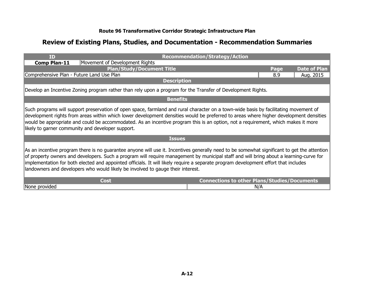| <b>ID</b>                                                                                                                                                                                                                                                                                                                                                                                                                                                                                                       |                                                                                                             | <b>Recommendation/Strategy/Action</b>               |      |                     |
|-----------------------------------------------------------------------------------------------------------------------------------------------------------------------------------------------------------------------------------------------------------------------------------------------------------------------------------------------------------------------------------------------------------------------------------------------------------------------------------------------------------------|-------------------------------------------------------------------------------------------------------------|-----------------------------------------------------|------|---------------------|
| Comp Plan-11                                                                                                                                                                                                                                                                                                                                                                                                                                                                                                    | Movement of Development Rights                                                                              |                                                     |      |                     |
|                                                                                                                                                                                                                                                                                                                                                                                                                                                                                                                 | <b>Plan/Study/Document Title</b>                                                                            |                                                     | Page | <b>Date of Plan</b> |
| Comprehensive Plan - Future Land Use Plan                                                                                                                                                                                                                                                                                                                                                                                                                                                                       |                                                                                                             |                                                     | 8.9  | Aug. 2015           |
|                                                                                                                                                                                                                                                                                                                                                                                                                                                                                                                 | <b>Description</b>                                                                                          |                                                     |      |                     |
|                                                                                                                                                                                                                                                                                                                                                                                                                                                                                                                 | Develop an Incentive Zoning program rather than rely upon a program for the Transfer of Development Rights. |                                                     |      |                     |
|                                                                                                                                                                                                                                                                                                                                                                                                                                                                                                                 | <b>Benefits</b>                                                                                             |                                                     |      |                     |
| Such programs will support preservation of open space, farmland and rural character on a town-wide basis by facilitating movement of<br>development rights from areas within which lower development densities would be preferred to areas where higher development densities<br>would be appropriate and could be accommodated. As an incentive program this is an option, not a requirement, which makes it more<br>likely to garner community and developer support.                                         |                                                                                                             |                                                     |      |                     |
|                                                                                                                                                                                                                                                                                                                                                                                                                                                                                                                 | <b>Issues</b>                                                                                               |                                                     |      |                     |
| As an incentive program there is no guarantee anyone will use it. Incentives generally need to be somewhat significant to get the attention<br>of property owners and developers. Such a program will require management by municipal staff and will bring about a learning-curve for<br>implementation for both elected and appointed officials. It will likely require a separate program development effort that includes<br>landowners and developers who would likely be involved to gauge their interest. |                                                                                                             |                                                     |      |                     |
|                                                                                                                                                                                                                                                                                                                                                                                                                                                                                                                 | <b>Cost</b>                                                                                                 | <b>Connections to other Plans/Studies/Documents</b> |      |                     |
| None provided                                                                                                                                                                                                                                                                                                                                                                                                                                                                                                   |                                                                                                             |                                                     | N/A  |                     |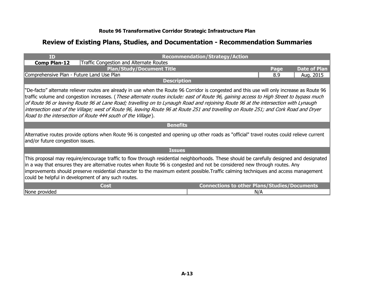| <b>TD</b>                                                                                                                                                                                                                                                                                                                                                                                                                                                                                                                                                                                                                                | <b>Recommendation/Strategy/Action</b>   |                                                     |      |                     |
|------------------------------------------------------------------------------------------------------------------------------------------------------------------------------------------------------------------------------------------------------------------------------------------------------------------------------------------------------------------------------------------------------------------------------------------------------------------------------------------------------------------------------------------------------------------------------------------------------------------------------------------|-----------------------------------------|-----------------------------------------------------|------|---------------------|
| <b>Comp Plan-12</b>                                                                                                                                                                                                                                                                                                                                                                                                                                                                                                                                                                                                                      | Traffic Congestion and Alternate Routes |                                                     |      |                     |
|                                                                                                                                                                                                                                                                                                                                                                                                                                                                                                                                                                                                                                          | <b>Plan/Study/Document Title</b>        |                                                     | Page | <b>Date of Plan</b> |
| Comprehensive Plan - Future Land Use Plan                                                                                                                                                                                                                                                                                                                                                                                                                                                                                                                                                                                                |                                         |                                                     | 8.9  | Aug. 2015           |
|                                                                                                                                                                                                                                                                                                                                                                                                                                                                                                                                                                                                                                          | <b>Description</b>                      |                                                     |      |                     |
| "De-facto" alternate reliever routes are already in use when the Route 96 Corridor is congested and this use will only increase as Route 96<br>traffic volume and congestion increases. (These alternate routes include: east of Route 96, gaining access to High Street to bypass much<br>of Route 96 or leaving Route 96 at Lane Road; travelling on to Lynaugh Road and rejoining Route 96 at the intersection with Lynaugh<br>intersection east of the Village; west of Route 96, leaving Route 96 at Route 251 and travelling on Route 251; and Cork Road and Dryer<br>Road to the intersection of Route 444 south of the Village). |                                         |                                                     |      |                     |
|                                                                                                                                                                                                                                                                                                                                                                                                                                                                                                                                                                                                                                          | <b>Benefits</b>                         |                                                     |      |                     |
| Alternative routes provide options when Route 96 is congested and opening up other roads as "official" travel routes could relieve current<br>and/or future congestion issues.                                                                                                                                                                                                                                                                                                                                                                                                                                                           |                                         |                                                     |      |                     |
|                                                                                                                                                                                                                                                                                                                                                                                                                                                                                                                                                                                                                                          | <b>Issues</b>                           |                                                     |      |                     |
| This proposal may require/encourage traffic to flow through residential neighborhoods. These should be carefully designed and designated<br>in a way that ensures they are alternative routes when Route 96 is congested and not be considered new through routes. Any<br>improvements should preserve residential character to the maximum extent possible. Traffic calming techniques and access management<br>could be helpful in development of any such routes.                                                                                                                                                                     |                                         |                                                     |      |                     |
|                                                                                                                                                                                                                                                                                                                                                                                                                                                                                                                                                                                                                                          | Cost                                    | <b>Connections to other Plans/Studies/Documents</b> |      |                     |
| None provided                                                                                                                                                                                                                                                                                                                                                                                                                                                                                                                                                                                                                            |                                         |                                                     | N/A  |                     |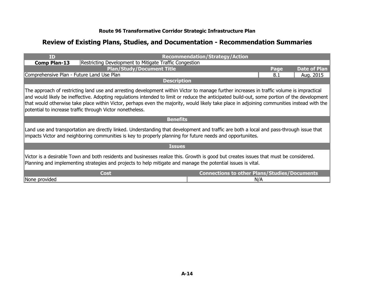| <b>ID</b>                                                                                                                                                                                                                                                                                                                                                                                                                                                                                             |                                                        | <b>Recommendation/Strategy/Action</b>               |      |                     |
|-------------------------------------------------------------------------------------------------------------------------------------------------------------------------------------------------------------------------------------------------------------------------------------------------------------------------------------------------------------------------------------------------------------------------------------------------------------------------------------------------------|--------------------------------------------------------|-----------------------------------------------------|------|---------------------|
| <b>Comp Plan-13</b>                                                                                                                                                                                                                                                                                                                                                                                                                                                                                   | Restricting Development to Mitigate Traffic Congestion |                                                     |      |                     |
|                                                                                                                                                                                                                                                                                                                                                                                                                                                                                                       | <b>Plan/Study/Document Title</b>                       |                                                     | Page | <b>Date of Plan</b> |
| Comprehensive Plan - Future Land Use Plan                                                                                                                                                                                                                                                                                                                                                                                                                                                             |                                                        |                                                     | 8.1  | Aug. 2015           |
|                                                                                                                                                                                                                                                                                                                                                                                                                                                                                                       | <b>Description</b>                                     |                                                     |      |                     |
| The approach of restricting land use and arresting development within Victor to manage further increases in traffic volume is impractical<br>and would likely be ineffective. Adopting regulations intended to limit or reduce the anticipated build-out, some portion of the development<br>that would otherwise take place within Victor, perhaps even the majority, would likely take place in adjoining communities instead with the<br>potential to increase traffic through Victor nonetheless. |                                                        |                                                     |      |                     |
|                                                                                                                                                                                                                                                                                                                                                                                                                                                                                                       | <b>Benefits</b>                                        |                                                     |      |                     |
| Land use and transportation are directly linked. Understanding that development and traffic are both a local and pass-through issue that<br>impacts Victor and neighboring communities is key to properly planning for future needs and opportuniites.                                                                                                                                                                                                                                                |                                                        |                                                     |      |                     |
| <b>Issues</b>                                                                                                                                                                                                                                                                                                                                                                                                                                                                                         |                                                        |                                                     |      |                     |
| Victor is a desirable Town and both residents and businesses realize this. Growth is good but creates issues that must be considered.<br>Planning and implementing strategies and projects to help mitigate and manage the potential issues is vital.                                                                                                                                                                                                                                                 |                                                        |                                                     |      |                     |
|                                                                                                                                                                                                                                                                                                                                                                                                                                                                                                       | <b>Cost</b>                                            | <b>Connections to other Plans/Studies/Documents</b> |      |                     |
| None provided                                                                                                                                                                                                                                                                                                                                                                                                                                                                                         |                                                        | N/A                                                 |      |                     |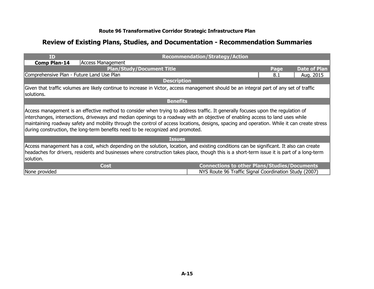| <b>ID</b>                                                                                                                                                                                                                                                                                                                                                                                                                                                                                             |                                                                                                                                          | <b>Recommendation/Strategy/Action</b>                 |      |                     |
|-------------------------------------------------------------------------------------------------------------------------------------------------------------------------------------------------------------------------------------------------------------------------------------------------------------------------------------------------------------------------------------------------------------------------------------------------------------------------------------------------------|------------------------------------------------------------------------------------------------------------------------------------------|-------------------------------------------------------|------|---------------------|
| <b>Comp Plan-14</b>                                                                                                                                                                                                                                                                                                                                                                                                                                                                                   | Access Management                                                                                                                        |                                                       |      |                     |
|                                                                                                                                                                                                                                                                                                                                                                                                                                                                                                       | <b>Plan/Study/Document Title</b>                                                                                                         |                                                       | Page | <b>Date of Plan</b> |
| Comprehensive Plan - Future Land Use Plan                                                                                                                                                                                                                                                                                                                                                                                                                                                             |                                                                                                                                          |                                                       | 8.1  | Aug. 2015           |
|                                                                                                                                                                                                                                                                                                                                                                                                                                                                                                       | <b>Description</b>                                                                                                                       |                                                       |      |                     |
| solutions.                                                                                                                                                                                                                                                                                                                                                                                                                                                                                            | Given that traffic volumes are likely continue to increase in Victor, access management should be an integral part of any set of traffic |                                                       |      |                     |
|                                                                                                                                                                                                                                                                                                                                                                                                                                                                                                       | <b>Benefits</b>                                                                                                                          |                                                       |      |                     |
| Access management is an effective method to consider when trying to address traffic. It generally focuses upon the regulation of<br>interchanges, intersections, driveways and median openings to a roadway with an objective of enabling access to land uses while<br>maintaining roadway safety and mobility through the control of access locations, designs, spacing and operation. While it can create stress<br>during construction, the long-term benefits need to be recognized and promoted. |                                                                                                                                          |                                                       |      |                     |
|                                                                                                                                                                                                                                                                                                                                                                                                                                                                                                       | <b>Issues</b>                                                                                                                            |                                                       |      |                     |
| Access management has a cost, which depending on the solution, location, and existing conditions can be significant. It also can create<br>headaches for drivers, residents and businesses where construction takes place, though this is a short-term issue it is part of a long-term<br>solution.                                                                                                                                                                                                   |                                                                                                                                          |                                                       |      |                     |
|                                                                                                                                                                                                                                                                                                                                                                                                                                                                                                       | <b>Cost</b>                                                                                                                              | <b>Connections to other Plans/Studies/Documents</b>   |      |                     |
| None provided                                                                                                                                                                                                                                                                                                                                                                                                                                                                                         |                                                                                                                                          | NYS Route 96 Traffic Signal Coordination Study (2007) |      |                     |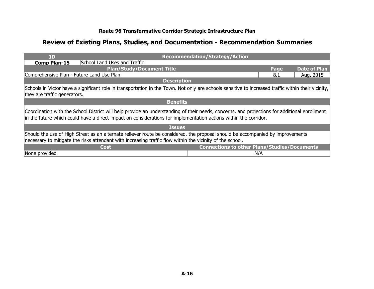| <b>ID</b>                                                                                                                                                                                                                                                        | <b>Recommendation/Strategy/Action</b>               |      |                     |
|------------------------------------------------------------------------------------------------------------------------------------------------------------------------------------------------------------------------------------------------------------------|-----------------------------------------------------|------|---------------------|
| School Land Uses and Traffic<br><b>Comp Plan-15</b>                                                                                                                                                                                                              |                                                     |      |                     |
| <b>Plan/Study/Document Title</b>                                                                                                                                                                                                                                 |                                                     | Page | <b>Date of Plan</b> |
| Comprehensive Plan - Future Land Use Plan                                                                                                                                                                                                                        |                                                     | 8.1  | Aug. 2015           |
| <b>Description</b>                                                                                                                                                                                                                                               |                                                     |      |                     |
| Schools in Victor have a significant role in transportation in the Town. Not only are schools sensitive to increased traffic within their vicinity,<br>they are traffic generators.                                                                              |                                                     |      |                     |
| <b>Benefits</b>                                                                                                                                                                                                                                                  |                                                     |      |                     |
| Coordination with the School District will help provide an understanding of their needs, concerns, and projections for additional enrollment<br>in the future which could have a direct impact on considerations for implementation actions within the corridor. |                                                     |      |                     |
| <b>Issues</b>                                                                                                                                                                                                                                                    |                                                     |      |                     |
| Should the use of High Street as an alternate reliever route be considered, the proposal should be accompanied by improvements<br>necessary to mitigate the risks attendant with increasing traffic flow within the vicinity of the school.                      |                                                     |      |                     |
| Cost                                                                                                                                                                                                                                                             | <b>Connections to other Plans/Studies/Documents</b> |      |                     |
| None provided                                                                                                                                                                                                                                                    | N/A                                                 |      |                     |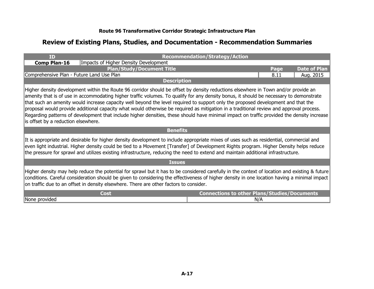| <b>TD</b>                                                                                                                                                                                                                                                                                                                                                                                                                                                                                                                                                                                                                                                                                                                                          | <b>Recommendation/Strategy/Action</b>               |  |  |
|----------------------------------------------------------------------------------------------------------------------------------------------------------------------------------------------------------------------------------------------------------------------------------------------------------------------------------------------------------------------------------------------------------------------------------------------------------------------------------------------------------------------------------------------------------------------------------------------------------------------------------------------------------------------------------------------------------------------------------------------------|-----------------------------------------------------|--|--|
| Impacts of Higher Density Development<br>Comp Plan-16                                                                                                                                                                                                                                                                                                                                                                                                                                                                                                                                                                                                                                                                                              |                                                     |  |  |
| <b>Plan/Study/Document Title</b>                                                                                                                                                                                                                                                                                                                                                                                                                                                                                                                                                                                                                                                                                                                   | <b>Date of Plan</b><br>Page                         |  |  |
| Comprehensive Plan - Future Land Use Plan                                                                                                                                                                                                                                                                                                                                                                                                                                                                                                                                                                                                                                                                                                          | 8.11<br>Aug. 2015                                   |  |  |
| <b>Description</b>                                                                                                                                                                                                                                                                                                                                                                                                                                                                                                                                                                                                                                                                                                                                 |                                                     |  |  |
| Higher density development within the Route 96 corridor should be offset by density reductions elsewhere in Town and/or provide an<br>amenity that is of use in accommodating higher traffic volumes. To qualify for any density bonus, it should be necessary to demonstrate<br>that such an amenity would increase capacity well beyond the level required to support only the proposed development and that the<br>proposal would provide additional capacity what would otherwise be required as mitigation in a traditional review and approval process.<br>Regarding patterns of development that include higher densities, these should have minimal impact on traffic provided the density increase<br>is offset by a reduction elsewhere. |                                                     |  |  |
| <b>Benefits</b>                                                                                                                                                                                                                                                                                                                                                                                                                                                                                                                                                                                                                                                                                                                                    |                                                     |  |  |
| It is appropriate and desirable for higher density development to include appropriate mixes of uses such as residential, commercial and<br>even light industrial. Higher density could be tied to a Movement [Transfer] of Development Rights program. Higher Density helps reduce<br>the pressure for sprawl and utilizes existing infrastructure, reducing the need to extend and maintain additional infrastructure.                                                                                                                                                                                                                                                                                                                            |                                                     |  |  |
| <b>Issues</b>                                                                                                                                                                                                                                                                                                                                                                                                                                                                                                                                                                                                                                                                                                                                      |                                                     |  |  |
| Higher density may help reduce the potential for sprawl but it has to be considered carefully in the context of location and existing & future<br>conditions. Careful consideration should be given to considering the effectiveness of higher density in one location having a minimal impact<br>on traffic due to an offset in density elsewhere. There are other factors to consider.                                                                                                                                                                                                                                                                                                                                                           |                                                     |  |  |
| Cost                                                                                                                                                                                                                                                                                                                                                                                                                                                                                                                                                                                                                                                                                                                                               | <b>Connections to other Plans/Studies/Documents</b> |  |  |
| None provided                                                                                                                                                                                                                                                                                                                                                                                                                                                                                                                                                                                                                                                                                                                                      | N/A                                                 |  |  |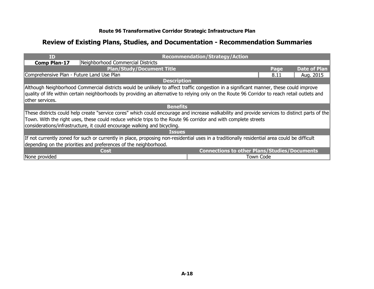| ID                                                                                                                                           | <b>Recommendation/Strategy/Action</b>                                                                                                          |  |  |
|----------------------------------------------------------------------------------------------------------------------------------------------|------------------------------------------------------------------------------------------------------------------------------------------------|--|--|
| Neighborhood Commercial Districts<br><b>Comp Plan-17</b>                                                                                     |                                                                                                                                                |  |  |
| <b>Plan/Study/Document Title</b>                                                                                                             | <b>Date of Plan</b><br>Page                                                                                                                    |  |  |
| Comprehensive Plan - Future Land Use Plan                                                                                                    | 8.11<br>Aug. 2015                                                                                                                              |  |  |
|                                                                                                                                              | <b>Description</b>                                                                                                                             |  |  |
|                                                                                                                                              | Although Neighborhood Commercial districts would be unlikely to affect traffic congestion in a significant manner, these could improve         |  |  |
|                                                                                                                                              | quality of life within certain neighborhoods by providing an alternative to relying only on the Route 96 Corridor to reach retail outlets and  |  |  |
| lother services.                                                                                                                             |                                                                                                                                                |  |  |
|                                                                                                                                              | <b>Benefits</b>                                                                                                                                |  |  |
|                                                                                                                                              | These districts could help create "service cores" which could encourage and increase walkability and provide services to distinct parts of the |  |  |
| Town. With the right uses, these could reduce vehicle trips to the Route 96 corridor and with complete streets                               |                                                                                                                                                |  |  |
| considerations/infrastructure, it could encourage walking and bicycling.                                                                     |                                                                                                                                                |  |  |
|                                                                                                                                              | <b>Issues</b>                                                                                                                                  |  |  |
| If not currently zoned for such or currently in place, proposing non-residential uses in a traditionally residential area could be difficult |                                                                                                                                                |  |  |
| depending on the priorities and preferences of the neighborhood.                                                                             |                                                                                                                                                |  |  |
| Cost                                                                                                                                         | <b>Connections to other Plans/Studies/Documents</b>                                                                                            |  |  |
| None provided                                                                                                                                | <b>Town Code</b>                                                                                                                               |  |  |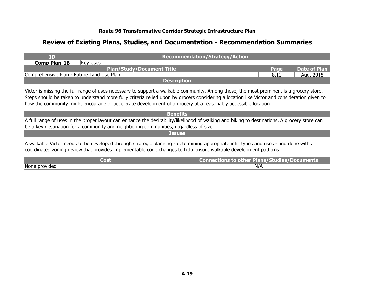| <b>ID</b>                                                                                                                                                                                                                                                                                                                                                                                                | <b>Recommendation/Strategy/Action</b> |      |                     |
|----------------------------------------------------------------------------------------------------------------------------------------------------------------------------------------------------------------------------------------------------------------------------------------------------------------------------------------------------------------------------------------------------------|---------------------------------------|------|---------------------|
| <b>Comp Plan-18</b><br>Key Uses                                                                                                                                                                                                                                                                                                                                                                          |                                       |      |                     |
| <b>Plan/Study/Document Title</b>                                                                                                                                                                                                                                                                                                                                                                         |                                       | Page | <b>Date of Plan</b> |
| Comprehensive Plan - Future Land Use Plan                                                                                                                                                                                                                                                                                                                                                                |                                       | 8.11 | Aug. 2015           |
| <b>Description</b>                                                                                                                                                                                                                                                                                                                                                                                       |                                       |      |                     |
| Victor is missing the full range of uses necessary to support a walkable community. Among these, the most prominent is a grocery store.<br>Steps should be taken to understand more fully criteria relied upon by grocers considering a location like Victor and consideration given to<br>how the community might encourage or accelerate development of a grocery at a reasonably accessible location. |                                       |      |                     |
| <b>Benefits</b>                                                                                                                                                                                                                                                                                                                                                                                          |                                       |      |                     |
| A full range of uses in the proper layout can enhance the desirability/likelihood of walking and biking to destinations. A grocery store can<br>be a key destination for a community and neighboring communities, regardless of size.                                                                                                                                                                    |                                       |      |                     |
| <b>Issues</b>                                                                                                                                                                                                                                                                                                                                                                                            |                                       |      |                     |
| A walkable Victor needs to be developed through strategic planning - determining appropriate infill types and uses - and done with a<br>coordinated zoning review that provides implementable code changes to help ensure walkable development patterns.                                                                                                                                                 |                                       |      |                     |
| <b>Connections to other Plans/Studies/Documents</b><br>Cost                                                                                                                                                                                                                                                                                                                                              |                                       |      |                     |
| None provided                                                                                                                                                                                                                                                                                                                                                                                            | N/A                                   |      |                     |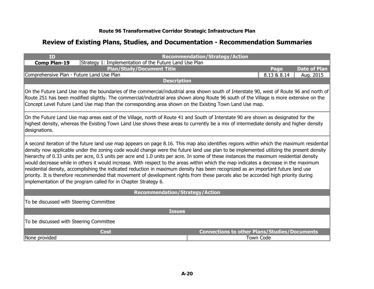| ID                                                                                                                                                                                                                                                                                                                                                                                                                                                                                                                                                                                                                                                                                                                                                                                                                                                                                                                    |                                                        | <b>Recommendation/Strategy/Action</b>               |                  |                     |
|-----------------------------------------------------------------------------------------------------------------------------------------------------------------------------------------------------------------------------------------------------------------------------------------------------------------------------------------------------------------------------------------------------------------------------------------------------------------------------------------------------------------------------------------------------------------------------------------------------------------------------------------------------------------------------------------------------------------------------------------------------------------------------------------------------------------------------------------------------------------------------------------------------------------------|--------------------------------------------------------|-----------------------------------------------------|------------------|---------------------|
| <b>Comp Plan-19</b>                                                                                                                                                                                                                                                                                                                                                                                                                                                                                                                                                                                                                                                                                                                                                                                                                                                                                                   | Strategy 1: Implementation of the Future Land Use Plan |                                                     |                  |                     |
|                                                                                                                                                                                                                                                                                                                                                                                                                                                                                                                                                                                                                                                                                                                                                                                                                                                                                                                       | <b>Plan/Study/Document Title</b>                       |                                                     | Page             | <b>Date of Plan</b> |
| Comprehensive Plan - Future Land Use Plan                                                                                                                                                                                                                                                                                                                                                                                                                                                                                                                                                                                                                                                                                                                                                                                                                                                                             |                                                        |                                                     | 8.13 & 8.14      | Aug. 2015           |
|                                                                                                                                                                                                                                                                                                                                                                                                                                                                                                                                                                                                                                                                                                                                                                                                                                                                                                                       | <b>Description</b>                                     |                                                     |                  |                     |
| On the Future Land Use map the boundaries of the commercial/industrial area shown south of Interstate 90, west of Route 96 and north of<br>Route 251 has been modified slightly. The commercial/industrial area shown along Route 96 south of the Village is more extensive on the<br>Concept Level Future Land Use map than the corresponding area shown on the Existing Town Land Use map.                                                                                                                                                                                                                                                                                                                                                                                                                                                                                                                          |                                                        |                                                     |                  |                     |
| On the Future Land Use map areas east of the Village, north of Route 41 and South of Interstate 90 are shown as designated for the<br>highest density, whereas the Existing Town Land Use shows these areas to currently be a mix of intermediate density and higher density<br>designations.                                                                                                                                                                                                                                                                                                                                                                                                                                                                                                                                                                                                                         |                                                        |                                                     |                  |                     |
| A second iteration of the future land use map appears on page 8.16. This map also identifies regions within which the maximum residential<br>density now applicable under the zoning code would change were the future land use plan to be implemented utilizing the present density<br>hierarchy of 0.33 units per acre, 0.5 units per acre and 1.0 units per acre. In some of these instances the maximum residential density<br>would decrease while in others it would increase. With respect to the areas within which the map indicates a decrease in the maximum<br>residential density, accomplishing the indicated reduction in maximum density has been recognized as an important future land use<br>priority. It is therefore recommended that movement of development rights from these parcels also be accorded high priority during<br>implementation of the program called for in Chapter Strategy 6. |                                                        |                                                     |                  |                     |
|                                                                                                                                                                                                                                                                                                                                                                                                                                                                                                                                                                                                                                                                                                                                                                                                                                                                                                                       | <b>Recommendation/Strategy/Action</b>                  |                                                     |                  |                     |
| To be discussed with Steering Committee                                                                                                                                                                                                                                                                                                                                                                                                                                                                                                                                                                                                                                                                                                                                                                                                                                                                               |                                                        |                                                     |                  |                     |
| <b>Issues</b>                                                                                                                                                                                                                                                                                                                                                                                                                                                                                                                                                                                                                                                                                                                                                                                                                                                                                                         |                                                        |                                                     |                  |                     |
| To be discussed with Steering Committee                                                                                                                                                                                                                                                                                                                                                                                                                                                                                                                                                                                                                                                                                                                                                                                                                                                                               |                                                        |                                                     |                  |                     |
|                                                                                                                                                                                                                                                                                                                                                                                                                                                                                                                                                                                                                                                                                                                                                                                                                                                                                                                       | <b>Cost</b>                                            | <b>Connections to other Plans/Studies/Documents</b> |                  |                     |
| None provided                                                                                                                                                                                                                                                                                                                                                                                                                                                                                                                                                                                                                                                                                                                                                                                                                                                                                                         |                                                        |                                                     | <b>Town Code</b> |                     |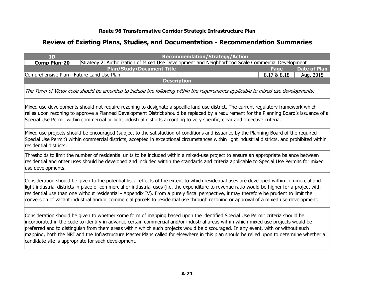| <b>ID</b>                                 | <b>Recommendation/Strategy/Action</b>                                                                                                                                                                                                                                                                                                                                                                                                                                                                                                                                                                       |             |                     |
|-------------------------------------------|-------------------------------------------------------------------------------------------------------------------------------------------------------------------------------------------------------------------------------------------------------------------------------------------------------------------------------------------------------------------------------------------------------------------------------------------------------------------------------------------------------------------------------------------------------------------------------------------------------------|-------------|---------------------|
| <b>Comp Plan-20</b>                       | Strategy 2: Authorization of Mixed Use Development and Neighborhood Scale Commercial Development                                                                                                                                                                                                                                                                                                                                                                                                                                                                                                            |             |                     |
|                                           | <b>Plan/Study/Document Title</b>                                                                                                                                                                                                                                                                                                                                                                                                                                                                                                                                                                            | Page        | <b>Date of Plan</b> |
| Comprehensive Plan - Future Land Use Plan |                                                                                                                                                                                                                                                                                                                                                                                                                                                                                                                                                                                                             | 8.17 & 8.18 | Aug. 2015           |
|                                           | <b>Description</b>                                                                                                                                                                                                                                                                                                                                                                                                                                                                                                                                                                                          |             |                     |
|                                           | The Town of Victor code should be amended to include the following within the requirements applicable to mixed use developments:                                                                                                                                                                                                                                                                                                                                                                                                                                                                            |             |                     |
|                                           | Mixed use developments should not require rezoning to designate a specific land use district. The current regulatory framework which<br>relies upon rezoning to approve a Planned Development District should be replaced by a requirement for the Planning Board's issuance of a<br>Special Use Permit within commercial or light industrial districts according to very specific, clear and objective criteria.                                                                                                                                                                                           |             |                     |
| residential districts.                    | Mixed use projects should be encouraged (subject to the satisfaction of conditions and issuance by the Planning Board of the required<br>Special Use Permit) within commercial districts, accepted in exceptional circumstances within light industrial districts, and prohibited within                                                                                                                                                                                                                                                                                                                    |             |                     |
| use developments.                         | Thresholds to limit the number of residential units to be included within a mixed-use project to ensure an appropriate balance between<br>residential and other uses should be developed and included within the standards and criteria applicable to Special Use Permits for mixed                                                                                                                                                                                                                                                                                                                         |             |                     |
|                                           | Consideration should be given to the potential fiscal effects of the extent to which residential uses are developed within commercial and<br>light industrial districts in place of commercial or industrial uses (i.e. the expenditure to revenue ratio would be higher for a project with<br>residential use than one without residential - Appendix IV). From a purely fiscal perspective, it may therefore be prudent to limit the<br>conversion of vacant industrial and/or commercial parcels to residential use through rezoning or approval of a mixed use development.                             |             |                     |
|                                           | Consideration should be given to whether some form of mapping based upon the identified Special Use Permit criteria should be<br>incorporated in the code to identify in advance certain commercial and/or industrial areas within which mixed use projects would be<br>preferred and to distinguish from them areas within which such projects would be discouraged. In any event, with or without such<br>mapping, both the NRI and the Infrastructure Master Plans called for elsewhere in this plan should be relied upon to determine whether a<br>candidate site is appropriate for such development. |             |                     |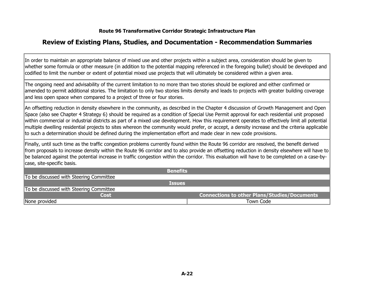### **Review of Existing Plans, Studies, and Documentation - Recommendation Summaries**

In order to maintain an appropriate balance of mixed use and other projects within a subject area, consideration should be given to whether some formula or other measure (in addition to the potential mapping referenced in the foregoing bullet) should be developed and codified to limit the number or extent of potential mixed use projects that will ultimately be considered within a given area.

The ongoing need and advisability of the current limitation to no more than two stories should be explored and either confirmed or amended to permit additional stories. The limitation to only two stories limits density and leads to projects with greater building coverage and less open space when compared to a project of three or four stories.

An offsetting reduction in density elsewhere in the community, as described in the Chapter 4 discussion of Growth Management and Open Space (also see Chapter 4 Strategy 6) should be required as a condition of Special Use Permit approval for each residential unit proposed within commercial or industrial districts as part of a mixed use development. How this requirement operates to effectively limit all potential multiple dwelling residential projects to sites whereon the community would prefer, or accept, a density increase and the criteria applicable to such a determination should be defined during the implementation effort and made clear in new code provisions.

Finally, until such time as the traffic congestion problems currently found within the Route 96 corridor are resolved, the benefit derived from proposals to increase density within the Route 96 corridor and to also provide an offsetting reduction in density elsewhere will have to be balanced against the potential increase in traffic congestion within the corridor. This evaluation will have to be completed on a case-bycase, site-specific basis.

| <b>Benefits</b>                         |                                                     |
|-----------------------------------------|-----------------------------------------------------|
| To be discussed with Steering Committee |                                                     |
| <b>Issues</b>                           |                                                     |
| To be discussed with Steering Committee |                                                     |
| <b>Cost</b>                             | <b>Connections to other Plans/Studies/Documents</b> |
| None provided                           | Town Code                                           |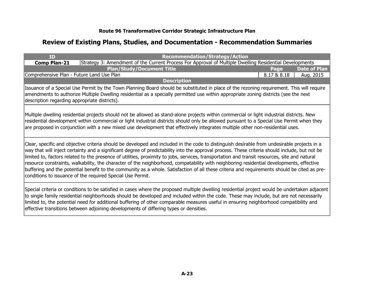| ID                                            | <b>Recommendation/Strategy/Action</b>                                                                                                                                                                                                                                                                                                                                                                                                                                                                                                                                                                                                                                                                                                                                                                    |             |                     |
|-----------------------------------------------|----------------------------------------------------------------------------------------------------------------------------------------------------------------------------------------------------------------------------------------------------------------------------------------------------------------------------------------------------------------------------------------------------------------------------------------------------------------------------------------------------------------------------------------------------------------------------------------------------------------------------------------------------------------------------------------------------------------------------------------------------------------------------------------------------------|-------------|---------------------|
| <b>Comp Plan-21</b>                           | Strategy 3: Amendment of the Current Process For Approval of Multiple Dwelling Residential Developments                                                                                                                                                                                                                                                                                                                                                                                                                                                                                                                                                                                                                                                                                                  |             |                     |
|                                               | <b>Plan/Study/Document Title</b>                                                                                                                                                                                                                                                                                                                                                                                                                                                                                                                                                                                                                                                                                                                                                                         | Page        | <b>Date of Plan</b> |
|                                               | Comprehensive Plan - Future Land Use Plan                                                                                                                                                                                                                                                                                                                                                                                                                                                                                                                                                                                                                                                                                                                                                                | 8.17 & 8.18 | Aug. 2015           |
|                                               | <b>Description</b>                                                                                                                                                                                                                                                                                                                                                                                                                                                                                                                                                                                                                                                                                                                                                                                       |             |                     |
| description regarding appropriate districts). | Issuance of a Special Use Permit by the Town Planning Board should be substituted in place of the rezoning requirement. This will require<br>amendments to authorize Multiple Dwelling residential as a specially permitted use within appropriate zoning districts (see the next                                                                                                                                                                                                                                                                                                                                                                                                                                                                                                                        |             |                     |
|                                               | Multiple dwelling residential projects should not be allowed as stand-alone projects within commercial or light industrial districts. New<br>residential development within commercial or light industrial districts should only be allowed pursuant to a Special Use Permit when they<br>are proposed in conjunction with a new mixed use development that effectively integrates multiple other non-residential uses.                                                                                                                                                                                                                                                                                                                                                                                  |             |                     |
|                                               | Clear, specific and objective criteria should be developed and included in the code to distinguish desirable from undesirable projects in a<br>way that will inject certainty and a significant degree of predictability into the approval process. These criteria should include, but not be<br>limited to, factors related to the presence of utilities, proximity to jobs, services, transportation and transit resources, site and natural<br>resource constraints, walkability, the character of the neighborhood, compatability with neighboring residential developments, effective<br>buffering and the potential benefit to the community as a whole. Satisfaction of all these criteria and requirements should be cited as pre-<br>conditions to issuance of the required Special Use Permit. |             |                     |
|                                               | Special criteria or conditions to be satisfied in cases where the proposed multiple dwelling residential project would be undertaken adjacent<br>to single family residential neighborhoods should be developed and included within the code. These may include, but are not necessarily<br>limited to, the potential need for additional buffering of other comparable measures useful in ensuring neighborhood compatibility and<br>effective transitions between adjoining developments of differing types or densities.                                                                                                                                                                                                                                                                              |             |                     |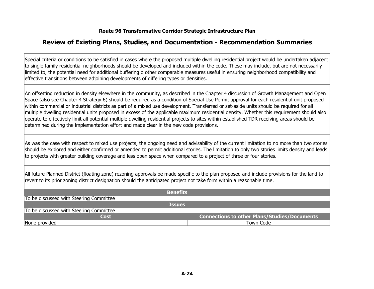### **Review of Existing Plans, Studies, and Documentation - Recommendation Summaries**

Special criteria or conditions to be satisfied in cases where the proposed multiple dwelling residential project would be undertaken adjacent to single family residential neighborhoods should be developed and included within the code. These may include, but are not necessarily limited to, the potential need for additional buffering o other comparable measures useful in ensuring neighborhood compatibility and effective transitions between adjoining developments of differing types or densities.

An offsetting reduction in density elsewhere in the community, as described in the Chapter 4 discussion of Growth Management and Open Space (also see Chapter 4 Strategy 6) should be required as a condition of Special Use Permit approval for each residential unit proposed within commercial or industrial districts as part of a mixed use development. Transferred or set-aside units should be required for all multiple dwelling residential units proposed in excess of the applicable maximum residential density. Whether this requirement should also operate to effectively limit all potential multiple dwelling residential projects to sites within established TDR receiving areas should be determined during the implementation effort and made clear in the new code provisions.

As was the case with respect to mixed use projects, the ongoing need and advisability of the current limitation to no more than two stories should be explored and either confirmed or amended to permit additional stories. The limitation to only two stories limits density and leads to projects with greater building coverage and less open space when compared to a project of three or four stories.

All future Planned District (floating zone) rezoning approvals be made specific to the plan proposed and include provisions for the land to revert to its prior zoning district designation should the anticipated project not take form within a reasonable time.

| <b>Benefits</b>                         |                                                     |
|-----------------------------------------|-----------------------------------------------------|
| To be discussed with Steering Committee |                                                     |
| <b>Issues</b>                           |                                                     |
| To be discussed with Steering Committee |                                                     |
| <b>Cost</b>                             | <b>Connections to other Plans/Studies/Documents</b> |
| None provided                           | Town Code                                           |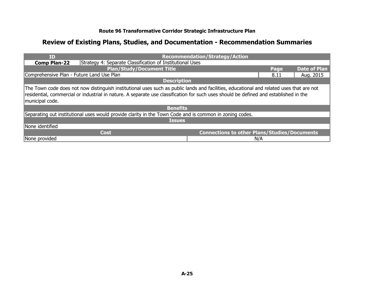| <b>ID</b>                                                                                                                                                                                                                                                                                            | <b>Recommendation/Strategy/Action</b>               |      |                     |  |
|------------------------------------------------------------------------------------------------------------------------------------------------------------------------------------------------------------------------------------------------------------------------------------------------------|-----------------------------------------------------|------|---------------------|--|
| Strategy 4: Separate Classification of Institutional Uses<br><b>Comp Plan-22</b>                                                                                                                                                                                                                     |                                                     |      |                     |  |
| <b>Plan/Study/Document Title</b>                                                                                                                                                                                                                                                                     |                                                     | Page | <b>Date of Plan</b> |  |
| Comprehensive Plan - Future Land Use Plan                                                                                                                                                                                                                                                            |                                                     | 8.11 | Aug. 2015           |  |
| <b>Description</b>                                                                                                                                                                                                                                                                                   |                                                     |      |                     |  |
| The Town code does not now distinguish institutional uses such as public lands and facilities, educational and related uses that are not<br>residential, commercial or industrial in nature. A separate use classification for such uses should be defined and established in the<br>municipal code. |                                                     |      |                     |  |
| <b>Benefits</b>                                                                                                                                                                                                                                                                                      |                                                     |      |                     |  |
| Separating out institutional uses would provide clarity in the Town Code and is common in zoning codes.                                                                                                                                                                                              |                                                     |      |                     |  |
| <b>Issues</b>                                                                                                                                                                                                                                                                                        |                                                     |      |                     |  |
| None identified                                                                                                                                                                                                                                                                                      |                                                     |      |                     |  |
| <b>Cost</b>                                                                                                                                                                                                                                                                                          | <b>Connections to other Plans/Studies/Documents</b> |      |                     |  |
| None provided                                                                                                                                                                                                                                                                                        | N/A                                                 |      |                     |  |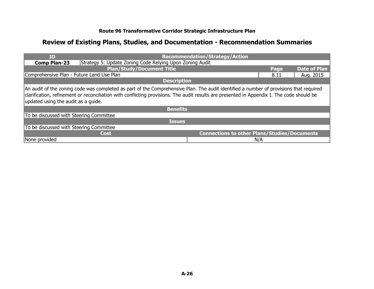| ID                                                                                                                                                                                                                                                                                                                          | <b>Recommendation/Strategy/Action</b>               |      |                     |  |  |  |
|-----------------------------------------------------------------------------------------------------------------------------------------------------------------------------------------------------------------------------------------------------------------------------------------------------------------------------|-----------------------------------------------------|------|---------------------|--|--|--|
| Strategy 5: Update Zoning Code Relying Upon Zoning Audit<br><b>Comp Plan-23</b>                                                                                                                                                                                                                                             |                                                     |      |                     |  |  |  |
| <b>Plan/Study/Document Title</b>                                                                                                                                                                                                                                                                                            |                                                     | Page | <b>Date of Plan</b> |  |  |  |
| Comprehensive Plan - Future Land Use Plan                                                                                                                                                                                                                                                                                   |                                                     | 8.11 | Aug. 2015           |  |  |  |
| <b>Description</b>                                                                                                                                                                                                                                                                                                          |                                                     |      |                     |  |  |  |
| An audit of the zoning code was completed as part of the Comprehensive Plan. The audit identified a number of provisions that required<br>clarification, refinement or reconciliation with conflicting provisions. The audit results are presented in Appendix I. The code should be<br>updated using the audit as a guide. |                                                     |      |                     |  |  |  |
| <b>Benefits</b>                                                                                                                                                                                                                                                                                                             |                                                     |      |                     |  |  |  |
| To be discussed with Steering Committee                                                                                                                                                                                                                                                                                     |                                                     |      |                     |  |  |  |
|                                                                                                                                                                                                                                                                                                                             | <b>Issues</b>                                       |      |                     |  |  |  |
| To be discussed with Steering Committee                                                                                                                                                                                                                                                                                     |                                                     |      |                     |  |  |  |
| <b>Cost</b>                                                                                                                                                                                                                                                                                                                 | <b>Connections to other Plans/Studies/Documents</b> |      |                     |  |  |  |
| None provided                                                                                                                                                                                                                                                                                                               |                                                     | N/A  |                     |  |  |  |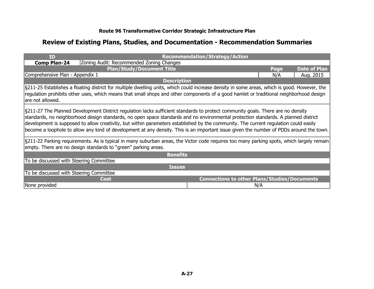| ID                                                                                                                                                                                                                                                                                                                                                                                                                                                                                                                                                       |                                                                                                                                                                                                                                                                                        | <b>Recommendation/Strategy/Action</b>               |      |                     |  |
|----------------------------------------------------------------------------------------------------------------------------------------------------------------------------------------------------------------------------------------------------------------------------------------------------------------------------------------------------------------------------------------------------------------------------------------------------------------------------------------------------------------------------------------------------------|----------------------------------------------------------------------------------------------------------------------------------------------------------------------------------------------------------------------------------------------------------------------------------------|-----------------------------------------------------|------|---------------------|--|
| <b>Comp Plan-24</b>                                                                                                                                                                                                                                                                                                                                                                                                                                                                                                                                      | Zoning Audit: Recommended Zoning Changes                                                                                                                                                                                                                                               |                                                     |      |                     |  |
|                                                                                                                                                                                                                                                                                                                                                                                                                                                                                                                                                          | <b>Plan/Study/Document Title</b>                                                                                                                                                                                                                                                       |                                                     | Page | <b>Date of Plan</b> |  |
| Comprehensive Plan - Appendix 1                                                                                                                                                                                                                                                                                                                                                                                                                                                                                                                          |                                                                                                                                                                                                                                                                                        |                                                     | N/A  | Aug. 2015           |  |
|                                                                                                                                                                                                                                                                                                                                                                                                                                                                                                                                                          | <b>Description</b>                                                                                                                                                                                                                                                                     |                                                     |      |                     |  |
| are not allowed.                                                                                                                                                                                                                                                                                                                                                                                                                                                                                                                                         | §211-25 Establishes a floating district for multiple dwelling units, which could increase density in some areas, which is good. However, the<br>regulation prohibits other uses, which means that small shops and other components of a good hamlet or traditional neighborhood design |                                                     |      |                     |  |
| §211-27 The Planned Development District regulation lacks sufficient standards to protect community goals. There are no density<br>standards, no neighborhood design standards, no open space standards and no environmental protection standards. A planned district<br>development is supposed to allow creativity, but within parameters established by the community. The current regulation could easily<br>become a loophole to allow any kind of development at any density. This is an important issue given the number of PDDs around the town. |                                                                                                                                                                                                                                                                                        |                                                     |      |                     |  |
|                                                                                                                                                                                                                                                                                                                                                                                                                                                                                                                                                          | §211-22 Parking requirements. As is typical in many suburban areas, the Victor code requires too many parking spots, which largely remain                                                                                                                                              |                                                     |      |                     |  |
|                                                                                                                                                                                                                                                                                                                                                                                                                                                                                                                                                          | empty. There are no design standards to "green" parking areas.                                                                                                                                                                                                                         |                                                     |      |                     |  |
|                                                                                                                                                                                                                                                                                                                                                                                                                                                                                                                                                          | <b>Benefits</b>                                                                                                                                                                                                                                                                        |                                                     |      |                     |  |
| To be discussed with Steering Committee                                                                                                                                                                                                                                                                                                                                                                                                                                                                                                                  |                                                                                                                                                                                                                                                                                        |                                                     |      |                     |  |
|                                                                                                                                                                                                                                                                                                                                                                                                                                                                                                                                                          | <b>Issues</b>                                                                                                                                                                                                                                                                          |                                                     |      |                     |  |
| To be discussed with Steering Committee                                                                                                                                                                                                                                                                                                                                                                                                                                                                                                                  |                                                                                                                                                                                                                                                                                        |                                                     |      |                     |  |
|                                                                                                                                                                                                                                                                                                                                                                                                                                                                                                                                                          | Cost                                                                                                                                                                                                                                                                                   | <b>Connections to other Plans/Studies/Documents</b> |      |                     |  |
| None provided                                                                                                                                                                                                                                                                                                                                                                                                                                                                                                                                            |                                                                                                                                                                                                                                                                                        |                                                     | N/A  |                     |  |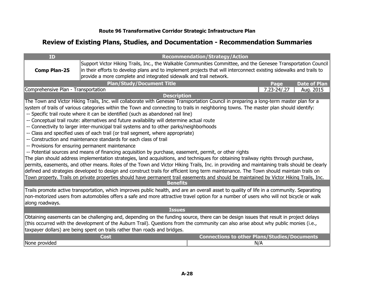| ID                                                                                                                                                                                                                 |                                                                                                                                             | <b>Recommendation/Strategy/Action</b>               |                  |                     |
|--------------------------------------------------------------------------------------------------------------------------------------------------------------------------------------------------------------------|---------------------------------------------------------------------------------------------------------------------------------------------|-----------------------------------------------------|------------------|---------------------|
|                                                                                                                                                                                                                    | Support Victor Hiking Trails, Inc., the Walkable Communities Committee, and the Genesee Transportation Council                              |                                                     |                  |                     |
| <b>Comp Plan-25</b>                                                                                                                                                                                                | in their efforts to develop plans and to implement projects that will interconnect existing sidewalks and trails to                         |                                                     |                  |                     |
|                                                                                                                                                                                                                    | provide a more complete and integrated sidewalk and trail network.                                                                          |                                                     |                  |                     |
|                                                                                                                                                                                                                    | <b>Plan/Study/Document Title</b>                                                                                                            |                                                     | Page             | <b>Date of Plan</b> |
| Comprehensive Plan - Transportation                                                                                                                                                                                |                                                                                                                                             |                                                     | $7.23 - 24/0.27$ | Aug. 2015           |
|                                                                                                                                                                                                                    |                                                                                                                                             | <b>Description</b>                                  |                  |                     |
|                                                                                                                                                                                                                    | The Town and Victor Hiking Trails, Inc. will collaborate with Genesee Transportation Council in preparing a long-term master plan for a     |                                                     |                  |                     |
|                                                                                                                                                                                                                    | system of trails of various categories within the Town and connecting to trails in neighboring towns. The master plan should identify:      |                                                     |                  |                     |
|                                                                                                                                                                                                                    | -- Specific trail route where it can be identified (such as abandoned rail line)                                                            |                                                     |                  |                     |
|                                                                                                                                                                                                                    | -- Conceptual trail route: alternatives and future availability will determine actual route                                                 |                                                     |                  |                     |
|                                                                                                                                                                                                                    | -- Connectivity to larger inter-municipal trail systems and to other parks/neighborhoods                                                    |                                                     |                  |                     |
|                                                                                                                                                                                                                    | -- Class and specified uses of each trail (or trail segment, where appropriate)                                                             |                                                     |                  |                     |
|                                                                                                                                                                                                                    | -- Construction and maintenance standards for each class of trail                                                                           |                                                     |                  |                     |
|                                                                                                                                                                                                                    | -- Provisions for ensuring permanent maintenance                                                                                            |                                                     |                  |                     |
|                                                                                                                                                                                                                    | -- Potential sources and means of financing acquisition by purchase, easement, permit, or other rights                                      |                                                     |                  |                     |
|                                                                                                                                                                                                                    | The plan should address implementation strategies, land acquisitions, and techniques for obtaining trailway rights through purchase,        |                                                     |                  |                     |
|                                                                                                                                                                                                                    | permits, easements, and other means. Roles of the Town and Victor Hiking Trails, Inc. in providing and maintaining trails should be clearly |                                                     |                  |                     |
|                                                                                                                                                                                                                    | defined and strategies developed to design and construct trails for efficient long term maintenance. The Town should maintain trails on     |                                                     |                  |                     |
|                                                                                                                                                                                                                    | Town property. Trails on private properties should have permanent trail easements and should be maintained by Victor Hiking Trails, Inc.    | <b>Benefits</b>                                     |                  |                     |
|                                                                                                                                                                                                                    | Trails promote active transportation, which improves public health, and are an overall asset to quality of life in a community. Separating  |                                                     |                  |                     |
|                                                                                                                                                                                                                    | non-motorized users from automobiles offers a safe and more attractive travel option for a number of users who will not bicycle or walk     |                                                     |                  |                     |
| along roadways.                                                                                                                                                                                                    |                                                                                                                                             |                                                     |                  |                     |
|                                                                                                                                                                                                                    |                                                                                                                                             | <b>Issues</b>                                       |                  |                     |
|                                                                                                                                                                                                                    |                                                                                                                                             |                                                     |                  |                     |
|                                                                                                                                                                                                                    | Obtaining easements can be challenging and, depending on the funding source, there can be design issues that result in project delays       |                                                     |                  |                     |
| (this occurred with the development of the Auburn Trail). Questions from the community can also arise about why public monies (i.e.,<br>taxpayer dollars) are being spent on trails rather than roads and bridges. |                                                                                                                                             |                                                     |                  |                     |
|                                                                                                                                                                                                                    |                                                                                                                                             |                                                     |                  |                     |
|                                                                                                                                                                                                                    | <b>Cost</b>                                                                                                                                 | <b>Connections to other Plans/Studies/Documents</b> |                  |                     |
| None provided                                                                                                                                                                                                      |                                                                                                                                             | N/A                                                 |                  |                     |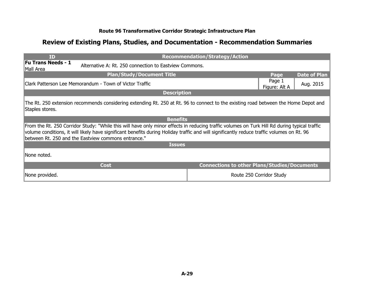| <b>ID</b>                                                                                                                                                                                                                                                                                                                                         | <b>Recommendation/Strategy/Action</b>               |                          |                     |  |  |
|---------------------------------------------------------------------------------------------------------------------------------------------------------------------------------------------------------------------------------------------------------------------------------------------------------------------------------------------------|-----------------------------------------------------|--------------------------|---------------------|--|--|
| <b>Fu Trans Needs - 1</b><br>Alternative A: Rt. 250 connection to Eastylew Commons.<br>Mall Area                                                                                                                                                                                                                                                  |                                                     |                          |                     |  |  |
| <b>Plan/Study/Document Title</b>                                                                                                                                                                                                                                                                                                                  |                                                     | Page                     | <b>Date of Plan</b> |  |  |
| Clark Patterson Lee Memorandum - Town of Victor Traffic                                                                                                                                                                                                                                                                                           |                                                     | Page 1<br>Figure: Alt A  | Aug. 2015           |  |  |
| <b>Description</b>                                                                                                                                                                                                                                                                                                                                |                                                     |                          |                     |  |  |
| The Rt. 250 extension recommends considering extending Rt. 250 at Rt. 96 to connect to the existing road between the Home Depot and<br>Staples stores.                                                                                                                                                                                            |                                                     |                          |                     |  |  |
| <b>Benefits</b>                                                                                                                                                                                                                                                                                                                                   |                                                     |                          |                     |  |  |
| From the Rt. 250 Corridor Study: "While this will have only minor effects in reducing traffic volumes on Turk Hill Rd during typical traffic<br>volume conditions, it will likely have significant benefits during Holiday traffic and will significantly reduce traffic volumes on Rt. 96<br>between Rt. 250 and the Eastview commons entrance." |                                                     |                          |                     |  |  |
| <b>Issues</b>                                                                                                                                                                                                                                                                                                                                     |                                                     |                          |                     |  |  |
| INone noted.                                                                                                                                                                                                                                                                                                                                      |                                                     |                          |                     |  |  |
| <b>Cost</b>                                                                                                                                                                                                                                                                                                                                       | <b>Connections to other Plans/Studies/Documents</b> |                          |                     |  |  |
| None provided.                                                                                                                                                                                                                                                                                                                                    |                                                     | Route 250 Corridor Study |                     |  |  |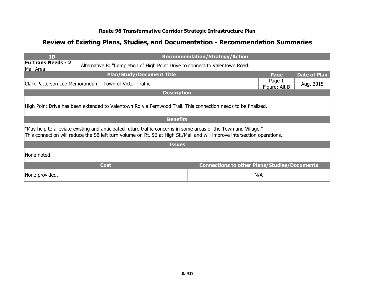| ID                                                                                                            |                                                                                                                                                                                                                                             | <b>Recommendation/Strategy/Action</b>               |                         |                     |  |
|---------------------------------------------------------------------------------------------------------------|---------------------------------------------------------------------------------------------------------------------------------------------------------------------------------------------------------------------------------------------|-----------------------------------------------------|-------------------------|---------------------|--|
| Mall Area                                                                                                     | <b>Fu Trans Needs - 2</b><br>Alternative B: "Completion of High Point Drive to connect to Valentown Road."                                                                                                                                  |                                                     |                         |                     |  |
|                                                                                                               | <b>Plan/Study/Document Title</b>                                                                                                                                                                                                            |                                                     | Page                    | <b>Date of Plan</b> |  |
|                                                                                                               | Clark Patterson Lee Memorandum - Town of Victor Traffic                                                                                                                                                                                     |                                                     | Page 1<br>Figure: Alt B | Aug. 2015           |  |
|                                                                                                               | <b>Description</b>                                                                                                                                                                                                                          |                                                     |                         |                     |  |
| High Point Drive has been extended to Valentown Rd via Fernwood Trail. This connection needs to be finalized. |                                                                                                                                                                                                                                             |                                                     |                         |                     |  |
|                                                                                                               | <b>Benefits</b>                                                                                                                                                                                                                             |                                                     |                         |                     |  |
|                                                                                                               | "May help to alleviate existing and anticipated future traffic concerns in some areas of the Town and Village."<br>This connection will reduce the SB left turn volume on Rt. 96 at High St./Mall and will improve intersection operations. |                                                     |                         |                     |  |
|                                                                                                               | <b>Issues</b>                                                                                                                                                                                                                               |                                                     |                         |                     |  |
| None noted.                                                                                                   |                                                                                                                                                                                                                                             |                                                     |                         |                     |  |
|                                                                                                               | <b>Cost</b>                                                                                                                                                                                                                                 | <b>Connections to other Plans/Studies/Documents</b> |                         |                     |  |
| None provided.                                                                                                |                                                                                                                                                                                                                                             | N/A                                                 |                         |                     |  |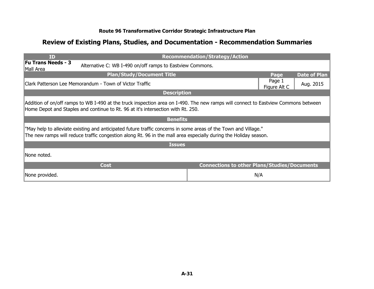| ID                                                                                                                                                                                                                     |                                                                                                                                                                                                                                     | <b>Recommendation/Strategy/Action</b>               |                        |                     |  |
|------------------------------------------------------------------------------------------------------------------------------------------------------------------------------------------------------------------------|-------------------------------------------------------------------------------------------------------------------------------------------------------------------------------------------------------------------------------------|-----------------------------------------------------|------------------------|---------------------|--|
| <b>Fu Trans Needs - 3</b><br>Mall Area                                                                                                                                                                                 | Alternative C: WB I-490 on/off ramps to Eastview Commons.                                                                                                                                                                           |                                                     |                        |                     |  |
|                                                                                                                                                                                                                        | <b>Plan/Study/Document Title</b>                                                                                                                                                                                                    |                                                     | Page                   | <b>Date of Plan</b> |  |
|                                                                                                                                                                                                                        | Clark Patterson Lee Memorandum - Town of Victor Traffic                                                                                                                                                                             |                                                     | Page 1<br>Figure Alt C | Aug. 2015           |  |
|                                                                                                                                                                                                                        | <b>Description</b>                                                                                                                                                                                                                  |                                                     |                        |                     |  |
| Addition of on/off ramps to WB I-490 at the truck inspection area on I-490. The new ramps will connect to Eastview Commons between<br>Home Depot and Staples and continue to Rt. 96 at it's intersection with Rt. 250. |                                                                                                                                                                                                                                     |                                                     |                        |                     |  |
|                                                                                                                                                                                                                        | <b>Benefits</b>                                                                                                                                                                                                                     |                                                     |                        |                     |  |
|                                                                                                                                                                                                                        | "May help to alleviate existing and anticipated future traffic concerns in some areas of the Town and Village."<br>The new ramps will reduce traffic congestion along Rt. 96 in the mall area especially during the Holiday season. |                                                     |                        |                     |  |
|                                                                                                                                                                                                                        | <b>Issues</b>                                                                                                                                                                                                                       |                                                     |                        |                     |  |
| INone noted.                                                                                                                                                                                                           |                                                                                                                                                                                                                                     |                                                     |                        |                     |  |
|                                                                                                                                                                                                                        | <b>Cost</b>                                                                                                                                                                                                                         | <b>Connections to other Plans/Studies/Documents</b> |                        |                     |  |
| None provided.                                                                                                                                                                                                         |                                                                                                                                                                                                                                     |                                                     | N/A                    |                     |  |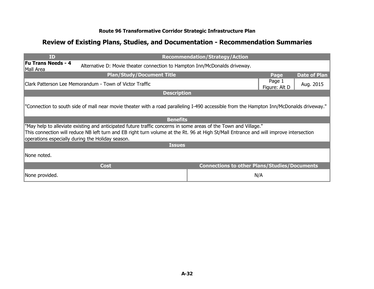| <b>ID</b>                                                                                                                                                                                                                                                                                                     |                                                                            | <b>Recommendation/Strategy/Action</b>               |                         |                     |  |
|---------------------------------------------------------------------------------------------------------------------------------------------------------------------------------------------------------------------------------------------------------------------------------------------------------------|----------------------------------------------------------------------------|-----------------------------------------------------|-------------------------|---------------------|--|
| <b>Fu Trans Needs - 4</b><br>Mall Area                                                                                                                                                                                                                                                                        | Alternative D: Movie theater connection to Hampton Inn/McDonalds driveway. |                                                     |                         |                     |  |
|                                                                                                                                                                                                                                                                                                               | <b>Plan/Study/Document Title</b>                                           |                                                     | Page                    | <b>Date of Plan</b> |  |
|                                                                                                                                                                                                                                                                                                               | Clark Patterson Lee Memorandum - Town of Victor Traffic                    |                                                     | Page 1<br>Figure: Alt D | Aug. 2015           |  |
|                                                                                                                                                                                                                                                                                                               | <b>Description</b>                                                         |                                                     |                         |                     |  |
| "Connection to south side of mall near movie theater with a road paralleling I-490 accessible from the Hampton Inn/McDonalds driveway."                                                                                                                                                                       |                                                                            |                                                     |                         |                     |  |
|                                                                                                                                                                                                                                                                                                               | <b>Benefits</b>                                                            |                                                     |                         |                     |  |
| "May help to alleviate existing and anticipated future traffic concerns in some areas of the Town and Village."<br>This connection will reduce NB left turn and EB right turn volume at the Rt. 96 at High St/Mall Entrance and will improve intersection<br>operations especially during the Holiday season. |                                                                            |                                                     |                         |                     |  |
|                                                                                                                                                                                                                                                                                                               | <b>Issues</b>                                                              |                                                     |                         |                     |  |
| INone noted.                                                                                                                                                                                                                                                                                                  |                                                                            |                                                     |                         |                     |  |
|                                                                                                                                                                                                                                                                                                               | <b>Cost</b>                                                                | <b>Connections to other Plans/Studies/Documents</b> |                         |                     |  |
| None provided.                                                                                                                                                                                                                                                                                                |                                                                            |                                                     | N/A                     |                     |  |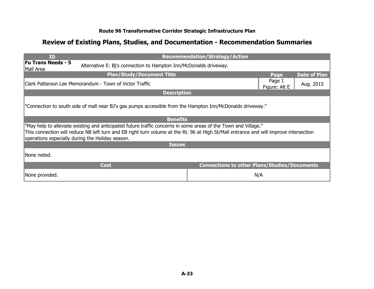| <b>ID</b>                                                                                                  |                                                                                                                                                                                                                                                                                                               | <b>Recommendation/Strategy/Action</b>               |                         |                     |  |
|------------------------------------------------------------------------------------------------------------|---------------------------------------------------------------------------------------------------------------------------------------------------------------------------------------------------------------------------------------------------------------------------------------------------------------|-----------------------------------------------------|-------------------------|---------------------|--|
| <b>Fu Trans Needs - 5</b><br>Mall Area                                                                     | Alternative E: Bj's connection to Hampton Inn/McDonalds driveway.                                                                                                                                                                                                                                             |                                                     |                         |                     |  |
|                                                                                                            | <b>Plan/Study/Document Title</b>                                                                                                                                                                                                                                                                              |                                                     | Page                    | <b>Date of Plan</b> |  |
|                                                                                                            | Clark Patterson Lee Memorandum - Town of Victor Traffic                                                                                                                                                                                                                                                       |                                                     | Page 1<br>Figure: Alt E | Aug. 2015           |  |
|                                                                                                            | <b>Description</b>                                                                                                                                                                                                                                                                                            |                                                     |                         |                     |  |
| "Connection to south side of mall near BJ's gas pumps accessible from the Hampton Inn/McDonalds driveway." |                                                                                                                                                                                                                                                                                                               |                                                     |                         |                     |  |
|                                                                                                            | <b>Benefits</b>                                                                                                                                                                                                                                                                                               |                                                     |                         |                     |  |
|                                                                                                            | "May help to alleviate existing and anticipated future traffic concerns in some areas of the Town and Village."<br>This connection will reduce NB left turn and EB right turn volume at the Rt. 96 at High St/Mall entrance and will improve intersection<br>operations especially during the Holiday season. |                                                     |                         |                     |  |
|                                                                                                            | <b>Issues</b>                                                                                                                                                                                                                                                                                                 |                                                     |                         |                     |  |
| None noted.                                                                                                |                                                                                                                                                                                                                                                                                                               |                                                     |                         |                     |  |
|                                                                                                            | <b>Cost</b>                                                                                                                                                                                                                                                                                                   | <b>Connections to other Plans/Studies/Documents</b> |                         |                     |  |
| None provided.                                                                                             |                                                                                                                                                                                                                                                                                                               |                                                     | N/A                     |                     |  |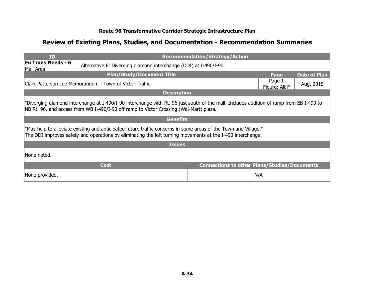| <b>ID</b>                                                                                                                                                                                                                          | <b>Recommendation/Strategy/Action</b>               |                         |                     |  |
|------------------------------------------------------------------------------------------------------------------------------------------------------------------------------------------------------------------------------------|-----------------------------------------------------|-------------------------|---------------------|--|
| <b>Fu Trans Needs - 6</b><br>Alternative F: Diverging diamond interchange (DDI) at I-490/I-90.<br>Mall Area                                                                                                                        |                                                     |                         |                     |  |
| <b>Plan/Study/Document Title</b>                                                                                                                                                                                                   |                                                     | Page                    | <b>Date of Plan</b> |  |
| IClark Patterson Lee Memorandum - Town of Victor Traffic                                                                                                                                                                           |                                                     | Page 1<br>Figure: Alt F | Aug. 2015           |  |
| <b>Description</b>                                                                                                                                                                                                                 |                                                     |                         |                     |  |
| "Diverging diamond interchange at I-490/I-90 interchange with Rt. 96 just south of the mall. Includes addition of ramp from EB I-490 to<br>NB Rt. 96, and access from WB I-490/I-90 off ramp to Victor Crossing (Wal-Mart) plaza." |                                                     |                         |                     |  |
| <b>Benefits</b>                                                                                                                                                                                                                    |                                                     |                         |                     |  |
| "May help to alleviate existing and anticipated future traffic concerns in some areas of the Town and Village."<br>The DDI improves safety and operations by eliminating the left turning movements at the I-490 interchange.      |                                                     |                         |                     |  |
| <b>Issues</b>                                                                                                                                                                                                                      |                                                     |                         |                     |  |
| INone noted.                                                                                                                                                                                                                       |                                                     |                         |                     |  |
| <b>Cost</b>                                                                                                                                                                                                                        | <b>Connections to other Plans/Studies/Documents</b> |                         |                     |  |
| None provided.                                                                                                                                                                                                                     | N/A                                                 |                         |                     |  |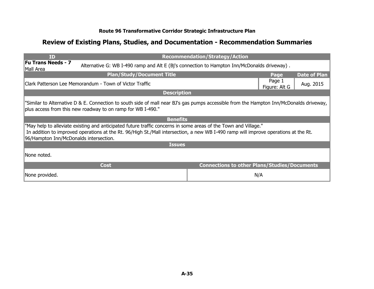| <b>ID</b>                                                                                                                                                                                                                                                                                        | <b>Recommendation/Strategy/Action</b>                                                                                    |                         |                     |  |  |
|--------------------------------------------------------------------------------------------------------------------------------------------------------------------------------------------------------------------------------------------------------------------------------------------------|--------------------------------------------------------------------------------------------------------------------------|-------------------------|---------------------|--|--|
| Mall Area                                                                                                                                                                                                                                                                                        | <b>Fu Trans Needs - 7</b><br>Alternative G: WB I-490 ramp and Alt E (Bj's connection to Hampton Inn/McDonalds driveway). |                         |                     |  |  |
| <b>Plan/Study/Document Title</b>                                                                                                                                                                                                                                                                 |                                                                                                                          | Page                    | <b>Date of Plan</b> |  |  |
| IClark Patterson Lee Memorandum - Town of Victor Traffic                                                                                                                                                                                                                                         |                                                                                                                          | Page 1<br>Figure: Alt G | Aug. 2015           |  |  |
| <b>Description</b>                                                                                                                                                                                                                                                                               |                                                                                                                          |                         |                     |  |  |
| "Similar to Alternative D & E. Connection to south side of mall near BJ's gas pumps accessible from the Hampton Inn/McDonalds driveway,<br>plus access from this new roadway to on ramp for WB I-490."                                                                                           |                                                                                                                          |                         |                     |  |  |
| <b>Benefits</b>                                                                                                                                                                                                                                                                                  |                                                                                                                          |                         |                     |  |  |
| "May help to alleviate existing and anticipated future traffic concerns in some areas of the Town and Village."<br>In addition to improved operations at the Rt. 96/High St./Mall intersection, a new WB I-490 ramp will improve operations at the Rt.<br>96/Hampton Inn/McDonalds intersection. |                                                                                                                          |                         |                     |  |  |
| <b>Issues</b>                                                                                                                                                                                                                                                                                    |                                                                                                                          |                         |                     |  |  |
| INone noted.                                                                                                                                                                                                                                                                                     |                                                                                                                          |                         |                     |  |  |
| <b>Cost</b>                                                                                                                                                                                                                                                                                      | <b>Connections to other Plans/Studies/Documents</b>                                                                      |                         |                     |  |  |
| None provided.                                                                                                                                                                                                                                                                                   |                                                                                                                          | N/A                     |                     |  |  |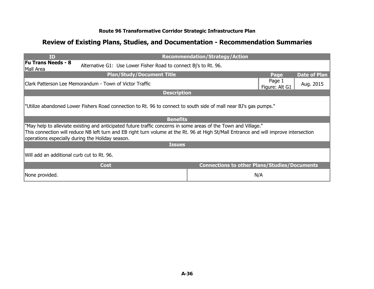| <b>TD</b>                                                                                                                                                                                                                                                                                                     | <b>Recommendation/Strategy/Action</b>               |                          |                     |  |
|---------------------------------------------------------------------------------------------------------------------------------------------------------------------------------------------------------------------------------------------------------------------------------------------------------------|-----------------------------------------------------|--------------------------|---------------------|--|
| <b>Fu Trans Needs - 8</b><br>Alternative G1: Use Lower Fisher Road to connect Bj's to Rt. 96.<br>Mall Area                                                                                                                                                                                                    |                                                     |                          |                     |  |
| <b>Plan/Study/Document Title</b>                                                                                                                                                                                                                                                                              |                                                     | Page                     | <b>Date of Plan</b> |  |
| Clark Patterson Lee Memorandum - Town of Victor Traffic                                                                                                                                                                                                                                                       |                                                     | Page 1<br>Figure: Alt G1 | Aug. 2015           |  |
| <b>Description</b>                                                                                                                                                                                                                                                                                            |                                                     |                          |                     |  |
| "Utilize abandoned Lower Fishers Road connection to Rt. 96 to connect to south side of mall near BJ's gas pumps."                                                                                                                                                                                             |                                                     |                          |                     |  |
| <b>Benefits</b>                                                                                                                                                                                                                                                                                               |                                                     |                          |                     |  |
| "May help to alleviate existing and anticipated future traffic concerns in some areas of the Town and Village."<br>This connection will reduce NB left turn and EB right turn volume at the Rt. 96 at High St/Mall Entrance and will improve intersection<br>operations especially during the Holiday season. |                                                     |                          |                     |  |
| <b>Issues</b>                                                                                                                                                                                                                                                                                                 |                                                     |                          |                     |  |
| Will add an additional curb cut to Rt. 96.                                                                                                                                                                                                                                                                    |                                                     |                          |                     |  |
| <b>Cost</b>                                                                                                                                                                                                                                                                                                   | <b>Connections to other Plans/Studies/Documents</b> |                          |                     |  |
| None provided.                                                                                                                                                                                                                                                                                                |                                                     | N/A                      |                     |  |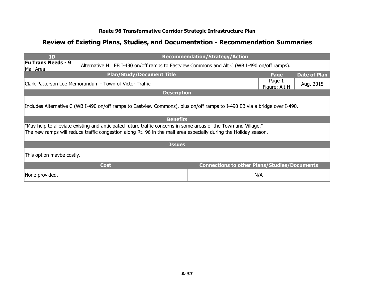| <b>ID</b>                                                                                                                             |                                                                                                                                                                                                                                     | <b>Recommendation/Strategy/Action</b>               |                         |                     |  |
|---------------------------------------------------------------------------------------------------------------------------------------|-------------------------------------------------------------------------------------------------------------------------------------------------------------------------------------------------------------------------------------|-----------------------------------------------------|-------------------------|---------------------|--|
| <b>Fu Trans Needs - 9</b><br>Alternative H: EB I-490 on/off ramps to Eastview Commons and Alt C (WB I-490 on/off ramps).<br>Mall Area |                                                                                                                                                                                                                                     |                                                     |                         |                     |  |
|                                                                                                                                       | <b>Plan/Study/Document Title</b>                                                                                                                                                                                                    |                                                     | Page                    | <b>Date of Plan</b> |  |
|                                                                                                                                       | Clark Patterson Lee Memorandum - Town of Victor Traffic                                                                                                                                                                             |                                                     | Page 1<br>Figure: Alt H | Aug. 2015           |  |
|                                                                                                                                       | <b>Description</b>                                                                                                                                                                                                                  |                                                     |                         |                     |  |
|                                                                                                                                       | Includes Alternative C (WB I-490 on/off ramps to Eastview Commons), plus on/off ramps to I-490 EB via a bridge over I-490.                                                                                                          |                                                     |                         |                     |  |
|                                                                                                                                       | <b>Benefits</b>                                                                                                                                                                                                                     |                                                     |                         |                     |  |
|                                                                                                                                       | "May help to alleviate existing and anticipated future traffic concerns in some areas of the Town and Village."<br>The new ramps will reduce traffic congestion along Rt. 96 in the mall area especially during the Holiday season. |                                                     |                         |                     |  |
|                                                                                                                                       | <b>Issues</b>                                                                                                                                                                                                                       |                                                     |                         |                     |  |
| This option maybe costly.                                                                                                             |                                                                                                                                                                                                                                     |                                                     |                         |                     |  |
|                                                                                                                                       | <b>Cost</b>                                                                                                                                                                                                                         | <b>Connections to other Plans/Studies/Documents</b> |                         |                     |  |
| None provided.                                                                                                                        |                                                                                                                                                                                                                                     |                                                     | N/A                     |                     |  |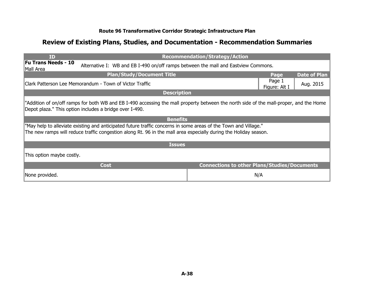| ID                                                                                                                                                                                                                                  | <b>Recommendation/Strategy/Action</b>               |                         |                     |  |
|-------------------------------------------------------------------------------------------------------------------------------------------------------------------------------------------------------------------------------------|-----------------------------------------------------|-------------------------|---------------------|--|
| <b>Fu Trans Needs - 10</b><br>Alternative I: WB and EB I-490 on/off ramps between the mall and Eastview Commons.<br>Mall Area                                                                                                       |                                                     |                         |                     |  |
| <b>Plan/Study/Document Title</b>                                                                                                                                                                                                    |                                                     | Page                    | <b>Date of Plan</b> |  |
| Clark Patterson Lee Memorandum - Town of Victor Traffic                                                                                                                                                                             |                                                     | Page 1<br>Figure: Alt I | Aug. 2015           |  |
| <b>Description</b>                                                                                                                                                                                                                  |                                                     |                         |                     |  |
| "Addition of on/off ramps for both WB and EB I-490 accessing the mall property between the north side of the mall-proper, and the Home<br>Depot plaza." This option includes a bridge over I-490.                                   |                                                     |                         |                     |  |
| <b>Benefits</b>                                                                                                                                                                                                                     |                                                     |                         |                     |  |
| "May help to alleviate existing and anticipated future traffic concerns in some areas of the Town and Village."<br>The new ramps will reduce traffic congestion along Rt. 96 in the mall area especially during the Holiday season. |                                                     |                         |                     |  |
| <b>Issues</b>                                                                                                                                                                                                                       |                                                     |                         |                     |  |
| This option maybe costly.                                                                                                                                                                                                           |                                                     |                         |                     |  |
| <b>Cost</b>                                                                                                                                                                                                                         | <b>Connections to other Plans/Studies/Documents</b> |                         |                     |  |
| None provided.                                                                                                                                                                                                                      |                                                     | N/A                     |                     |  |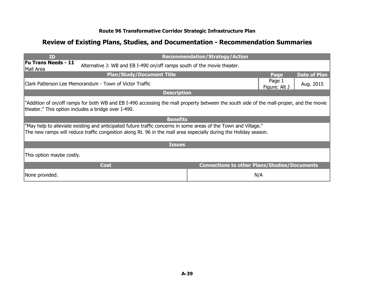| <b>ID</b>                                                                                                                                                                                                                           | <b>Recommendation/Strategy/Action</b>                                                                                                   |                         |                     |  |  |
|-------------------------------------------------------------------------------------------------------------------------------------------------------------------------------------------------------------------------------------|-----------------------------------------------------------------------------------------------------------------------------------------|-------------------------|---------------------|--|--|
| <b>Fu Trans Needs - 11</b><br>Alternative J: WB and EB I-490 on/off ramps south of the movie theater.<br>Mall Area                                                                                                                  |                                                                                                                                         |                         |                     |  |  |
| <b>Plan/Study/Document Title</b>                                                                                                                                                                                                    |                                                                                                                                         | Page                    | <b>Date of Plan</b> |  |  |
| Clark Patterson Lee Memorandum - Town of Victor Traffic                                                                                                                                                                             |                                                                                                                                         | Page 1<br>Figure: Alt J | Aug. 2015           |  |  |
| <b>Description</b>                                                                                                                                                                                                                  |                                                                                                                                         |                         |                     |  |  |
| theater." This option includes a bridge over I-490.                                                                                                                                                                                 | "Addition of on/off ramps for both WB and EB I-490 accessing the mall property between the south side of the mall-proper, and the movie |                         |                     |  |  |
| <b>Benefits</b>                                                                                                                                                                                                                     |                                                                                                                                         |                         |                     |  |  |
| "May help to alleviate existing and anticipated future traffic concerns in some areas of the Town and Village."<br>The new ramps will reduce traffic congestion along Rt. 96 in the mall area especially during the Holiday season. |                                                                                                                                         |                         |                     |  |  |
| <b>Issues</b>                                                                                                                                                                                                                       |                                                                                                                                         |                         |                     |  |  |
| This option maybe costly.                                                                                                                                                                                                           |                                                                                                                                         |                         |                     |  |  |
| <b>Cost</b>                                                                                                                                                                                                                         | <b>Connections to other Plans/Studies/Documents</b>                                                                                     |                         |                     |  |  |
| None provided.                                                                                                                                                                                                                      |                                                                                                                                         | N/A                     |                     |  |  |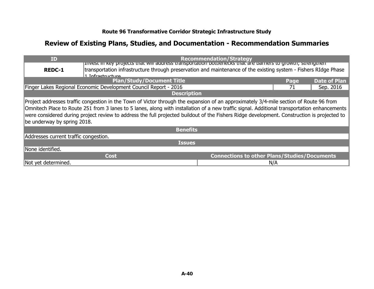| <b>ID</b>                                                                                                                                                                                                                                                                                                                                                                                                                                                            |                                                                                                                 | <b>Recommendation/Strategy</b>                      |      |                     |
|----------------------------------------------------------------------------------------------------------------------------------------------------------------------------------------------------------------------------------------------------------------------------------------------------------------------------------------------------------------------------------------------------------------------------------------------------------------------|-----------------------------------------------------------------------------------------------------------------|-----------------------------------------------------|------|---------------------|
|                                                                                                                                                                                                                                                                                                                                                                                                                                                                      | privest in key projects that will address transportation bottlenecks that are barriers to growth; strengthern   |                                                     |      |                     |
| <b>REDC-1</b>                                                                                                                                                                                                                                                                                                                                                                                                                                                        | transportation infrastructure through preservation and maintenance of the existing system - Fishers RIdge Phase |                                                     |      |                     |
|                                                                                                                                                                                                                                                                                                                                                                                                                                                                      | 1 Infractructure                                                                                                |                                                     |      |                     |
|                                                                                                                                                                                                                                                                                                                                                                                                                                                                      | <b>Plan/Study/Document Title</b>                                                                                |                                                     | Page | <b>Date of Plan</b> |
|                                                                                                                                                                                                                                                                                                                                                                                                                                                                      | Finger Lakes Regional Economic Development Council Report - 2016                                                |                                                     | 71   | Sep. 2016           |
|                                                                                                                                                                                                                                                                                                                                                                                                                                                                      | <b>Description</b>                                                                                              |                                                     |      |                     |
| Project addresses traffic congestion in the Town of Victor through the expansion of an approximately 3/4-mile section of Route 96 from<br>Omnitech Place to Route 251 from 3 lanes to 5 lanes, along with installation of a new traffic signal. Additional transportation enhancements<br>were considered during project review to address the full projected buildout of the Fishers Ridge development. Construction is projected to<br>be underway by spring 2018. |                                                                                                                 |                                                     |      |                     |
|                                                                                                                                                                                                                                                                                                                                                                                                                                                                      | <b>Benefits</b>                                                                                                 |                                                     |      |                     |
| Addresses current traffic congestion.                                                                                                                                                                                                                                                                                                                                                                                                                                |                                                                                                                 |                                                     |      |                     |
|                                                                                                                                                                                                                                                                                                                                                                                                                                                                      | <b>Issues</b>                                                                                                   |                                                     |      |                     |
| None identified.                                                                                                                                                                                                                                                                                                                                                                                                                                                     |                                                                                                                 |                                                     |      |                     |
|                                                                                                                                                                                                                                                                                                                                                                                                                                                                      | Cost                                                                                                            | <b>Connections to other Plans/Studies/Documents</b> |      |                     |
| Not yet determined.                                                                                                                                                                                                                                                                                                                                                                                                                                                  |                                                                                                                 |                                                     | N/A  |                     |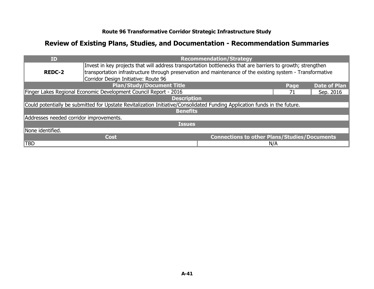| ID                                                              |                                                                                                                            | <b>Recommendation/Strategy</b>                      |     |           |
|-----------------------------------------------------------------|----------------------------------------------------------------------------------------------------------------------------|-----------------------------------------------------|-----|-----------|
|                                                                 | Invest in key projects that will address transportation bottlenecks that are barriers to growth; strengthen                |                                                     |     |           |
| <b>REDC-2</b>                                                   | transportation infrastructure through preservation and maintenance of the existing system - Transformative                 |                                                     |     |           |
|                                                                 | Corridor Design Initiative: Route 96                                                                                       |                                                     |     |           |
| <b>Plan/Study/Document Title</b><br><b>Date of Plan</b><br>Page |                                                                                                                            |                                                     |     |           |
|                                                                 | Finger Lakes Regional Economic Development Council Report - 2016                                                           |                                                     | 71  | Sep. 2016 |
|                                                                 | <b>Description</b>                                                                                                         |                                                     |     |           |
|                                                                 | Could potentially be submitted for Upstate Revitalization Initiative/Consolidated Funding Application funds in the future. |                                                     |     |           |
|                                                                 | <b>Benefits</b>                                                                                                            |                                                     |     |           |
| Addresses needed corridor improvements.                         |                                                                                                                            |                                                     |     |           |
|                                                                 | <b>Issues</b>                                                                                                              |                                                     |     |           |
| None identified.                                                |                                                                                                                            |                                                     |     |           |
|                                                                 | <b>Cost</b>                                                                                                                | <b>Connections to other Plans/Studies/Documents</b> |     |           |
| <b>TBD</b>                                                      |                                                                                                                            |                                                     | N/A |           |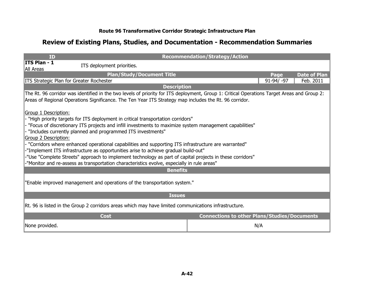| <b>ID</b>                                                                                                                                                                                                                                             | <b>Recommendation/Strategy/Action</b>               |              |                     |
|-------------------------------------------------------------------------------------------------------------------------------------------------------------------------------------------------------------------------------------------------------|-----------------------------------------------------|--------------|---------------------|
| ITS Plan - 1<br>ITS deployment priorities.<br>All Areas                                                                                                                                                                                               |                                                     |              |                     |
| <b>Plan/Study/Document Title</b>                                                                                                                                                                                                                      |                                                     | Page         | <b>Date of Plan</b> |
| <b>ITS Strategic Plan for Greater Rochester</b>                                                                                                                                                                                                       |                                                     | $91-94/ -97$ | Feb. 2011           |
| <b>Description</b>                                                                                                                                                                                                                                    |                                                     |              |                     |
| The Rt. 96 corridor was identified in the two levels of priority for ITS deployment, Group 1: Critical Operations Target Areas and Group 2:<br>Areas of Regional Operations Significance. The Ten Year ITS Strategy map includes the Rt. 96 corridor. |                                                     |              |                     |
| Group 1 Description:                                                                                                                                                                                                                                  |                                                     |              |                     |
| "High priority targets for ITS deployment in critical transportation corridors"                                                                                                                                                                       |                                                     |              |                     |
| - "Focus of discretionary ITS projects and infill investments to maximize system management capabilities"                                                                                                                                             |                                                     |              |                     |
| "Includes currently planned and programmed ITS investments"                                                                                                                                                                                           |                                                     |              |                     |
| Group 2 Description:                                                                                                                                                                                                                                  |                                                     |              |                     |
| "Corridors where enhanced operational capabilities and supporting ITS infrastructure are warranted"                                                                                                                                                   |                                                     |              |                     |
| -"Implement ITS infrastructure as opportunities arise to achieve gradual build-out"                                                                                                                                                                   |                                                     |              |                     |
| -"Use "Complete Streets" approach to implement technology as part of capital projects in these corridors"                                                                                                                                             |                                                     |              |                     |
| -"Monitor and re-assess as transportation characteristics evolve, especially in rule areas"                                                                                                                                                           |                                                     |              |                     |
| <b>Benefits</b>                                                                                                                                                                                                                                       |                                                     |              |                     |
| "Enable improved management and operations of the transportation system."                                                                                                                                                                             |                                                     |              |                     |
| <b>Issues</b>                                                                                                                                                                                                                                         |                                                     |              |                     |
| Rt. 96 is listed in the Group 2 corridors areas which may have limited communications infrastructure.                                                                                                                                                 |                                                     |              |                     |
| <b>Cost</b>                                                                                                                                                                                                                                           | <b>Connections to other Plans/Studies/Documents</b> |              |                     |
| None provided.                                                                                                                                                                                                                                        | N/A                                                 |              |                     |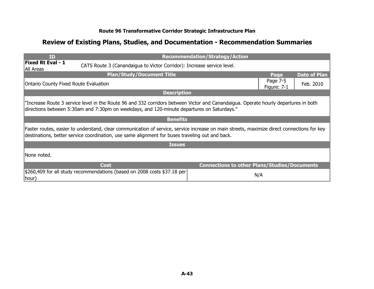| ID                                                                                                                                                                                                                                |                                                                                                                                                                                                                                               | <b>Recommendation/Strategy/Action</b>               |                         |                     |
|-----------------------------------------------------------------------------------------------------------------------------------------------------------------------------------------------------------------------------------|-----------------------------------------------------------------------------------------------------------------------------------------------------------------------------------------------------------------------------------------------|-----------------------------------------------------|-------------------------|---------------------|
| <b>Fixed Rt Eval - 1</b><br>All Areas                                                                                                                                                                                             | CATS Route 3 (Canandaigua to Victor Corridor): Increase service level.                                                                                                                                                                        |                                                     |                         |                     |
|                                                                                                                                                                                                                                   | <b>Plan/Study/Document Title</b>                                                                                                                                                                                                              |                                                     | Page                    | <b>Date of Plan</b> |
| <b>Ontario County Fixed Route Evaluation</b>                                                                                                                                                                                      |                                                                                                                                                                                                                                               |                                                     | Page 7-5<br>Figure: 7-1 | Feb. 2010           |
|                                                                                                                                                                                                                                   | <b>Description</b>                                                                                                                                                                                                                            |                                                     |                         |                     |
| "Increase Route 3 service level in the Route 96 and 332 corridors between Victor and Canandaigua. Operate hourly departures in both<br>directions between 5:30am and 7:30pm on weekdays, and 120-minute departures on Saturdays." |                                                                                                                                                                                                                                               |                                                     |                         |                     |
|                                                                                                                                                                                                                                   | <b>Benefits</b>                                                                                                                                                                                                                               |                                                     |                         |                     |
|                                                                                                                                                                                                                                   | Faster routes, easier to understand, clear communication of service, service increase on main streets, maximize direct connections for key<br>destinations, better service coordination, use same alignment for buses traveling out and back. |                                                     |                         |                     |
|                                                                                                                                                                                                                                   | <b>Issues</b>                                                                                                                                                                                                                                 |                                                     |                         |                     |
| INone noted.                                                                                                                                                                                                                      |                                                                                                                                                                                                                                               |                                                     |                         |                     |
|                                                                                                                                                                                                                                   | <b>Cost</b>                                                                                                                                                                                                                                   | <b>Connections to other Plans/Studies/Documents</b> |                         |                     |
| hour)                                                                                                                                                                                                                             | \$260,409 for all study recommendations (based on 2008 costs \$37.18 per                                                                                                                                                                      |                                                     | N/A                     |                     |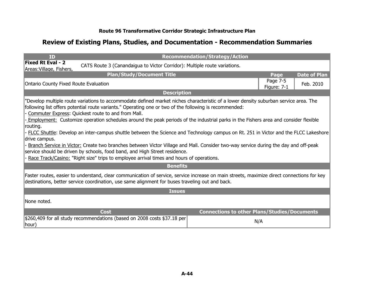| ID                                                                                                                                                                                                                                                                                                                                                                                                                                                                                                                                                                                                                                                                                                                                                                                                                                                                                                                                   |                                                                                                                                                                                                                                               | <b>Recommendation/Strategy/Action</b>               |                             |  |
|--------------------------------------------------------------------------------------------------------------------------------------------------------------------------------------------------------------------------------------------------------------------------------------------------------------------------------------------------------------------------------------------------------------------------------------------------------------------------------------------------------------------------------------------------------------------------------------------------------------------------------------------------------------------------------------------------------------------------------------------------------------------------------------------------------------------------------------------------------------------------------------------------------------------------------------|-----------------------------------------------------------------------------------------------------------------------------------------------------------------------------------------------------------------------------------------------|-----------------------------------------------------|-----------------------------|--|
| <b>Fixed Rt Eval - 2</b><br>Areas: Village, Fishers,                                                                                                                                                                                                                                                                                                                                                                                                                                                                                                                                                                                                                                                                                                                                                                                                                                                                                 | CATS Route 3 (Canandaigua to Victor Corridor): Multiple route variations.                                                                                                                                                                     |                                                     |                             |  |
|                                                                                                                                                                                                                                                                                                                                                                                                                                                                                                                                                                                                                                                                                                                                                                                                                                                                                                                                      | <b>Plan/Study/Document Title</b>                                                                                                                                                                                                              |                                                     | <b>Date of Plan</b><br>Page |  |
|                                                                                                                                                                                                                                                                                                                                                                                                                                                                                                                                                                                                                                                                                                                                                                                                                                                                                                                                      | <b>Ontario County Fixed Route Evaluation</b>                                                                                                                                                                                                  |                                                     |                             |  |
|                                                                                                                                                                                                                                                                                                                                                                                                                                                                                                                                                                                                                                                                                                                                                                                                                                                                                                                                      | <b>Description</b>                                                                                                                                                                                                                            |                                                     |                             |  |
| "Develop multiple route variations to accommodate defined market niches characteristic of a lower density suburban service area. The<br>following list offers potential route variants." Operating one or two of the following is recommended:<br>Commuter Express: Quickest route to and from Mall.<br>- Employment: Customize operation schedules around the peak periods of the industrial parks in the Fishers area and consider flexible<br>routing.<br>- FLCC Shuttle: Develop an inter-campus shuttle between the Science and Technology campus on Rt. 251 in Victor and the FLCC Lakeshore<br>drive campus.<br>Branch Service in Victor: Create two branches between Victor Village and Mall. Consider two-way service during the day and off-peak<br>service should be driven by schools, food band, and High Street residence.<br>Race Track/Casino: "Right size" trips to employee arrival times and hours of operations. |                                                                                                                                                                                                                                               |                                                     |                             |  |
|                                                                                                                                                                                                                                                                                                                                                                                                                                                                                                                                                                                                                                                                                                                                                                                                                                                                                                                                      | <b>Benefits</b>                                                                                                                                                                                                                               |                                                     |                             |  |
|                                                                                                                                                                                                                                                                                                                                                                                                                                                                                                                                                                                                                                                                                                                                                                                                                                                                                                                                      | Faster routes, easier to understand, clear communication of service, service increase on main streets, maximize direct connections for key<br>destinations, better service coordination, use same alignment for buses traveling out and back. |                                                     |                             |  |
|                                                                                                                                                                                                                                                                                                                                                                                                                                                                                                                                                                                                                                                                                                                                                                                                                                                                                                                                      | <b>Issues</b>                                                                                                                                                                                                                                 |                                                     |                             |  |
| INone noted.                                                                                                                                                                                                                                                                                                                                                                                                                                                                                                                                                                                                                                                                                                                                                                                                                                                                                                                         |                                                                                                                                                                                                                                               |                                                     |                             |  |
|                                                                                                                                                                                                                                                                                                                                                                                                                                                                                                                                                                                                                                                                                                                                                                                                                                                                                                                                      | <b>Cost</b>                                                                                                                                                                                                                                   | <b>Connections to other Plans/Studies/Documents</b> |                             |  |
| ∥hour)                                                                                                                                                                                                                                                                                                                                                                                                                                                                                                                                                                                                                                                                                                                                                                                                                                                                                                                               | \$260,409 for all study recommendations (based on 2008 costs \$37.18 per                                                                                                                                                                      | N/A                                                 |                             |  |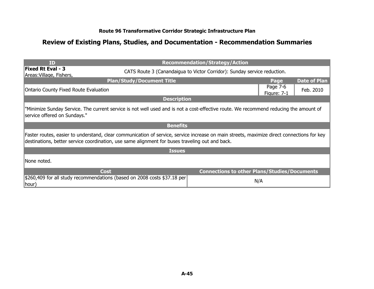| ID                                                                                                                                                                                                                                            |                                  | <b>Recommendation/Strategy/Action</b>               |                                |                     |
|-----------------------------------------------------------------------------------------------------------------------------------------------------------------------------------------------------------------------------------------------|----------------------------------|-----------------------------------------------------|--------------------------------|---------------------|
| <b>Fixed Rt Eval - 3</b><br>CATS Route 3 (Canandaigua to Victor Corridor): Sunday service reduction.<br>Areas: Village, Fishers,                                                                                                              |                                  |                                                     |                                |                     |
|                                                                                                                                                                                                                                               | <b>Plan/Study/Document Title</b> |                                                     | Page                           | <b>Date of Plan</b> |
| <b>Ontario County Fixed Route Evaluation</b>                                                                                                                                                                                                  |                                  |                                                     | Page 7-6<br><b>Figure: 7-1</b> | Feb. 2010           |
|                                                                                                                                                                                                                                               | <b>Description</b>               |                                                     |                                |                     |
| "Minimize Sunday Service. The current service is not well used and is not a cost-effective route. We recommend reducing the amount of<br>service offered on Sundays."                                                                         |                                  |                                                     |                                |                     |
|                                                                                                                                                                                                                                               | <b>Benefits</b>                  |                                                     |                                |                     |
| Faster routes, easier to understand, clear communication of service, service increase on main streets, maximize direct connections for key<br>destinations, better service coordination, use same alignment for buses traveling out and back. |                                  |                                                     |                                |                     |
|                                                                                                                                                                                                                                               | <b>Issues</b>                    |                                                     |                                |                     |
| INone noted.                                                                                                                                                                                                                                  |                                  |                                                     |                                |                     |
| <b>Cost</b>                                                                                                                                                                                                                                   |                                  | <b>Connections to other Plans/Studies/Documents</b> |                                |                     |
| \$260,409 for all study recommendations (based on 2008 costs \$37.18 per<br> hour)                                                                                                                                                            |                                  | N/A                                                 |                                |                     |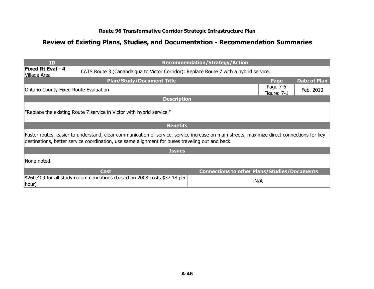| <b>ID</b>                                                                                                                         |                                                                                                                                                                                                                                               | <b>Recommendation/Strategy/Action</b>               |                         |                     |
|-----------------------------------------------------------------------------------------------------------------------------------|-----------------------------------------------------------------------------------------------------------------------------------------------------------------------------------------------------------------------------------------------|-----------------------------------------------------|-------------------------|---------------------|
| <b>Fixed Rt Eval - 4</b><br>CATS Route 3 (Canandaigua to Victor Corridor): Replace Route 7 with a hybrid service.<br>Village Area |                                                                                                                                                                                                                                               |                                                     |                         |                     |
|                                                                                                                                   | <b>Plan/Study/Document Title</b>                                                                                                                                                                                                              |                                                     | Page                    | <b>Date of Plan</b> |
| <b>Ontario County Fixed Route Evaluation</b>                                                                                      |                                                                                                                                                                                                                                               |                                                     | Page 7-6<br>Figure: 7-1 | Feb. 2010           |
|                                                                                                                                   | <b>Description</b>                                                                                                                                                                                                                            |                                                     |                         |                     |
|                                                                                                                                   | "Replace the existing Route 7 service in Victor with hybrid service."                                                                                                                                                                         |                                                     |                         |                     |
|                                                                                                                                   | <b>Benefits</b>                                                                                                                                                                                                                               |                                                     |                         |                     |
|                                                                                                                                   | Faster routes, easier to understand, clear communication of service, service increase on main streets, maximize direct connections for key<br>destinations, better service coordination, use same alignment for buses traveling out and back. |                                                     |                         |                     |
|                                                                                                                                   | <b>Issues</b>                                                                                                                                                                                                                                 |                                                     |                         |                     |
| None noted.                                                                                                                       |                                                                                                                                                                                                                                               |                                                     |                         |                     |
|                                                                                                                                   | <b>Cost</b>                                                                                                                                                                                                                                   | <b>Connections to other Plans/Studies/Documents</b> |                         |                     |
| hour)                                                                                                                             | \$260,409 for all study recommendations (based on 2008 costs \$37.18 per                                                                                                                                                                      | N/A                                                 |                         |                     |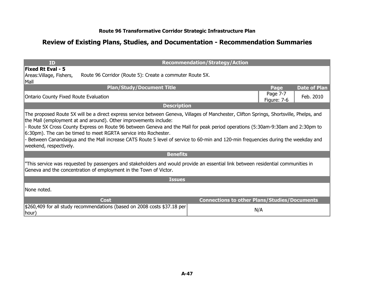| <b>ID</b>                                                                                                                                                                                                                                                                                                                                                                                                                                                                                                                                                                        |                    | <b>Recommendation/Strategy/Action</b>               |                         |                     |
|----------------------------------------------------------------------------------------------------------------------------------------------------------------------------------------------------------------------------------------------------------------------------------------------------------------------------------------------------------------------------------------------------------------------------------------------------------------------------------------------------------------------------------------------------------------------------------|--------------------|-----------------------------------------------------|-------------------------|---------------------|
| <b>Fixed Rt Eval - 5</b><br>Route 96 Corridor (Route 5): Create a commuter Route 5X.<br>Areas: Village, Fishers,<br>$\ $ Mall                                                                                                                                                                                                                                                                                                                                                                                                                                                    |                    |                                                     |                         |                     |
| <b>Plan/Study/Document Title</b>                                                                                                                                                                                                                                                                                                                                                                                                                                                                                                                                                 |                    |                                                     | Page                    | <b>Date of Plan</b> |
| <b>Ontario County Fixed Route Evaluation</b>                                                                                                                                                                                                                                                                                                                                                                                                                                                                                                                                     |                    |                                                     | Page 7-7<br>Figure: 7-6 | Feb. 2010           |
|                                                                                                                                                                                                                                                                                                                                                                                                                                                                                                                                                                                  | <b>Description</b> |                                                     |                         |                     |
| The proposed Route 5X will be a direct express service between Geneva, Villages of Manchester, Clifton Springs, Shortsville, Phelps, and<br>the Mall (employment at and around). Other improvements include:<br>- Route 5X Cross County Express on Route 96 between Geneva and the Mall for peak period operations (5:30am-9:30am and 2:30pm to<br>6:30pm). The can be timed to meet RGRTA service into Rochester.<br>Between Canandaigua and the Mall increase CATS Route 5 level of service to 60-min and 120-min frequencies during the weekday and<br>weekend, respectively. |                    |                                                     |                         |                     |
|                                                                                                                                                                                                                                                                                                                                                                                                                                                                                                                                                                                  | <b>Benefits</b>    |                                                     |                         |                     |
| "This service was requested by passengers and stakeholders and would provide an essential link between residential communities in<br>Geneva and the concentration of employment in the Town of Victor.                                                                                                                                                                                                                                                                                                                                                                           |                    |                                                     |                         |                     |
|                                                                                                                                                                                                                                                                                                                                                                                                                                                                                                                                                                                  | <b>Issues</b>      |                                                     |                         |                     |
| INone noted.                                                                                                                                                                                                                                                                                                                                                                                                                                                                                                                                                                     |                    |                                                     |                         |                     |
| <b>Cost</b>                                                                                                                                                                                                                                                                                                                                                                                                                                                                                                                                                                      |                    | <b>Connections to other Plans/Studies/Documents</b> |                         |                     |
| \$260,409 for all study recommendations (based on 2008 costs \$37.18 per<br>$ hour\rangle$                                                                                                                                                                                                                                                                                                                                                                                                                                                                                       |                    |                                                     | N/A                     |                     |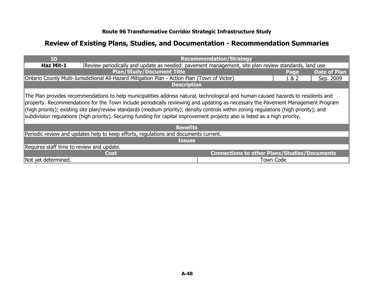| <b>ID</b>                                                                                                                                                                                                                                                                                                                                                                                                                                                                                                                                        |                                                                                                     | <b>Recommendation/Strategy</b>                      |                  |                     |  |
|--------------------------------------------------------------------------------------------------------------------------------------------------------------------------------------------------------------------------------------------------------------------------------------------------------------------------------------------------------------------------------------------------------------------------------------------------------------------------------------------------------------------------------------------------|-----------------------------------------------------------------------------------------------------|-----------------------------------------------------|------------------|---------------------|--|
| <b>Haz Mit-1</b>                                                                                                                                                                                                                                                                                                                                                                                                                                                                                                                                 | Review periodically and update as needed: pavement management, site plan review standards, land use |                                                     |                  |                     |  |
|                                                                                                                                                                                                                                                                                                                                                                                                                                                                                                                                                  | <b>Plan/Study/Document Title</b>                                                                    |                                                     | Page             | <b>Date of Plan</b> |  |
|                                                                                                                                                                                                                                                                                                                                                                                                                                                                                                                                                  | Ontario County Multi-Jurisdictional All-Hazard Mitigation Plan - Action Plan (Town of Victor)       |                                                     | 1& 2             | Sep. 2009           |  |
|                                                                                                                                                                                                                                                                                                                                                                                                                                                                                                                                                  | <b>Description</b>                                                                                  |                                                     |                  |                     |  |
| The Plan provides recommendations to help municipalities address natural, technological and human-caused hazards to residents and<br>property. Recommendations for the Town include periodically reviewing and updating as necessary the Pavement Management Program<br>(high priority); existing site plan/review standards (medium priority); density controls within zoning regulations (high priority); and<br>subdivision regulations (high priority). Securing funding for capital improvement projects also is listed as a high priority. |                                                                                                     |                                                     |                  |                     |  |
|                                                                                                                                                                                                                                                                                                                                                                                                                                                                                                                                                  | <b>Benefits</b>                                                                                     |                                                     |                  |                     |  |
|                                                                                                                                                                                                                                                                                                                                                                                                                                                                                                                                                  | Periodic review and updates help to keep efforts, regulations and documents current.                |                                                     |                  |                     |  |
|                                                                                                                                                                                                                                                                                                                                                                                                                                                                                                                                                  | <b>Issues</b>                                                                                       |                                                     |                  |                     |  |
| Requires staff time to review and update.                                                                                                                                                                                                                                                                                                                                                                                                                                                                                                        |                                                                                                     |                                                     |                  |                     |  |
|                                                                                                                                                                                                                                                                                                                                                                                                                                                                                                                                                  | <b>Cost</b>                                                                                         | <b>Connections to other Plans/Studies/Documents</b> |                  |                     |  |
| Not yet determined.                                                                                                                                                                                                                                                                                                                                                                                                                                                                                                                              |                                                                                                     |                                                     | <b>Town Code</b> |                     |  |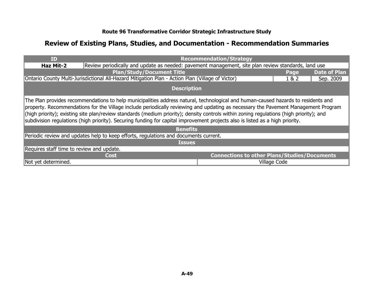| <b>ID</b>                                                                                                                                                                                                                                                                                                                                                                                                                                                                                                                                           |                                                                                                     | <b>Recommendation/Strategy</b>                      |              |                     |  |
|-----------------------------------------------------------------------------------------------------------------------------------------------------------------------------------------------------------------------------------------------------------------------------------------------------------------------------------------------------------------------------------------------------------------------------------------------------------------------------------------------------------------------------------------------------|-----------------------------------------------------------------------------------------------------|-----------------------------------------------------|--------------|---------------------|--|
| <b>Haz Mit-2</b>                                                                                                                                                                                                                                                                                                                                                                                                                                                                                                                                    | Review periodically and update as needed: pavement management, site plan review standards, land use |                                                     |              |                     |  |
|                                                                                                                                                                                                                                                                                                                                                                                                                                                                                                                                                     | <b>Plan/Study/Document Title</b>                                                                    |                                                     | Page         | <b>Date of Plan</b> |  |
|                                                                                                                                                                                                                                                                                                                                                                                                                                                                                                                                                     | Ontario County Multi-Jurisdictional All-Hazard Mitigation Plan - Action Plan (Village of Victor)    |                                                     | 1 & 2        | Sep. 2009           |  |
|                                                                                                                                                                                                                                                                                                                                                                                                                                                                                                                                                     | <b>Description</b>                                                                                  |                                                     |              |                     |  |
| The Plan provides recommendations to help municipalities address natural, technological and human-caused hazards to residents and<br>property. Recommendations for the Village include periodically reviewing and updating as necessary the Pavement Management Program<br>(high priority); existing site plan/review standards (medium priority); density controls within zoning regulations (high priority); and<br>subdivision regulations (high priority). Securing funding for capital improvement projects also is listed as a high priority. |                                                                                                     |                                                     |              |                     |  |
|                                                                                                                                                                                                                                                                                                                                                                                                                                                                                                                                                     | <b>Benefits</b>                                                                                     |                                                     |              |                     |  |
|                                                                                                                                                                                                                                                                                                                                                                                                                                                                                                                                                     | Periodic review and updates help to keep efforts, regulations and documents current.                |                                                     |              |                     |  |
|                                                                                                                                                                                                                                                                                                                                                                                                                                                                                                                                                     | <b>Issues</b>                                                                                       |                                                     |              |                     |  |
| Requires staff time to review and update.                                                                                                                                                                                                                                                                                                                                                                                                                                                                                                           |                                                                                                     |                                                     |              |                     |  |
|                                                                                                                                                                                                                                                                                                                                                                                                                                                                                                                                                     | <b>Cost</b>                                                                                         | <b>Connections to other Plans/Studies/Documents</b> |              |                     |  |
| Not yet determined.                                                                                                                                                                                                                                                                                                                                                                                                                                                                                                                                 |                                                                                                     |                                                     | Village Code |                     |  |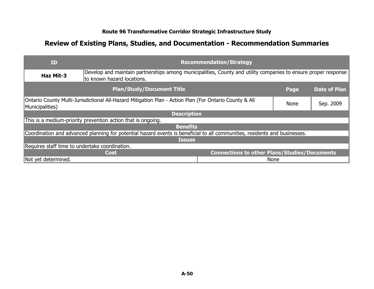| ID                                                                                                                        |                                                                                                                                              | <b>Recommendation/Strategy</b>                      |             |                     |
|---------------------------------------------------------------------------------------------------------------------------|----------------------------------------------------------------------------------------------------------------------------------------------|-----------------------------------------------------|-------------|---------------------|
| Haz Mit-3                                                                                                                 | Develop and maintain partnerships among municipalities, County and utility companies to ensure proper response<br>to known hazard locations. |                                                     |             |                     |
|                                                                                                                           | <b>Plan/Study/Document Title</b>                                                                                                             |                                                     | Page        | <b>Date of Plan</b> |
| Ontario County Multi-Jurisdictional All-Hazard Mitigation Plan - Action Plan (For Ontario County & All<br>Municipalities) |                                                                                                                                              | <b>None</b>                                         | Sep. 2009   |                     |
|                                                                                                                           | <b>Description</b>                                                                                                                           |                                                     |             |                     |
|                                                                                                                           | This is a medium-priority prevention action that is ongoing.                                                                                 |                                                     |             |                     |
|                                                                                                                           | <b>Benefits</b>                                                                                                                              |                                                     |             |                     |
|                                                                                                                           | Coordination and advanced planning for potential hazard events is beneficial to all communities, residents and businesses.                   |                                                     |             |                     |
|                                                                                                                           | <b>Issues</b>                                                                                                                                |                                                     |             |                     |
| Requires staff time to undertake coordination.                                                                            |                                                                                                                                              |                                                     |             |                     |
|                                                                                                                           | <b>Cost</b>                                                                                                                                  | <b>Connections to other Plans/Studies/Documents</b> |             |                     |
| Not yet determined.                                                                                                       |                                                                                                                                              |                                                     | <b>None</b> |                     |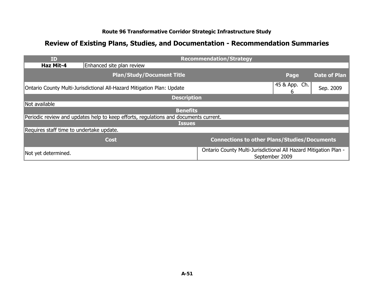| <b>ID</b>                                |                                                                                      | <b>Recommendation/Strategy</b>                                   |                    |                     |
|------------------------------------------|--------------------------------------------------------------------------------------|------------------------------------------------------------------|--------------------|---------------------|
| Haz Mit-4                                | Enhanced site plan review                                                            |                                                                  |                    |                     |
|                                          | <b>Plan/Study/Document Title</b>                                                     |                                                                  | Page               | <b>Date of Plan</b> |
|                                          | Ontario County Multi-Jurisdictional All-Hazard Mitigation Plan: Update               |                                                                  | 45 & App. Ch.<br>6 | Sep. 2009           |
|                                          | <b>Description</b>                                                                   |                                                                  |                    |                     |
| Not available                            |                                                                                      |                                                                  |                    |                     |
|                                          | <b>Benefits</b>                                                                      |                                                                  |                    |                     |
|                                          | Periodic review and updates help to keep efforts, regulations and documents current. |                                                                  |                    |                     |
|                                          | <b>Issues</b>                                                                        |                                                                  |                    |                     |
| Requires staff time to undertake update. |                                                                                      |                                                                  |                    |                     |
|                                          | <b>Cost</b>                                                                          | <b>Connections to other Plans/Studies/Documents</b>              |                    |                     |
| Not yet determined.                      |                                                                                      | Ontario County Multi-Jurisdictional All Hazard Mitigation Plan - | September 2009     |                     |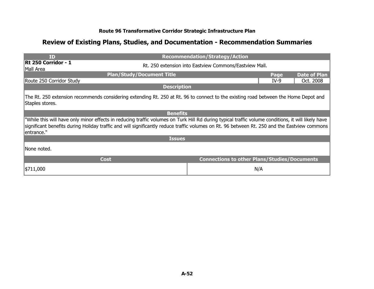| <b>ID</b>                                                                                                                                                                                                                                                                                                         | <b>Recommendation/Strategy/Action</b>                  |        |                     |
|-------------------------------------------------------------------------------------------------------------------------------------------------------------------------------------------------------------------------------------------------------------------------------------------------------------------|--------------------------------------------------------|--------|---------------------|
| Rt 250 Corridor - 1<br>Mall Area                                                                                                                                                                                                                                                                                  | Rt. 250 extension into Eastview Commons/Eastview Mall. |        |                     |
| <b>Plan/Study/Document Title</b>                                                                                                                                                                                                                                                                                  |                                                        | Page   | <b>Date of Plan</b> |
| Route 250 Corridor Study                                                                                                                                                                                                                                                                                          |                                                        | $IV-9$ | Oct. 2008           |
| <b>Description</b>                                                                                                                                                                                                                                                                                                |                                                        |        |                     |
| The Rt. 250 extension recommends considering extending Rt. 250 at Rt. 96 to connect to the existing road between the Home Depot and<br>Staples stores.                                                                                                                                                            |                                                        |        |                     |
| <b>Benefits</b>                                                                                                                                                                                                                                                                                                   |                                                        |        |                     |
| "While this will have only minor effects in reducing traffic volumes on Turk Hill Rd during typical traffic volume conditions, it will likely have<br>significant benefits during Holiday traffic and will significantly reduce traffic volumes on Rt. 96 between Rt. 250 and the Eastview commons<br>lentrance." |                                                        |        |                     |
| <b>Issues</b>                                                                                                                                                                                                                                                                                                     |                                                        |        |                     |
| INone noted.                                                                                                                                                                                                                                                                                                      |                                                        |        |                     |
| <b>Cost</b>                                                                                                                                                                                                                                                                                                       | <b>Connections to other Plans/Studies/Documents</b>    |        |                     |
| \$711,000                                                                                                                                                                                                                                                                                                         | N/A                                                    |        |                     |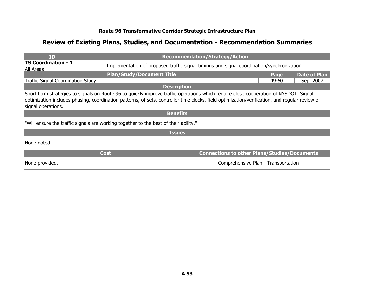| ID                                                                                                                                                                                                                                                                                                          | <b>Recommendation/Strategy/Action</b>                                                      |                                                     |       |                     |
|-------------------------------------------------------------------------------------------------------------------------------------------------------------------------------------------------------------------------------------------------------------------------------------------------------------|--------------------------------------------------------------------------------------------|-----------------------------------------------------|-------|---------------------|
| <b>TS Coordination - 1</b><br>All Areas                                                                                                                                                                                                                                                                     | Implementation of proposed traffic signal timings and signal coordination/synchronization. |                                                     |       |                     |
|                                                                                                                                                                                                                                                                                                             | <b>Plan/Study/Document Title</b>                                                           |                                                     | Page  | <b>Date of Plan</b> |
| Traffic Signal Coordination Study                                                                                                                                                                                                                                                                           |                                                                                            |                                                     | 49-50 | Sep. 2007           |
|                                                                                                                                                                                                                                                                                                             | <b>Description</b>                                                                         |                                                     |       |                     |
| Short term strategies to signals on Route 96 to quickly improve traffic operations which require close cooperation of NYSDOT. Signal<br>optimization includes phasing, coordination patterns, offsets, controller time clocks, field optimization/verification, and regular review of<br>signal operations. |                                                                                            |                                                     |       |                     |
|                                                                                                                                                                                                                                                                                                             | <b>Benefits</b>                                                                            |                                                     |       |                     |
|                                                                                                                                                                                                                                                                                                             | "Will ensure the traffic signals are working together to the best of their ability."       |                                                     |       |                     |
|                                                                                                                                                                                                                                                                                                             | <b>Issues</b>                                                                              |                                                     |       |                     |
| INone noted.                                                                                                                                                                                                                                                                                                |                                                                                            |                                                     |       |                     |
|                                                                                                                                                                                                                                                                                                             | <b>Cost</b>                                                                                | <b>Connections to other Plans/Studies/Documents</b> |       |                     |
| None provided.                                                                                                                                                                                                                                                                                              |                                                                                            | Comprehensive Plan - Transportation                 |       |                     |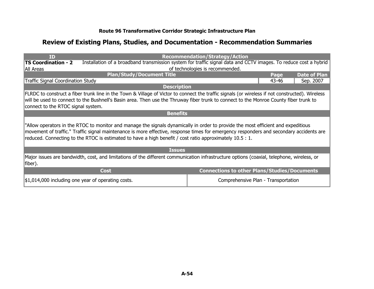| <b>TD</b>                                                                                                                                                                                                                                                                                                                                                                                |                                                                                                                                                 | <b>Recommendation/Strategy/Action</b>               |       |                     |
|------------------------------------------------------------------------------------------------------------------------------------------------------------------------------------------------------------------------------------------------------------------------------------------------------------------------------------------------------------------------------------------|-------------------------------------------------------------------------------------------------------------------------------------------------|-----------------------------------------------------|-------|---------------------|
| <b>TS Coordination - 2</b>                                                                                                                                                                                                                                                                                                                                                               | Installation of a broadband transmission system for traffic signal data and CCTV images. To reduce cost a hybrid                                |                                                     |       |                     |
| All Areas                                                                                                                                                                                                                                                                                                                                                                                |                                                                                                                                                 | of technologies is recommended.                     |       |                     |
|                                                                                                                                                                                                                                                                                                                                                                                          | <b>Plan/Study/Document Title</b>                                                                                                                |                                                     | Page  | <b>Date of Plan</b> |
| Traffic Signal Coordination Study                                                                                                                                                                                                                                                                                                                                                        |                                                                                                                                                 |                                                     | 43-46 | Sep. 2007           |
|                                                                                                                                                                                                                                                                                                                                                                                          | <b>Description</b>                                                                                                                              |                                                     |       |                     |
|                                                                                                                                                                                                                                                                                                                                                                                          | FLRDC to construct a fiber trunk line in the Town & Village of Victor to connect the traffic signals (or wireless if not constructed). Wireless |                                                     |       |                     |
|                                                                                                                                                                                                                                                                                                                                                                                          | will be used to connect to the Bushnell's Basin area. Then use the Thruway fiber trunk to connect to the Monroe County fiber trunk to           |                                                     |       |                     |
| connect to the RTOC signal system.                                                                                                                                                                                                                                                                                                                                                       |                                                                                                                                                 |                                                     |       |                     |
|                                                                                                                                                                                                                                                                                                                                                                                          | <b>Benefits</b>                                                                                                                                 |                                                     |       |                     |
| "Allow operators in the RTOC to monitor and manage the signals dynamically in order to provide the most efficient and expeditious<br>movement of traffic." Traffic signal maintenance is more effective, response times for emergency responders and secondary accidents are<br>reduced. Connecting to the RTOC is estimated to have a high benefit / cost ratio approximately 10.5 : 1. |                                                                                                                                                 |                                                     |       |                     |
|                                                                                                                                                                                                                                                                                                                                                                                          | <b>Issues</b>                                                                                                                                   |                                                     |       |                     |
| fiber).                                                                                                                                                                                                                                                                                                                                                                                  | Major issues are bandwidth, cost, and limitations of the different communication infrastructure options (coaxial, telephone, wireless, or       |                                                     |       |                     |
|                                                                                                                                                                                                                                                                                                                                                                                          | <b>Cost</b>                                                                                                                                     | <b>Connections to other Plans/Studies/Documents</b> |       |                     |
| $\mid$ \$1,014,000 including one year of operating costs.                                                                                                                                                                                                                                                                                                                                |                                                                                                                                                 | Comprehensive Plan - Transportation                 |       |                     |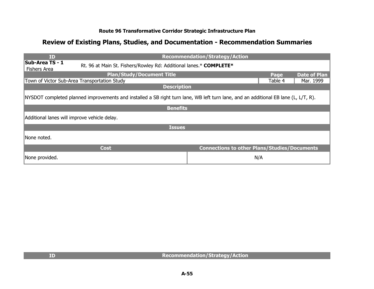| ID                                            |                                                                                                                                     | <b>Recommendation/Strategy/Action</b>               |         |                     |
|-----------------------------------------------|-------------------------------------------------------------------------------------------------------------------------------------|-----------------------------------------------------|---------|---------------------|
| <b>Sub-Area TS - 1</b><br><b>Fishers Area</b> | Rt. 96 at Main St. Fishers/Rowley Rd: Additional lanes.* COMPLETE*                                                                  |                                                     |         |                     |
|                                               | <b>Plan/Study/Document Title</b>                                                                                                    |                                                     | Page    | <b>Date of Plan</b> |
|                                               | Town of Victor Sub-Area Transportation Study                                                                                        |                                                     | Table 4 | Mar. 1999           |
|                                               | <b>Description</b>                                                                                                                  |                                                     |         |                     |
|                                               | NYSDOT completed planned improvements and installed a SB right turn lane, WB left turn lane, and an additional EB lane (L, L/T, R). |                                                     |         |                     |
|                                               | <b>Benefits</b>                                                                                                                     |                                                     |         |                     |
| Additional lanes will improve vehicle delay.  |                                                                                                                                     |                                                     |         |                     |
|                                               | <b>Issues</b>                                                                                                                       |                                                     |         |                     |
| INone noted.                                  |                                                                                                                                     |                                                     |         |                     |
|                                               | <b>Cost</b>                                                                                                                         | <b>Connections to other Plans/Studies/Documents</b> |         |                     |
| None provided.                                |                                                                                                                                     |                                                     | N/A     |                     |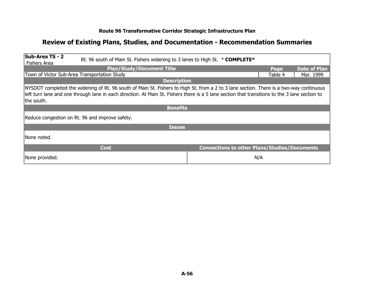| Sub-Area TS - 2                                                                                                                                                                                                                                                                                         |                                  | Rt. 96 south of Main St. Fishers widening to 3 lanes to High St. * <b>COMPLETE*</b> |         |                     |
|---------------------------------------------------------------------------------------------------------------------------------------------------------------------------------------------------------------------------------------------------------------------------------------------------------|----------------------------------|-------------------------------------------------------------------------------------|---------|---------------------|
| <b>Fishers Area</b>                                                                                                                                                                                                                                                                                     |                                  |                                                                                     |         |                     |
|                                                                                                                                                                                                                                                                                                         | <b>Plan/Study/Document Title</b> |                                                                                     | Page    | <b>Date of Plan</b> |
| Town of Victor Sub-Area Transportation Study                                                                                                                                                                                                                                                            |                                  |                                                                                     | Table 4 | Mar. 1999           |
|                                                                                                                                                                                                                                                                                                         | <b>Description</b>               |                                                                                     |         |                     |
| NYSDOT completed the widening of Rt. 96 south of Main St. Fishers to High St. from a 2 to 3 lane section. There is a two-way continuous<br>left turn lane and one through lane in each direction. At Main St. Fishers there is a 5 lane section that transitions to the 3 lane section to<br>the south. |                                  |                                                                                     |         |                     |
|                                                                                                                                                                                                                                                                                                         | <b>Benefits</b>                  |                                                                                     |         |                     |
| Reduce congestion on Rt. 96 and improve safety.                                                                                                                                                                                                                                                         |                                  |                                                                                     |         |                     |
|                                                                                                                                                                                                                                                                                                         | <b>Issues</b>                    |                                                                                     |         |                     |
| INone noted.                                                                                                                                                                                                                                                                                            |                                  |                                                                                     |         |                     |
| <b>Cost</b>                                                                                                                                                                                                                                                                                             |                                  | <b>Connections to other Plans/Studies/Documents</b>                                 |         |                     |
| None provided.                                                                                                                                                                                                                                                                                          |                                  |                                                                                     | N/A     |                     |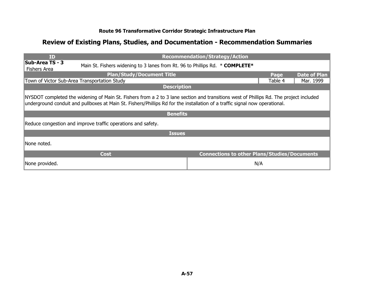| <b>ID</b>                                                                                                                                                                                                                                                             |                                                                                     | <b>Recommendation/Strategy/Action</b>               |         |                     |
|-----------------------------------------------------------------------------------------------------------------------------------------------------------------------------------------------------------------------------------------------------------------------|-------------------------------------------------------------------------------------|-----------------------------------------------------|---------|---------------------|
| <b>Sub-Area TS - 3</b><br><b>Fishers Area</b>                                                                                                                                                                                                                         | Main St. Fishers widening to 3 lanes from Rt. 96 to Phillips Rd. * <b>COMPLETE*</b> |                                                     |         |                     |
|                                                                                                                                                                                                                                                                       | <b>Plan/Study/Document Title</b>                                                    |                                                     |         | <b>Date of Plan</b> |
|                                                                                                                                                                                                                                                                       | Town of Victor Sub-Area Transportation Study                                        |                                                     | Table 4 | Mar. 1999           |
|                                                                                                                                                                                                                                                                       | <b>Description</b>                                                                  |                                                     |         |                     |
| NYSDOT completed the widening of Main St. Fishers from a 2 to 3 lane section and transitions west of Phillips Rd. The project included<br>underground conduit and pullboxes at Main St. Fishers/Phillips Rd for the installation of a traffic signal now operational. |                                                                                     |                                                     |         |                     |
|                                                                                                                                                                                                                                                                       | <b>Benefits</b>                                                                     |                                                     |         |                     |
|                                                                                                                                                                                                                                                                       | Reduce congestion and improve traffic operations and safety.                        |                                                     |         |                     |
|                                                                                                                                                                                                                                                                       | <b>Issues</b>                                                                       |                                                     |         |                     |
| None noted.                                                                                                                                                                                                                                                           |                                                                                     |                                                     |         |                     |
|                                                                                                                                                                                                                                                                       | <b>Cost</b>                                                                         | <b>Connections to other Plans/Studies/Documents</b> |         |                     |
| None provided.                                                                                                                                                                                                                                                        |                                                                                     |                                                     | N/A     |                     |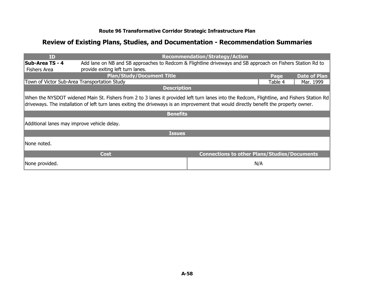| ID                                           |                                                                                                                                                                                                                                                                                      | <b>Recommendation/Strategy/Action</b>               |         |                     |  |
|----------------------------------------------|--------------------------------------------------------------------------------------------------------------------------------------------------------------------------------------------------------------------------------------------------------------------------------------|-----------------------------------------------------|---------|---------------------|--|
| <b>Sub-Area TS - 4</b>                       | Add lane on NB and SB approaches to Redcom & Flightline driveways and SB approach on Fishers Station Rd to                                                                                                                                                                           |                                                     |         |                     |  |
| <b>Fishers Area</b>                          | provide exiting left turn lanes.                                                                                                                                                                                                                                                     |                                                     |         |                     |  |
|                                              | <b>Plan/Study/Document Title</b>                                                                                                                                                                                                                                                     |                                                     | Page    | <b>Date of Plan</b> |  |
| Town of Victor Sub-Area Transportation Study |                                                                                                                                                                                                                                                                                      |                                                     | Table 4 | Mar. 1999           |  |
|                                              | <b>Description</b>                                                                                                                                                                                                                                                                   |                                                     |         |                     |  |
|                                              | When the NYSDOT widened Main St. Fishers from 2 to 3 lanes it provided left turn lanes into the Redcom, Flightline, and Fishers Station Rd<br>driveways. The installation of left turn lanes exiting the driveways is an improvement that would directly benefit the property owner. |                                                     |         |                     |  |
|                                              | <b>Benefits</b>                                                                                                                                                                                                                                                                      |                                                     |         |                     |  |
| Additional lanes may improve vehicle delay.  |                                                                                                                                                                                                                                                                                      |                                                     |         |                     |  |
|                                              | <b>Issues</b>                                                                                                                                                                                                                                                                        |                                                     |         |                     |  |
| INone noted.                                 |                                                                                                                                                                                                                                                                                      |                                                     |         |                     |  |
|                                              | Cost                                                                                                                                                                                                                                                                                 | <b>Connections to other Plans/Studies/Documents</b> |         |                     |  |
| None provided.                               |                                                                                                                                                                                                                                                                                      |                                                     | N/A     |                     |  |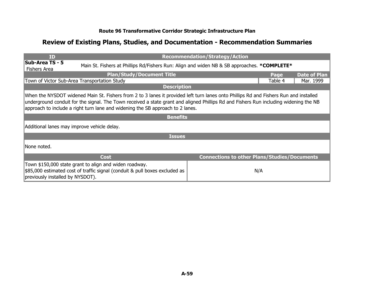| <b>ID</b>                                                                                                                                                                                                                                                                                                                                                        |                                                                                                                                       | <b>Recommendation/Strategy/Action</b>               |         |                     |
|------------------------------------------------------------------------------------------------------------------------------------------------------------------------------------------------------------------------------------------------------------------------------------------------------------------------------------------------------------------|---------------------------------------------------------------------------------------------------------------------------------------|-----------------------------------------------------|---------|---------------------|
| <b>Sub-Area TS - 5</b><br><b>Fishers Area</b>                                                                                                                                                                                                                                                                                                                    | Main St. Fishers at Phillips Rd/Fishers Run: Align and widen NB & SB approaches. * <b>COMPLETE</b> *                                  |                                                     |         |                     |
|                                                                                                                                                                                                                                                                                                                                                                  | <b>Plan/Study/Document Title</b>                                                                                                      |                                                     |         | <b>Date of Plan</b> |
|                                                                                                                                                                                                                                                                                                                                                                  | Town of Victor Sub-Area Transportation Study                                                                                          |                                                     | Table 4 | Mar. 1999           |
|                                                                                                                                                                                                                                                                                                                                                                  | <b>Description</b>                                                                                                                    |                                                     |         |                     |
| When the NYSDOT widened Main St. Fishers from 2 to 3 lanes it provided left turn lanes onto Phillips Rd and Fishers Run and installed<br>underground conduit for the signal. The Town received a state grant and aligned Phillips Rd and Fishers Run including widening the NB<br>approach to include a right turn lane and widening the SB approach to 2 lanes. |                                                                                                                                       |                                                     |         |                     |
|                                                                                                                                                                                                                                                                                                                                                                  | <b>Benefits</b>                                                                                                                       |                                                     |         |                     |
| Additional lanes may improve vehicle delay.                                                                                                                                                                                                                                                                                                                      |                                                                                                                                       |                                                     |         |                     |
|                                                                                                                                                                                                                                                                                                                                                                  | <b>Issues</b>                                                                                                                         |                                                     |         |                     |
| INone noted.                                                                                                                                                                                                                                                                                                                                                     |                                                                                                                                       |                                                     |         |                     |
|                                                                                                                                                                                                                                                                                                                                                                  | <b>Cost</b>                                                                                                                           | <b>Connections to other Plans/Studies/Documents</b> |         |                     |
| previously installed by NYSDOT).                                                                                                                                                                                                                                                                                                                                 | Town \$150,000 state grant to align and widen roadway.<br>\$85,000 estimated cost of traffic signal (conduit & pull boxes excluded as |                                                     | N/A     |                     |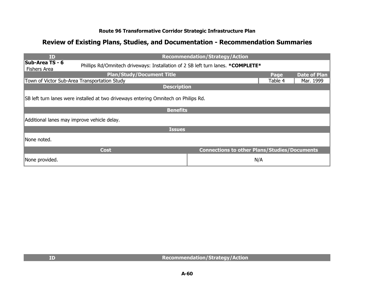| ID                                                                                  |                                                                                  | <b>Recommendation/Strategy/Action</b>               |         |                     |
|-------------------------------------------------------------------------------------|----------------------------------------------------------------------------------|-----------------------------------------------------|---------|---------------------|
| <b>Sub-Area TS - 6</b><br><b>Fishers Area</b>                                       | Phillips Rd/Omnitech driveways: Installation of 2 SB left turn lanes. *COMPLETE* |                                                     |         |                     |
|                                                                                     | <b>Plan/Study/Document Title</b>                                                 |                                                     | Page    | <b>Date of Plan</b> |
|                                                                                     | Town of Victor Sub-Area Transportation Study                                     |                                                     | Table 4 | Mar. 1999           |
|                                                                                     | <b>Description</b>                                                               |                                                     |         |                     |
| SB left turn lanes were installed at two driveways entering Omnitech on Philips Rd. |                                                                                  |                                                     |         |                     |
|                                                                                     | <b>Benefits</b>                                                                  |                                                     |         |                     |
| Additional lanes may improve vehicle delay.                                         |                                                                                  |                                                     |         |                     |
|                                                                                     | <b>Issues</b>                                                                    |                                                     |         |                     |
| None noted.                                                                         |                                                                                  |                                                     |         |                     |
|                                                                                     | <b>Cost</b>                                                                      | <b>Connections to other Plans/Studies/Documents</b> |         |                     |
| None provided.                                                                      |                                                                                  |                                                     | N/A     |                     |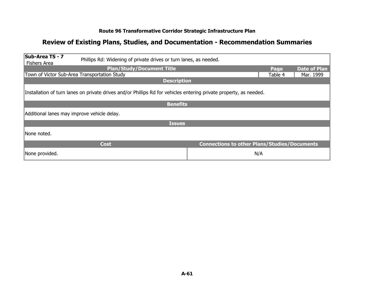| Sub-Area TS - 7<br>Phillips Rd: Widening of private drives or turn lanes, as needed.<br><b>Fishers Area</b>        |                                                     |         |                     |  |
|--------------------------------------------------------------------------------------------------------------------|-----------------------------------------------------|---------|---------------------|--|
| <b>Plan/Study/Document Title</b>                                                                                   |                                                     | Page    | <b>Date of Plan</b> |  |
| Town of Victor Sub-Area Transportation Study                                                                       |                                                     | Table 4 | Mar. 1999           |  |
| <b>Description</b>                                                                                                 |                                                     |         |                     |  |
| Installation of turn lanes on private drives and/or Phillips Rd for vehicles entering private property, as needed. |                                                     |         |                     |  |
| <b>Benefits</b>                                                                                                    |                                                     |         |                     |  |
| Additional lanes may improve vehicle delay.                                                                        |                                                     |         |                     |  |
| <b>Issues</b>                                                                                                      |                                                     |         |                     |  |
| INone noted.                                                                                                       |                                                     |         |                     |  |
| <b>Cost</b>                                                                                                        | <b>Connections to other Plans/Studies/Documents</b> |         |                     |  |
| None provided.                                                                                                     | N/A                                                 |         |                     |  |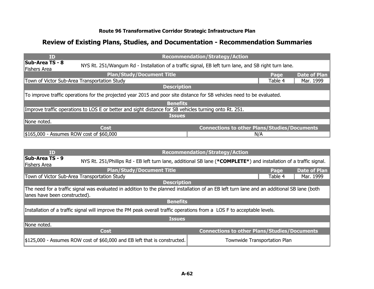| ID                                           |                                                                                                                        | <b>Recommendation/Strategy/Action</b>               |         |                     |
|----------------------------------------------|------------------------------------------------------------------------------------------------------------------------|-----------------------------------------------------|---------|---------------------|
| <b>Sub-Area TS - 8</b><br>Fishers Area       | NYS Rt. 251/Wangum Rd - Installation of a traffic signal, EB left turn lane, and SB right turn lane.                   |                                                     |         |                     |
|                                              | <b>Plan/Study/Document Title</b>                                                                                       |                                                     | Page    | <b>Date of Plan</b> |
| Town of Victor Sub-Area Transportation Study |                                                                                                                        |                                                     | Table 4 | Mar. 1999           |
|                                              | <b>Description</b>                                                                                                     |                                                     |         |                     |
|                                              | To improve traffic operations for the projected year 2015 and poor site distance for SB vehicles need to be evaluated. |                                                     |         |                     |
|                                              | <b>Benefits</b>                                                                                                        |                                                     |         |                     |
|                                              | Improve traffic operations to LOS E or better and sight distance for SB vehicles turning onto Rt. 251.                 |                                                     |         |                     |
|                                              | <b>Issues</b>                                                                                                          |                                                     |         |                     |
| None noted.                                  |                                                                                                                        |                                                     |         |                     |
|                                              | <b>Cost</b>                                                                                                            | <b>Connections to other Plans/Studies/Documents</b> |         |                     |
| \$165,000 - Assumes ROW cost of \$60,000     |                                                                                                                        | N/A                                                 |         |                     |

| <b>ID</b>                                                                                                                                                                    |                                                                                                                         | <b>Recommendation/Strategy/Action</b>               |                              |                     |
|------------------------------------------------------------------------------------------------------------------------------------------------------------------------------|-------------------------------------------------------------------------------------------------------------------------|-----------------------------------------------------|------------------------------|---------------------|
| Sub-Area TS - 9<br>Fishers Area                                                                                                                                              | NYS Rt. 251/Phillips Rd - EB left turn lane, additional SB lane (*COMPLETE*) and installation of a traffic signal.      |                                                     |                              |                     |
|                                                                                                                                                                              | <b>Plan/Study/Document Title</b>                                                                                        |                                                     | Page                         | <b>Date of Plan</b> |
| Town of Victor Sub-Area Transportation Study                                                                                                                                 |                                                                                                                         |                                                     | Table 4                      | Mar. 1999           |
|                                                                                                                                                                              | <b>Description</b>                                                                                                      |                                                     |                              |                     |
| The need for a traffic signal was evaluated in addition to the planned installation of an EB left turn lane and an additional SB lane (both<br>lanes have been constructed). |                                                                                                                         |                                                     |                              |                     |
|                                                                                                                                                                              | <b>Benefits</b>                                                                                                         |                                                     |                              |                     |
|                                                                                                                                                                              | Installation of a traffic signal will improve the PM peak overall traffic operations from a LOS F to acceptable levels. |                                                     |                              |                     |
|                                                                                                                                                                              | <b>Issues</b>                                                                                                           |                                                     |                              |                     |
| None noted.                                                                                                                                                                  |                                                                                                                         |                                                     |                              |                     |
|                                                                                                                                                                              | <b>Cost</b>                                                                                                             | <b>Connections to other Plans/Studies/Documents</b> |                              |                     |
|                                                                                                                                                                              | \$125,000 - Assumes ROW cost of \$60,000 and EB left that is constructed.                                               |                                                     | Townwide Transportation Plan |                     |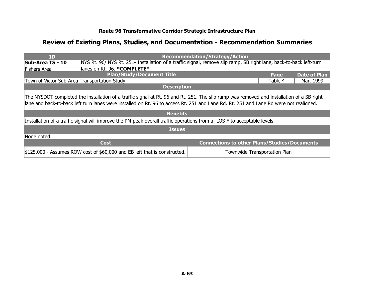| <b>ID</b>                                    |                                                                                                                                                                                                                                                                                    | <b>Recommendation/Strategy/Action</b>               |         |                     |
|----------------------------------------------|------------------------------------------------------------------------------------------------------------------------------------------------------------------------------------------------------------------------------------------------------------------------------------|-----------------------------------------------------|---------|---------------------|
| <b>Sub-Area TS - 10</b>                      | NYS Rt. 96/ NYS Rt. 251- Installation of a traffic signal, remove slip ramp, SB right lane, back-to-back left-turn                                                                                                                                                                 |                                                     |         |                     |
| Fishers Area                                 | lanes on Rt. 96. * COMPLETE*                                                                                                                                                                                                                                                       |                                                     |         |                     |
|                                              | <b>Plan/Study/Document Title</b>                                                                                                                                                                                                                                                   |                                                     | Page    | <b>Date of Plan</b> |
| Town of Victor Sub-Area Transportation Study |                                                                                                                                                                                                                                                                                    |                                                     | Table 4 | Mar. 1999           |
|                                              | <b>Description</b>                                                                                                                                                                                                                                                                 |                                                     |         |                     |
|                                              | The NYSDOT completed the installation of a traffic signal at Rt. 96 and Rt. 251. The slip ramp was removed and installation of a SB right<br>lane and back-to-back left turn lanes were installed on Rt. 96 to access Rt. 251 and Lane Rd. Rt. 251 and Lane Rd were not realigned. |                                                     |         |                     |
|                                              | <b>Benefits</b>                                                                                                                                                                                                                                                                    |                                                     |         |                     |
|                                              | Installation of a traffic signal will improve the PM peak overall traffic operations from a LOS F to acceptable levels.                                                                                                                                                            |                                                     |         |                     |
|                                              | <b>Issues</b>                                                                                                                                                                                                                                                                      |                                                     |         |                     |
| None noted.                                  |                                                                                                                                                                                                                                                                                    |                                                     |         |                     |
|                                              | <b>Cost</b>                                                                                                                                                                                                                                                                        | <b>Connections to other Plans/Studies/Documents</b> |         |                     |
|                                              | \$125,000 - Assumes ROW cost of \$60,000 and EB left that is constructed.                                                                                                                                                                                                          | Townwide Transportation Plan                        |         |                     |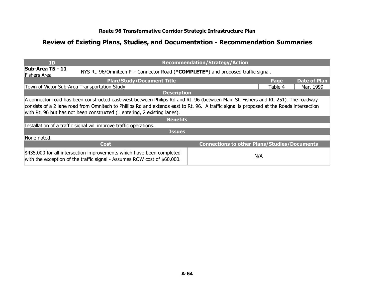| <b>ID</b>                                                                                                                                                                                                                                                                                                                                                                     |                                                                                                                                                   | <b>Recommendation/Strategy/Action</b>               |         |                     |
|-------------------------------------------------------------------------------------------------------------------------------------------------------------------------------------------------------------------------------------------------------------------------------------------------------------------------------------------------------------------------------|---------------------------------------------------------------------------------------------------------------------------------------------------|-----------------------------------------------------|---------|---------------------|
| Sub-Area TS - 11<br>Fishers Area                                                                                                                                                                                                                                                                                                                                              | NYS Rt. 96/Omnitech PI - Connector Road (*COMPLETE*) and proposed traffic signal.                                                                 |                                                     |         |                     |
|                                                                                                                                                                                                                                                                                                                                                                               | <b>Plan/Study/Document Title</b>                                                                                                                  |                                                     |         | <b>Date of Plan</b> |
| Town of Victor Sub-Area Transportation Study                                                                                                                                                                                                                                                                                                                                  |                                                                                                                                                   |                                                     | Table 4 | Mar. 1999           |
|                                                                                                                                                                                                                                                                                                                                                                               | <b>Description</b>                                                                                                                                |                                                     |         |                     |
| A connector road has been constructed east-west between Philips Rd and Rt. 96 (between Main St. Fishers and Rt. 251). The roadway<br>consists of a 2 lane road from Omnitech to Phillips Rd and extends east to Rt. 96. A traffic signal is proposed at the Roads intersection<br>with Rt. 96 but has not been constructed (1 entering, 2 existing lanes).<br><b>Benefits</b> |                                                                                                                                                   |                                                     |         |                     |
|                                                                                                                                                                                                                                                                                                                                                                               | Installation of a traffic signal will improve traffic operations.                                                                                 |                                                     |         |                     |
|                                                                                                                                                                                                                                                                                                                                                                               | <b>Issues</b>                                                                                                                                     |                                                     |         |                     |
| None noted.                                                                                                                                                                                                                                                                                                                                                                   |                                                                                                                                                   |                                                     |         |                     |
|                                                                                                                                                                                                                                                                                                                                                                               | <b>Cost</b>                                                                                                                                       | <b>Connections to other Plans/Studies/Documents</b> |         |                     |
|                                                                                                                                                                                                                                                                                                                                                                               | \$435,000 for all intersection improvements which have been completed<br>with the exception of the traffic signal - Assumes ROW cost of \$60,000. | N/A                                                 |         |                     |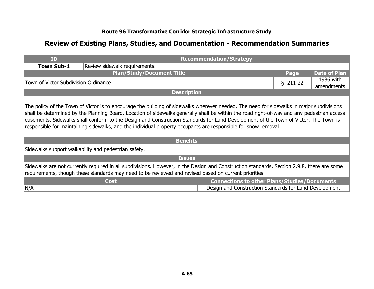| ID                                                                                                                                                                                                                                                                                                                                                                                                                                                                                                                                              |                                                      | <b>Recommendation/Strategy</b>                         |           |                         |
|-------------------------------------------------------------------------------------------------------------------------------------------------------------------------------------------------------------------------------------------------------------------------------------------------------------------------------------------------------------------------------------------------------------------------------------------------------------------------------------------------------------------------------------------------|------------------------------------------------------|--------------------------------------------------------|-----------|-------------------------|
| <b>Town Sub-1</b>                                                                                                                                                                                                                                                                                                                                                                                                                                                                                                                               | Review sidewalk requirements.                        |                                                        |           |                         |
|                                                                                                                                                                                                                                                                                                                                                                                                                                                                                                                                                 | <b>Plan/Study/Document Title</b>                     |                                                        | Page      | <b>Date of Plan</b>     |
|                                                                                                                                                                                                                                                                                                                                                                                                                                                                                                                                                 | Town of Victor Subdivision Ordinance                 |                                                        | $$211-22$ | 1986 with<br>amendments |
|                                                                                                                                                                                                                                                                                                                                                                                                                                                                                                                                                 | <b>Description</b>                                   |                                                        |           |                         |
| The policy of the Town of Victor is to encourage the building of sidewalks wherever needed. The need for sidewalks in major subdivisions<br>shall be determined by the Planning Board. Location of sidewalks generally shall be within the road right-of-way and any pedestrian access<br>easements. Sidewalks shall conform to the Design and Construction Standards for Land Development of the Town of Victor. The Town is<br>responsible for maintaining sidewalks, and the individual property occupants are responsible for snow removal. |                                                      |                                                        |           |                         |
|                                                                                                                                                                                                                                                                                                                                                                                                                                                                                                                                                 | <b>Benefits</b>                                      |                                                        |           |                         |
|                                                                                                                                                                                                                                                                                                                                                                                                                                                                                                                                                 | Sidewalks support walkability and pedestrian safety. |                                                        |           |                         |
|                                                                                                                                                                                                                                                                                                                                                                                                                                                                                                                                                 | <b>Issues</b>                                        |                                                        |           |                         |
| Sidewalks are not currently required in all subdivisions. However, in the Design and Construction standards, Section 2.9.8, there are some<br>requirements, though these standards may need to be reviewed and revised based on current priorities.                                                                                                                                                                                                                                                                                             |                                                      |                                                        |           |                         |
|                                                                                                                                                                                                                                                                                                                                                                                                                                                                                                                                                 | <b>Cost</b>                                          | <b>Connections to other Plans/Studies/Documents</b>    |           |                         |
| N/A                                                                                                                                                                                                                                                                                                                                                                                                                                                                                                                                             |                                                      | Design and Construction Standards for Land Development |           |                         |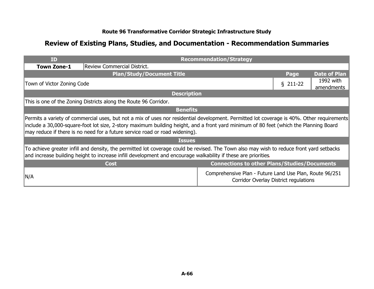| <b>ID</b>                                                                                                                                                                                                                                                                                                                                                           |                                                                  | <b>Recommendation/Strategy</b>                                                                   |            |                         |
|---------------------------------------------------------------------------------------------------------------------------------------------------------------------------------------------------------------------------------------------------------------------------------------------------------------------------------------------------------------------|------------------------------------------------------------------|--------------------------------------------------------------------------------------------------|------------|-------------------------|
| <b>Town Zone-1</b>                                                                                                                                                                                                                                                                                                                                                  | Review Commercial District.                                      |                                                                                                  |            |                         |
|                                                                                                                                                                                                                                                                                                                                                                     | <b>Plan/Study/Document Title</b>                                 |                                                                                                  | Page       | <b>Date of Plan</b>     |
|                                                                                                                                                                                                                                                                                                                                                                     | Town of Victor Zoning Code                                       |                                                                                                  | $§$ 211-22 | 1992 with<br>amendments |
|                                                                                                                                                                                                                                                                                                                                                                     | <b>Description</b>                                               |                                                                                                  |            |                         |
|                                                                                                                                                                                                                                                                                                                                                                     | This is one of the Zoning Districts along the Route 96 Corridor. |                                                                                                  |            |                         |
| <b>Benefits</b>                                                                                                                                                                                                                                                                                                                                                     |                                                                  |                                                                                                  |            |                         |
| Permits a variety of commercial uses, but not a mix of uses nor residential development. Permitted lot coverage is 40%. Other requirements<br>linclude a 30,000-square-foot lot size, 2-story maximum building height, and a front yard minimum of 80 feet (which the Planning Board<br>may reduce if there is no need for a future service road or road widening). |                                                                  |                                                                                                  |            |                         |
|                                                                                                                                                                                                                                                                                                                                                                     | <b>Issues</b>                                                    |                                                                                                  |            |                         |
| To achieve greater infill and density, the permitted lot coverage could be revised. The Town also may wish to reduce front yard setbacks<br>and increase building height to increase infill development and encourage walkability if these are priorities.                                                                                                          |                                                                  |                                                                                                  |            |                         |
|                                                                                                                                                                                                                                                                                                                                                                     | <b>Cost</b>                                                      | <b>Connections to other Plans/Studies/Documents</b>                                              |            |                         |
| ∥N/A                                                                                                                                                                                                                                                                                                                                                                |                                                                  | Comprehensive Plan - Future Land Use Plan, Route 96/251<br>Corridor Overlay District regulations |            |                         |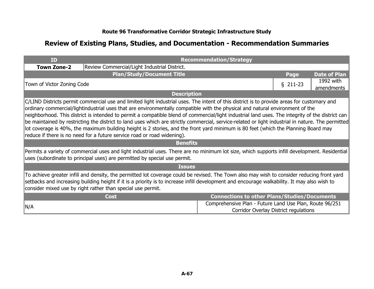| <b>ID</b>                                                                                                                                                                                                                                                                                                                                                                                                                                                                                                                                                                                                                                                                                                                                                                                               |                                                                                                                                                                                                                            | <b>Recommendation/Strategy</b>                                                                   |            |                         |
|---------------------------------------------------------------------------------------------------------------------------------------------------------------------------------------------------------------------------------------------------------------------------------------------------------------------------------------------------------------------------------------------------------------------------------------------------------------------------------------------------------------------------------------------------------------------------------------------------------------------------------------------------------------------------------------------------------------------------------------------------------------------------------------------------------|----------------------------------------------------------------------------------------------------------------------------------------------------------------------------------------------------------------------------|--------------------------------------------------------------------------------------------------|------------|-------------------------|
| <b>Town Zone-2</b>                                                                                                                                                                                                                                                                                                                                                                                                                                                                                                                                                                                                                                                                                                                                                                                      | Review Commercial/Light Industrial District.                                                                                                                                                                               |                                                                                                  |            |                         |
|                                                                                                                                                                                                                                                                                                                                                                                                                                                                                                                                                                                                                                                                                                                                                                                                         | <b>Plan/Study/Document Title</b>                                                                                                                                                                                           |                                                                                                  | Page       | <b>Date of Plan</b>     |
|                                                                                                                                                                                                                                                                                                                                                                                                                                                                                                                                                                                                                                                                                                                                                                                                         | Town of Victor Zoning Code                                                                                                                                                                                                 |                                                                                                  | $§$ 211-23 | 1992 with<br>amendments |
|                                                                                                                                                                                                                                                                                                                                                                                                                                                                                                                                                                                                                                                                                                                                                                                                         | <b>Description</b>                                                                                                                                                                                                         |                                                                                                  |            |                         |
| C/LIND Districts permit commercial use and limited light industrial uses. The intent of this district is to provide areas for customary and<br>ordinary commercial/lightindustrial uses that are environmentally compatible with the physical and natural environment of the<br>neighborhood. This district is intended to permit a compatible blend of commercial/light industrial land uses. The integrity of the district can<br>be maintained by restricting the district to land uses which are strictly commercial, service-related or light industrial in nature. The permitted<br>lot coverage is 40%, the maximum building height is 2 stories, and the front yard minimum is 80 feet (which the Planning Board may<br>reduce if there is no need for a future service road or road widening). |                                                                                                                                                                                                                            |                                                                                                  |            |                         |
|                                                                                                                                                                                                                                                                                                                                                                                                                                                                                                                                                                                                                                                                                                                                                                                                         | <b>Benefits</b>                                                                                                                                                                                                            |                                                                                                  |            |                         |
|                                                                                                                                                                                                                                                                                                                                                                                                                                                                                                                                                                                                                                                                                                                                                                                                         | Permits a variety of commercial uses and light industrial uses. There are no minimum lot size, which supports infill development. Residential<br>uses (subordinate to principal uses) are permitted by special use permit. |                                                                                                  |            |                         |
|                                                                                                                                                                                                                                                                                                                                                                                                                                                                                                                                                                                                                                                                                                                                                                                                         | <b>Issues</b>                                                                                                                                                                                                              |                                                                                                  |            |                         |
| To achieve greater infill and density, the permitted lot coverage could be revised. The Town also may wish to consider reducing front yard<br>setbacks and increasing building height if it is a priority is to increase infill development and encourage walkability. It may also wish to<br>consider mixed use by right rather than special use permit.                                                                                                                                                                                                                                                                                                                                                                                                                                               |                                                                                                                                                                                                                            |                                                                                                  |            |                         |
|                                                                                                                                                                                                                                                                                                                                                                                                                                                                                                                                                                                                                                                                                                                                                                                                         | <b>Cost</b>                                                                                                                                                                                                                | <b>Connections to other Plans/Studies/Documents</b>                                              |            |                         |
| N/A                                                                                                                                                                                                                                                                                                                                                                                                                                                                                                                                                                                                                                                                                                                                                                                                     |                                                                                                                                                                                                                            | Comprehensive Plan - Future Land Use Plan, Route 96/251<br>Corridor Overlay District regulations |            |                         |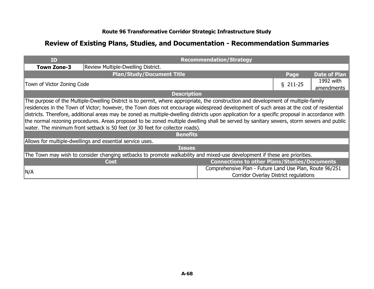| <b>ID</b>          |                                                                                                                                                | <b>Recommendation/Strategy</b>                          |           |                     |
|--------------------|------------------------------------------------------------------------------------------------------------------------------------------------|---------------------------------------------------------|-----------|---------------------|
| <b>Town Zone-3</b> | Review Multiple-Dwelling District.                                                                                                             |                                                         |           |                     |
|                    | <b>Plan/Study/Document Title</b>                                                                                                               |                                                         | Page      | <b>Date of Plan</b> |
|                    | Town of Victor Zoning Code                                                                                                                     |                                                         | $$211-25$ | 1992 with           |
|                    |                                                                                                                                                |                                                         |           | amendments          |
|                    | <b>Description</b>                                                                                                                             |                                                         |           |                     |
|                    | The purpose of the Multiple-Dwelling District is to permit, where appropriate, the construction and development of multiple-family             |                                                         |           |                     |
|                    | residences in the Town of Victor; however, the Town does not encourage widespread development of such areas at the cost of residential         |                                                         |           |                     |
|                    | districts. Therefore, additional areas may be zoned as multiple-dwelling districts upon application for a specific proposal in accordance with |                                                         |           |                     |
|                    | the normal rezoning procedures. Areas proposed to be zoned multiple dwelling shall be served by sanitary sewers, storm sewers and public       |                                                         |           |                     |
|                    | water. The minimum front setback is 50 feet (or 30 feet for collector roads).                                                                  |                                                         |           |                     |
|                    | <b>Benefits</b>                                                                                                                                |                                                         |           |                     |
|                    | Allows for multiple-dwellings and essential service uses.                                                                                      |                                                         |           |                     |
|                    | <b>Issues</b>                                                                                                                                  |                                                         |           |                     |
|                    | The Town may wish to consider changing setbacks to promote walkability and mixed-use development if these are priorities.                      |                                                         |           |                     |
|                    | <b>Cost</b>                                                                                                                                    | <b>Connections to other Plans/Studies/Documents</b>     |           |                     |
|                    |                                                                                                                                                | Comprehensive Plan - Future Land Use Plan, Route 96/251 |           |                     |
| ∥N/A               |                                                                                                                                                | <b>Corridor Overlay District regulations</b>            |           |                     |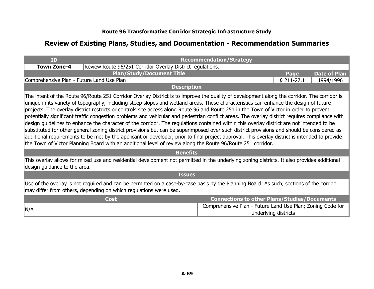| <b>TD</b>                                                                                                                                                                                                                                                                                                                                                                                                                                                                                                                                                                                                                                                                                                                                                                                                                                                                                                                                                                                                                                                                                                                                     |                                                                                                                                                                             | <b>Recommendation/Strategy</b>                             |                      |                     |  |
|-----------------------------------------------------------------------------------------------------------------------------------------------------------------------------------------------------------------------------------------------------------------------------------------------------------------------------------------------------------------------------------------------------------------------------------------------------------------------------------------------------------------------------------------------------------------------------------------------------------------------------------------------------------------------------------------------------------------------------------------------------------------------------------------------------------------------------------------------------------------------------------------------------------------------------------------------------------------------------------------------------------------------------------------------------------------------------------------------------------------------------------------------|-----------------------------------------------------------------------------------------------------------------------------------------------------------------------------|------------------------------------------------------------|----------------------|---------------------|--|
| <b>Town Zone-4</b>                                                                                                                                                                                                                                                                                                                                                                                                                                                                                                                                                                                                                                                                                                                                                                                                                                                                                                                                                                                                                                                                                                                            | Review Route 96/251 Corridor Overlay District regulations.                                                                                                                  |                                                            |                      |                     |  |
|                                                                                                                                                                                                                                                                                                                                                                                                                                                                                                                                                                                                                                                                                                                                                                                                                                                                                                                                                                                                                                                                                                                                               | <b>Plan/Study/Document Title</b>                                                                                                                                            |                                                            | Page                 | <b>Date of Plan</b> |  |
| Comprehensive Plan - Future Land Use Plan                                                                                                                                                                                                                                                                                                                                                                                                                                                                                                                                                                                                                                                                                                                                                                                                                                                                                                                                                                                                                                                                                                     |                                                                                                                                                                             |                                                            | $§$ 211-27.1         | 1994/1996           |  |
|                                                                                                                                                                                                                                                                                                                                                                                                                                                                                                                                                                                                                                                                                                                                                                                                                                                                                                                                                                                                                                                                                                                                               | <b>Description</b>                                                                                                                                                          |                                                            |                      |                     |  |
| The intent of the Route 96/Route 251 Corridor Overlay District is to improve the quality of development along the corridor. The corridor is<br>unique in its variety of topography, including steep slopes and wetland areas. These characteristics can enhance the design of future<br>projects. The overlay district restricts or controls site access along Route 96 and Route 251 in the Town of Victor in order to prevent<br>potentially significant traffic congestion problems and vehicular and pedestrian conflict areas. The overlay district requires compliance with<br>design guidelines to enhance the character of the corridor. The regulations contained within this overlay district are not intended to be<br>substituted for other general zoning district provisions but can be superimposed over such district provisions and should be considered as<br>additional requirements to be met by the applicant or developer, prior to final project approval. This overlay district is intended to provide<br>the Town of Victor Planning Board with an additional level of review along the Route 96/Route 251 corridor. |                                                                                                                                                                             |                                                            |                      |                     |  |
|                                                                                                                                                                                                                                                                                                                                                                                                                                                                                                                                                                                                                                                                                                                                                                                                                                                                                                                                                                                                                                                                                                                                               | <b>Benefits</b>                                                                                                                                                             |                                                            |                      |                     |  |
|                                                                                                                                                                                                                                                                                                                                                                                                                                                                                                                                                                                                                                                                                                                                                                                                                                                                                                                                                                                                                                                                                                                                               | This overlay allows for mixed use and residential development not permitted in the underlying zoning districts. It also provides additional<br>design guidance to the area. |                                                            |                      |                     |  |
|                                                                                                                                                                                                                                                                                                                                                                                                                                                                                                                                                                                                                                                                                                                                                                                                                                                                                                                                                                                                                                                                                                                                               | <b>Issues</b>                                                                                                                                                               |                                                            |                      |                     |  |
| Use of the overlay is not required and can be permitted on a case-by-case basis by the Planning Board. As such, sections of the corridor<br>may differ from others, depending on which regulations were used.                                                                                                                                                                                                                                                                                                                                                                                                                                                                                                                                                                                                                                                                                                                                                                                                                                                                                                                                 |                                                                                                                                                                             |                                                            |                      |                     |  |
|                                                                                                                                                                                                                                                                                                                                                                                                                                                                                                                                                                                                                                                                                                                                                                                                                                                                                                                                                                                                                                                                                                                                               | <b>Cost</b>                                                                                                                                                                 | <b>Connections to other Plans/Studies/Documents</b>        |                      |                     |  |
| N/A                                                                                                                                                                                                                                                                                                                                                                                                                                                                                                                                                                                                                                                                                                                                                                                                                                                                                                                                                                                                                                                                                                                                           |                                                                                                                                                                             | Comprehensive Plan - Future Land Use Plan; Zoning Code for | underlying districts |                     |  |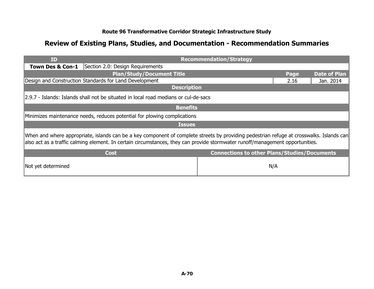| ID                 |                                                                                                                                                                                                                                                                           | <b>Recommendation/Strategy</b>                      |      |                     |  |
|--------------------|---------------------------------------------------------------------------------------------------------------------------------------------------------------------------------------------------------------------------------------------------------------------------|-----------------------------------------------------|------|---------------------|--|
| Town Des & Con-1   | Section 2.0: Design Requirements                                                                                                                                                                                                                                          |                                                     |      |                     |  |
|                    | <b>Plan/Study/Document Title</b>                                                                                                                                                                                                                                          |                                                     | Page | <b>Date of Plan</b> |  |
|                    | Design and Construction Standards for Land Development                                                                                                                                                                                                                    |                                                     | 2.16 | Jan. 2014           |  |
|                    | <b>Description</b>                                                                                                                                                                                                                                                        |                                                     |      |                     |  |
|                    | 2.9.7 - Islands: Islands shall not be situated in local road medians or cul-de-sacs                                                                                                                                                                                       |                                                     |      |                     |  |
|                    | <b>Benefits</b>                                                                                                                                                                                                                                                           |                                                     |      |                     |  |
|                    | Minimizes maintenance needs, reduces potential for plowing complications                                                                                                                                                                                                  |                                                     |      |                     |  |
|                    | <b>Issues</b>                                                                                                                                                                                                                                                             |                                                     |      |                     |  |
|                    | When and where appropriate, islands can be a key component of complete streets by providing pedestrian refuge at crosswalks. Islands can<br>also act as a traffic calming element. In certain circumstances, they can provide stormwater runoff/management opportunities. |                                                     |      |                     |  |
|                    | <b>Cost</b>                                                                                                                                                                                                                                                               | <b>Connections to other Plans/Studies/Documents</b> |      |                     |  |
| Not yet determined |                                                                                                                                                                                                                                                                           |                                                     | N/A  |                     |  |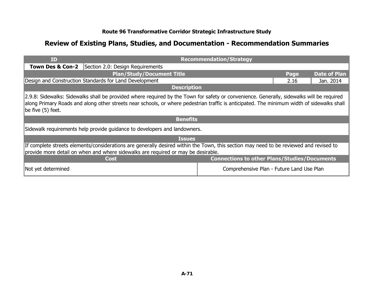| <b>ID</b>                                                                                                                                                                                                                                                                                                      | <b>Recommendation/Strategy</b>   |                                                     |      |                     |
|----------------------------------------------------------------------------------------------------------------------------------------------------------------------------------------------------------------------------------------------------------------------------------------------------------------|----------------------------------|-----------------------------------------------------|------|---------------------|
| Town Des & Con-2                                                                                                                                                                                                                                                                                               | Section 2.0: Design Requirements |                                                     |      |                     |
| <b>Plan/Study/Document Title</b>                                                                                                                                                                                                                                                                               |                                  |                                                     | Page | <b>Date of Plan</b> |
| Design and Construction Standards for Land Development                                                                                                                                                                                                                                                         |                                  |                                                     | 2.16 | Jan. 2014           |
| <b>Description</b>                                                                                                                                                                                                                                                                                             |                                  |                                                     |      |                     |
| 2.9.8: Sidewalks: Sidewalks shall be provided where required by the Town for safety or convenience. Generally, sidewalks will be required<br>along Primary Roads and along other streets near schools, or where pedestrian traffic is anticipated. The minimum width of sidewalks shall<br>be five $(5)$ feet. |                                  |                                                     |      |                     |
| <b>Benefits</b>                                                                                                                                                                                                                                                                                                |                                  |                                                     |      |                     |
| Sidewalk requirements help provide guidance to developers and landowners.                                                                                                                                                                                                                                      |                                  |                                                     |      |                     |
| <b>Issues</b>                                                                                                                                                                                                                                                                                                  |                                  |                                                     |      |                     |
| If complete streets elements/considerations are generally desired within the Town, this section may need to be reviewed and revised to<br>provide more detail on when and where sidewalks are required or may be desirable.                                                                                    |                                  |                                                     |      |                     |
|                                                                                                                                                                                                                                                                                                                | <b>Cost</b>                      | <b>Connections to other Plans/Studies/Documents</b> |      |                     |
| Not yet determined                                                                                                                                                                                                                                                                                             |                                  | Comprehensive Plan - Future Land Use Plan           |      |                     |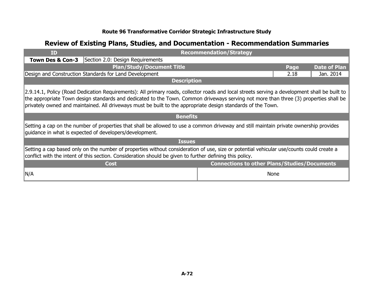| <b>ID</b>                                                                                                                                                                                                                                                                                                                                                                                              |                                                        | <b>Recommendation/Strategy</b>                      |             |                     |  |
|--------------------------------------------------------------------------------------------------------------------------------------------------------------------------------------------------------------------------------------------------------------------------------------------------------------------------------------------------------------------------------------------------------|--------------------------------------------------------|-----------------------------------------------------|-------------|---------------------|--|
| Town Des & Con-3                                                                                                                                                                                                                                                                                                                                                                                       | Section 2.0: Design Requirements                       |                                                     |             |                     |  |
|                                                                                                                                                                                                                                                                                                                                                                                                        | <b>Plan/Study/Document Title</b>                       |                                                     | Page        | <b>Date of Plan</b> |  |
|                                                                                                                                                                                                                                                                                                                                                                                                        | Design and Construction Standards for Land Development |                                                     | 2.18        | Jan. 2014           |  |
|                                                                                                                                                                                                                                                                                                                                                                                                        | <b>Description</b>                                     |                                                     |             |                     |  |
| 2.9.14.1, Policy (Road Dedication Requirements): All primary roads, collector roads and local streets serving a development shall be built to<br>the appropriate Town design standards and dedicated to the Town. Common driveways serving not more than three (3) properties shall be<br>privately owned and maintained. All driveways must be built to the appropriate design standards of the Town. |                                                        |                                                     |             |                     |  |
|                                                                                                                                                                                                                                                                                                                                                                                                        | <b>Benefits</b>                                        |                                                     |             |                     |  |
| Setting a cap on the number of properties that shall be allowed to use a common driveway and still maintain private ownership provides<br>guidance in what is expected of developers/development.                                                                                                                                                                                                      |                                                        |                                                     |             |                     |  |
|                                                                                                                                                                                                                                                                                                                                                                                                        | <b>Issues</b>                                          |                                                     |             |                     |  |
| Setting a cap based only on the number of properties without consideration of use, size or potential vehicular use/counts could create a<br>conflict with the intent of this section. Consideration should be given to further defining this policy.                                                                                                                                                   |                                                        |                                                     |             |                     |  |
|                                                                                                                                                                                                                                                                                                                                                                                                        | <b>Cost</b>                                            | <b>Connections to other Plans/Studies/Documents</b> |             |                     |  |
| ∥N/A                                                                                                                                                                                                                                                                                                                                                                                                   |                                                        |                                                     | <b>None</b> |                     |  |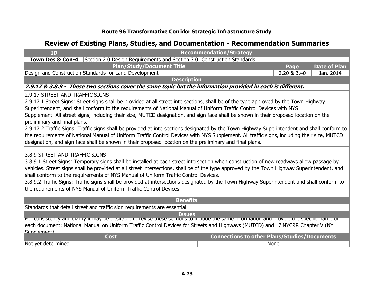| <b>ID</b>                                                                                                                                                                                                                                                                                                                                                                                                                                                                                                                                                                                                                                                                                                                                                             |                                                        | <b>Recommendation/Strategy</b>                                                                              |             |                     |  |  |
|-----------------------------------------------------------------------------------------------------------------------------------------------------------------------------------------------------------------------------------------------------------------------------------------------------------------------------------------------------------------------------------------------------------------------------------------------------------------------------------------------------------------------------------------------------------------------------------------------------------------------------------------------------------------------------------------------------------------------------------------------------------------------|--------------------------------------------------------|-------------------------------------------------------------------------------------------------------------|-------------|---------------------|--|--|
| Town Des & Con-4                                                                                                                                                                                                                                                                                                                                                                                                                                                                                                                                                                                                                                                                                                                                                      |                                                        | Section 2.0 Design Requirements and Section 3.0: Construction Standards                                     |             |                     |  |  |
|                                                                                                                                                                                                                                                                                                                                                                                                                                                                                                                                                                                                                                                                                                                                                                       | <b>Plan/Study/Document Title</b>                       |                                                                                                             | Page        | <b>Date of Plan</b> |  |  |
|                                                                                                                                                                                                                                                                                                                                                                                                                                                                                                                                                                                                                                                                                                                                                                       | Design and Construction Standards for Land Development |                                                                                                             | 2.20 & 3.40 | Jan. 2014           |  |  |
|                                                                                                                                                                                                                                                                                                                                                                                                                                                                                                                                                                                                                                                                                                                                                                       |                                                        | <b>Description</b>                                                                                          |             |                     |  |  |
|                                                                                                                                                                                                                                                                                                                                                                                                                                                                                                                                                                                                                                                                                                                                                                       |                                                        | 2.9.17 & 3.8.9 - These two sections cover the same topic but the information provided in each is different. |             |                     |  |  |
| 2.9.17 STREET AND TRAFFIC SIGNS<br>2.9.17.1 Street Signs: Street signs shall be provided at all street intersections, shall be of the type approved by the Town Highway<br>Superintendent, and shall conform to the requirements of National Manual of Uniform Traffic Control Devices with NYS<br>Supplement. All street signs, including their size, MUTCD designation, and sign face shall be shown in their proposed location on the<br>preliminary and final plans.<br>2.9.17.2 Traffic Signs: Traffic signs shall be provided at intersections designated by the Town Highway Superintendent and shall conform to<br>the requirements of National Manual of Uniform Traffic Control Devices with NYS Supplement. All traffic signs, including their size, MUTCD |                                                        |                                                                                                             |             |                     |  |  |
| designation, and sign face shall be shown in their proposed location on the preliminary and final plans.<br>3.8.9 STREET AND TRAFFIC SIGNS<br>3.8.9.1 Street Signs: Temporary signs shall be installed at each street intersection when construction of new roadways allow passage by<br>vehicles. Street signs shall be provided at all street intersections, shall be of the type approved by the Town Highway Superintendent, and<br>shall conform to the requirements of NYS Manual of Uniform Traffic Control Devices.<br>3.8.9.2 Traffic Signs: Traffic signs shall be provided at intersections designated by the Town Highway Superintendent and shall conform to<br>the requirements of NYS Manual of Uniform Traffic Control Devices.                       |                                                        |                                                                                                             |             |                     |  |  |
| <b>Benefits</b>                                                                                                                                                                                                                                                                                                                                                                                                                                                                                                                                                                                                                                                                                                                                                       |                                                        |                                                                                                             |             |                     |  |  |
| Standards that detail street and traffic sign requirements are essential.<br><b>Issues</b><br>For consistency and clanty it may be desirable to revise these sections to include the same imormation and provide the specific name or<br>each document: National Manual on Uniform Traffic Control Devices for Streets and Highways (MUTCD) and 17 NYCRR Chapter V (NY<br>Sunnlamant)                                                                                                                                                                                                                                                                                                                                                                                 |                                                        |                                                                                                             |             |                     |  |  |
|                                                                                                                                                                                                                                                                                                                                                                                                                                                                                                                                                                                                                                                                                                                                                                       | <b>Cost</b>                                            | <b>Connections to other Plans/Studies/Documents</b>                                                         |             |                     |  |  |
| Not yet determined                                                                                                                                                                                                                                                                                                                                                                                                                                                                                                                                                                                                                                                                                                                                                    |                                                        | <b>None</b>                                                                                                 |             |                     |  |  |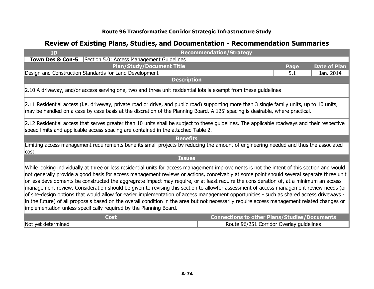| ID                                                                                                                                                                                                                                                                                                                                                                                                                                                                                                                                                                                                                                                                                                                                                                                                                                                                                                                                              |                                                                                                                                                                                                                                                                              |                    | <b>Recommendation/Strategy</b>                      |      |                     |
|-------------------------------------------------------------------------------------------------------------------------------------------------------------------------------------------------------------------------------------------------------------------------------------------------------------------------------------------------------------------------------------------------------------------------------------------------------------------------------------------------------------------------------------------------------------------------------------------------------------------------------------------------------------------------------------------------------------------------------------------------------------------------------------------------------------------------------------------------------------------------------------------------------------------------------------------------|------------------------------------------------------------------------------------------------------------------------------------------------------------------------------------------------------------------------------------------------------------------------------|--------------------|-----------------------------------------------------|------|---------------------|
| <b>Town Des &amp; Con-5</b>                                                                                                                                                                                                                                                                                                                                                                                                                                                                                                                                                                                                                                                                                                                                                                                                                                                                                                                     | Section 5.0: Access Management Guidelines                                                                                                                                                                                                                                    |                    |                                                     |      |                     |
|                                                                                                                                                                                                                                                                                                                                                                                                                                                                                                                                                                                                                                                                                                                                                                                                                                                                                                                                                 | <b>Plan/Study/Document Title</b>                                                                                                                                                                                                                                             |                    |                                                     | Page | <b>Date of Plan</b> |
|                                                                                                                                                                                                                                                                                                                                                                                                                                                                                                                                                                                                                                                                                                                                                                                                                                                                                                                                                 | Design and Construction Standards for Land Development                                                                                                                                                                                                                       |                    |                                                     | 5.1  | Jan. 2014           |
|                                                                                                                                                                                                                                                                                                                                                                                                                                                                                                                                                                                                                                                                                                                                                                                                                                                                                                                                                 |                                                                                                                                                                                                                                                                              | <b>Description</b> |                                                     |      |                     |
|                                                                                                                                                                                                                                                                                                                                                                                                                                                                                                                                                                                                                                                                                                                                                                                                                                                                                                                                                 | 2.10 A driveway, and/or access serving one, two and three unit residential lots is exempt from these guidelines                                                                                                                                                              |                    |                                                     |      |                     |
|                                                                                                                                                                                                                                                                                                                                                                                                                                                                                                                                                                                                                                                                                                                                                                                                                                                                                                                                                 | 2.11 Residential access (i.e. driveway, private road or drive, and public road) supporting more than 3 single family units, up to 10 units,<br>may be handled on a case by case basis at the discretion of the Planning Board. A 125' spacing is desirable, where practical. |                    |                                                     |      |                     |
|                                                                                                                                                                                                                                                                                                                                                                                                                                                                                                                                                                                                                                                                                                                                                                                                                                                                                                                                                 | 2.12 Residential access that serves greater than 10 units shall be subject to these guidelines. The applicable roadways and their respective<br>speed limits and applicable access spacing are contained in the attached Table 2.                                            |                    |                                                     |      |                     |
|                                                                                                                                                                                                                                                                                                                                                                                                                                                                                                                                                                                                                                                                                                                                                                                                                                                                                                                                                 |                                                                                                                                                                                                                                                                              | <b>Benefits</b>    |                                                     |      |                     |
| cost.                                                                                                                                                                                                                                                                                                                                                                                                                                                                                                                                                                                                                                                                                                                                                                                                                                                                                                                                           | Limiting access management requirements benefits small projects by reducing the amount of engineering needed and thus the associated                                                                                                                                         |                    |                                                     |      |                     |
| <b>Issues</b>                                                                                                                                                                                                                                                                                                                                                                                                                                                                                                                                                                                                                                                                                                                                                                                                                                                                                                                                   |                                                                                                                                                                                                                                                                              |                    |                                                     |      |                     |
| While looking individually at three or less residential units for access management improvements is not the intent of this section and would<br>not generally provide a good basis for access management reviews or actions, conceivably at some point should several separate three unit<br>or less developments be constructed the aggregrate impact may require, or at least require the consideration of, at a minimum an access<br>management review. Consideration should be given to revising this section to allowfor assessment of access management review needs (or<br>of site-design options that would allow for easier implementation of access management opportunities - such as shared access driveways -<br>in the future) of all proposals based on the overall condition in the area but not necessarliy require access management related changes or<br>implementation unless specifically required by the Planning Board. |                                                                                                                                                                                                                                                                              |                    |                                                     |      |                     |
|                                                                                                                                                                                                                                                                                                                                                                                                                                                                                                                                                                                                                                                                                                                                                                                                                                                                                                                                                 | <b>Cost</b>                                                                                                                                                                                                                                                                  |                    | <b>Connections to other Plans/Studies/Documents</b> |      |                     |
| Not yet determined                                                                                                                                                                                                                                                                                                                                                                                                                                                                                                                                                                                                                                                                                                                                                                                                                                                                                                                              |                                                                                                                                                                                                                                                                              |                    | Route 96/251 Corridor Overlay guidelines            |      |                     |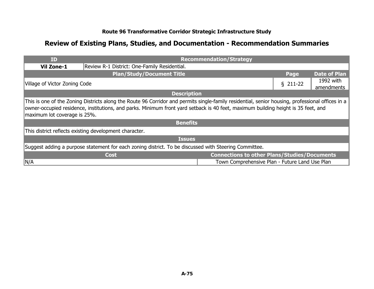| <b>ID</b>                                                                                                                                                                                                                                                                                                             |                                                        | <b>Recommendation/Strategy</b>                      |                         |                     |  |
|-----------------------------------------------------------------------------------------------------------------------------------------------------------------------------------------------------------------------------------------------------------------------------------------------------------------------|--------------------------------------------------------|-----------------------------------------------------|-------------------------|---------------------|--|
| <b>Vil Zone-1</b>                                                                                                                                                                                                                                                                                                     | Review R-1 District: One-Family Residential.           |                                                     |                         |                     |  |
|                                                                                                                                                                                                                                                                                                                       | <b>Plan/Study/Document Title</b>                       |                                                     | Page                    | <b>Date of Plan</b> |  |
| Village of Victor Zoning Code                                                                                                                                                                                                                                                                                         |                                                        | $$211-22$                                           | 1992 with<br>amendments |                     |  |
|                                                                                                                                                                                                                                                                                                                       | <b>Description</b>                                     |                                                     |                         |                     |  |
| This is one of the Zoning Districts along the Route 96 Corridor and permits single-family residential, senior housing, professional offices in a<br>owner-occupied residence, institutions, and parks. Minimum front yard setback is 40 feet, maximum building height is 35 feet, and<br>maximum lot coverage is 25%. |                                                        |                                                     |                         |                     |  |
|                                                                                                                                                                                                                                                                                                                       | <b>Benefits</b>                                        |                                                     |                         |                     |  |
|                                                                                                                                                                                                                                                                                                                       | This district reflects existing development character. |                                                     |                         |                     |  |
| <b>Issues</b>                                                                                                                                                                                                                                                                                                         |                                                        |                                                     |                         |                     |  |
| Suggest adding a purpose statement for each zoning district. To be discussed with Steering Committee.                                                                                                                                                                                                                 |                                                        |                                                     |                         |                     |  |
|                                                                                                                                                                                                                                                                                                                       | <b>Cost</b>                                            | <b>Connections to other Plans/Studies/Documents</b> |                         |                     |  |
| N/A                                                                                                                                                                                                                                                                                                                   |                                                        | Town Comprehensive Plan - Future Land Use Plan      |                         |                     |  |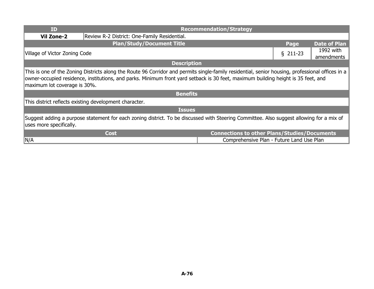| <b>ID</b>                                                                                                                                                                                                                                                                                                             |                                                        | <b>Recommendation/Strategy</b>                      |           |                         |
|-----------------------------------------------------------------------------------------------------------------------------------------------------------------------------------------------------------------------------------------------------------------------------------------------------------------------|--------------------------------------------------------|-----------------------------------------------------|-----------|-------------------------|
| <b>Vil Zone-2</b>                                                                                                                                                                                                                                                                                                     | Review R-2 District: One-Family Residential.           |                                                     |           |                         |
|                                                                                                                                                                                                                                                                                                                       | <b>Plan/Study/Document Title</b>                       |                                                     | Page      | <b>Date of Plan</b>     |
| Village of Victor Zoning Code                                                                                                                                                                                                                                                                                         |                                                        |                                                     | $$211-23$ | 1992 with<br>amendments |
|                                                                                                                                                                                                                                                                                                                       |                                                        | <b>Description</b>                                  |           |                         |
| This is one of the Zoning Districts along the Route 96 Corridor and permits single-family residential, senior housing, professional offices in a<br>owner-occupied residence, institutions, and parks. Minimum front yard setback is 30 feet, maximum building height is 35 feet, and<br>maximum lot coverage is 30%. |                                                        |                                                     |           |                         |
|                                                                                                                                                                                                                                                                                                                       |                                                        | <b>Benefits</b>                                     |           |                         |
|                                                                                                                                                                                                                                                                                                                       | This district reflects existing development character. |                                                     |           |                         |
| <b>Issues</b>                                                                                                                                                                                                                                                                                                         |                                                        |                                                     |           |                         |
| Suggest adding a purpose statement for each zoning district. To be discussed with Steering Committee. Also suggest allowing for a mix of<br>uses more specifically.                                                                                                                                                   |                                                        |                                                     |           |                         |
|                                                                                                                                                                                                                                                                                                                       | <b>Cost</b>                                            | <b>Connections to other Plans/Studies/Documents</b> |           |                         |
| ∥N/A                                                                                                                                                                                                                                                                                                                  |                                                        | Comprehensive Plan - Future Land Use Plan           |           |                         |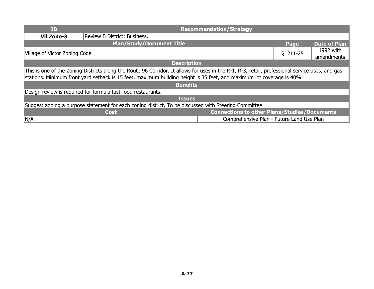| <b>ID</b>                                                                                                                                                                                                                                                                |                                                              | <b>Recommendation/Strategy</b>                      |           |                         |  |
|--------------------------------------------------------------------------------------------------------------------------------------------------------------------------------------------------------------------------------------------------------------------------|--------------------------------------------------------------|-----------------------------------------------------|-----------|-------------------------|--|
| <b>Vil Zone-3</b>                                                                                                                                                                                                                                                        | Review B District: Business.                                 |                                                     |           |                         |  |
|                                                                                                                                                                                                                                                                          | <b>Plan/Study/Document Title</b>                             |                                                     | Page      | <b>Date of Plan</b>     |  |
| Village of Victor Zoning Code                                                                                                                                                                                                                                            |                                                              |                                                     | $$211-25$ | 1992 with<br>amendments |  |
|                                                                                                                                                                                                                                                                          | <b>Description</b>                                           |                                                     |           |                         |  |
| This is one of the Zoning Districts along the Route 96 Corridor. It allows for uses in the R-1, R-3, retail, professional service uses, and gas<br>stations. Minimum front yard setback is 15 feet, maximum building height is 35 feet, and maximum lot coverage is 40%. |                                                              |                                                     |           |                         |  |
|                                                                                                                                                                                                                                                                          | <b>Benefits</b>                                              |                                                     |           |                         |  |
|                                                                                                                                                                                                                                                                          | Design review is required for formula fast-food restaurants. |                                                     |           |                         |  |
| <b>Issues</b>                                                                                                                                                                                                                                                            |                                                              |                                                     |           |                         |  |
| Suggest adding a purpose statement for each zoning district. To be discussed with Steering Committee.                                                                                                                                                                    |                                                              |                                                     |           |                         |  |
|                                                                                                                                                                                                                                                                          | <b>Cost</b>                                                  | <b>Connections to other Plans/Studies/Documents</b> |           |                         |  |
| $\vert N/A$                                                                                                                                                                                                                                                              |                                                              | Comprehensive Plan - Future Land Use Plan           |           |                         |  |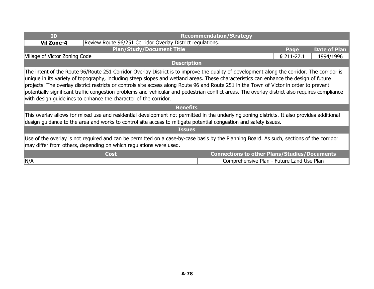| <b>ID</b>                                                                                                                                                                                                                                                                                                                                                                                                                                                                                                                                                                                                                                             |                                                            | <b>Recommendation/Strategy</b>                      |            |                     |
|-------------------------------------------------------------------------------------------------------------------------------------------------------------------------------------------------------------------------------------------------------------------------------------------------------------------------------------------------------------------------------------------------------------------------------------------------------------------------------------------------------------------------------------------------------------------------------------------------------------------------------------------------------|------------------------------------------------------------|-----------------------------------------------------|------------|---------------------|
| <b>Vil Zone-4</b>                                                                                                                                                                                                                                                                                                                                                                                                                                                                                                                                                                                                                                     | Review Route 96/251 Corridor Overlay District regulations. |                                                     |            |                     |
|                                                                                                                                                                                                                                                                                                                                                                                                                                                                                                                                                                                                                                                       | <b>Plan/Study/Document Title</b>                           |                                                     | Page       | <b>Date of Plan</b> |
| Village of Victor Zoning Code                                                                                                                                                                                                                                                                                                                                                                                                                                                                                                                                                                                                                         |                                                            |                                                     | § 211-27.1 | 1994/1996           |
|                                                                                                                                                                                                                                                                                                                                                                                                                                                                                                                                                                                                                                                       | <b>Description</b>                                         |                                                     |            |                     |
| The intent of the Route 96/Route 251 Corridor Overlay District is to improve the quality of development along the corridor. The corridor is<br>unique in its variety of topography, including steep slopes and wetland areas. These characteristics can enhance the design of future<br>projects. The overlay district restricts or controls site access along Route 96 and Route 251 in the Town of Victor in order to prevent<br>potentially significant traffic congestion problems and vehicular and pedestrian conflict areas. The overlay district also requires compliance<br>with design guidelines to enhance the character of the corridor. |                                                            |                                                     |            |                     |
|                                                                                                                                                                                                                                                                                                                                                                                                                                                                                                                                                                                                                                                       | <b>Benefits</b>                                            |                                                     |            |                     |
| This overlay allows for mixed use and residential development not permitted in the underlying zoning districts. It also provides additional<br>design guidance to the area and works to control site access to mitigate potential congestion and safety issues.                                                                                                                                                                                                                                                                                                                                                                                       |                                                            |                                                     |            |                     |
| <b>Issues</b>                                                                                                                                                                                                                                                                                                                                                                                                                                                                                                                                                                                                                                         |                                                            |                                                     |            |                     |
| Use of the overlay is not required and can be permitted on a case-by-case basis by the Planning Board. As such, sections of the corridor<br>may differ from others, depending on which regulations were used.                                                                                                                                                                                                                                                                                                                                                                                                                                         |                                                            |                                                     |            |                     |
|                                                                                                                                                                                                                                                                                                                                                                                                                                                                                                                                                                                                                                                       | Cost                                                       | <b>Connections to other Plans/Studies/Documents</b> |            |                     |
| N/A                                                                                                                                                                                                                                                                                                                                                                                                                                                                                                                                                                                                                                                   |                                                            | Comprehensive Plan - Future Land Use Plan           |            |                     |